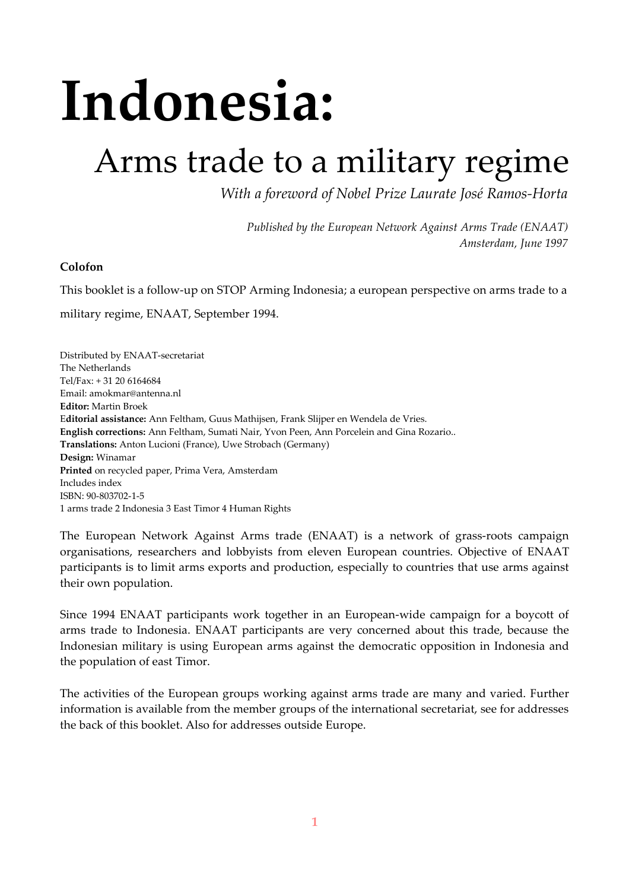# **Indonesia:**

### Arms trade to a military regime

*With a foreword of Nobel Prize Laurate José Ramos-Horta*

*Published by the European Network Against Arms Trade (ENAAT) Amsterdam, June 1997*

#### **Colofon**

This booklet is a follow-up on STOP Arming Indonesia; a european perspective on arms trade to a

military regime, ENAAT, September 1994.

Distributed by ENAAT-secretariat The Netherlands Tel/Fax: + 31 20 6164684 Email: amokmar@antenna.nl **Editor:** Martin Broek E**ditorial assistance:** Ann Feltham, Guus Mathijsen, Frank Slijper en Wendela de Vries. **English corrections:** Ann Feltham, Sumati Nair, Yvon Peen, Ann Porcelein and Gina Rozario.. **Translations:** Anton Lucioni (France), Uwe Strobach (Germany) **Design:** Winamar **Printed** on recycled paper, Prima Vera, Amsterdam Includes index ISBN: 90-803702-1-5 1 arms trade 2 Indonesia 3 East Timor 4 Human Rights

The European Network Against Arms trade (ENAAT) is a network of grass-roots campaign organisations, researchers and lobbyists from eleven European countries. Objective of ENAAT participants is to limit arms exports and production, especially to countries that use arms against their own population.

Since 1994 ENAAT participants work together in an European-wide campaign for a boycott of arms trade to Indonesia. ENAAT participants are very concerned about this trade, because the Indonesian military is using European arms against the democratic opposition in Indonesia and the population of east Timor.

The activities of the European groups working against arms trade are many and varied. Further information is available from the member groups of the international secretariat, see for addresses the back of this booklet. Also for addresses outside Europe.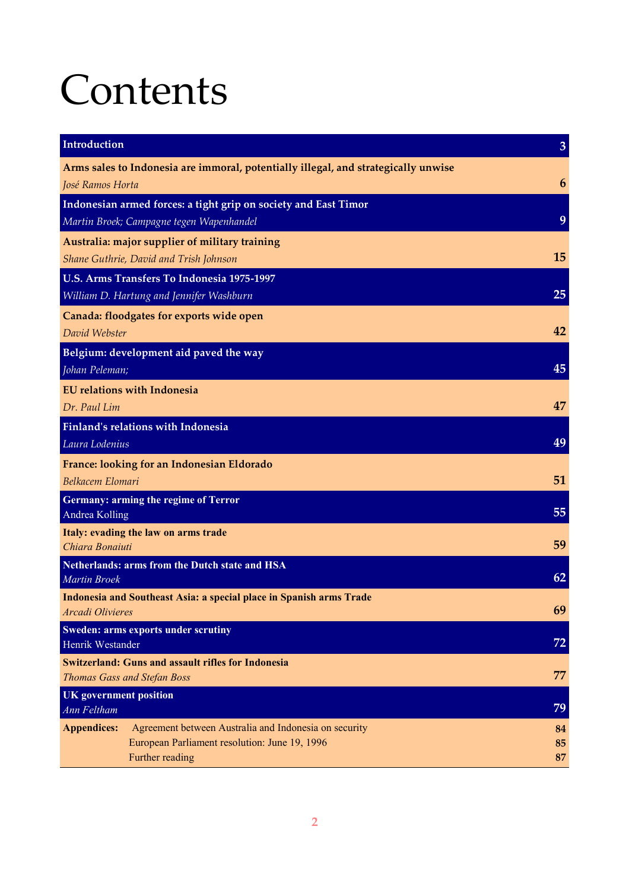## **Contents**

| Introduction                                                                                                                                    | 3              |
|-------------------------------------------------------------------------------------------------------------------------------------------------|----------------|
| Arms sales to Indonesia are immoral, potentially illegal, and strategically unwise<br>José Ramos Horta                                          | 6              |
| Indonesian armed forces: a tight grip on society and East Timor<br>Martin Broek; Campagne tegen Wapenhandel                                     | 9              |
| Australia: major supplier of military training<br>Shane Guthrie, David and Trish Johnson                                                        | 15             |
| U.S. Arms Transfers To Indonesia 1975-1997<br>William D. Hartung and Jennifer Washburn                                                          | 25             |
| Canada: floodgates for exports wide open<br>David Webster                                                                                       | 42             |
| Belgium: development aid paved the way<br>Johan Peleman;                                                                                        | 45             |
| <b>EU</b> relations with Indonesia<br>Dr. Paul Lim                                                                                              | 47             |
| Finland's relations with Indonesia<br>Laura Lodenius                                                                                            | 49             |
| France: looking for an Indonesian Eldorado<br>Belkacem Elomari                                                                                  | 51             |
| <b>Germany: arming the regime of Terror</b><br>Andrea Kolling                                                                                   | 55             |
| Italy: evading the law on arms trade<br>Chiara Bonaiuti                                                                                         | 59             |
| Netherlands: arms from the Dutch state and HSA<br><b>Martin Broek</b>                                                                           | 62             |
| Indonesia and Southeast Asia: a special place in Spanish arms Trade<br><b>Arcadi Olivieres</b>                                                  | 69             |
| Sweden: arms exports under scrutiny<br>Henrik Westander                                                                                         | 72             |
| <b>Switzerland: Guns and assault rifles for Indonesia</b><br>Thomas Gass and Stefan Boss                                                        | 77             |
| <b>UK</b> government position<br>Ann Feltham                                                                                                    | 79             |
| <b>Appendices:</b><br>Agreement between Australia and Indonesia on security<br>European Parliament resolution: June 19, 1996<br>Further reading | 84<br>85<br>87 |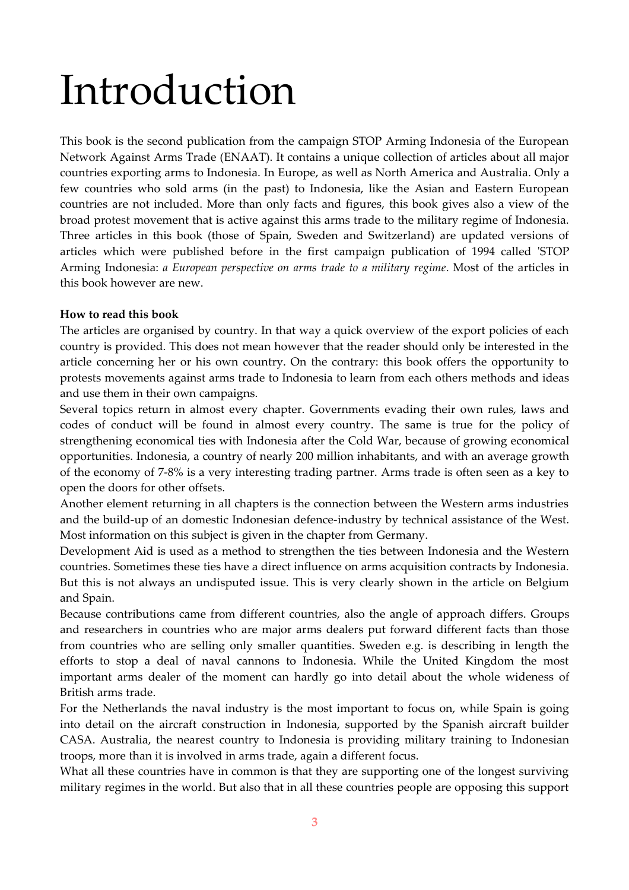## Introduction

This book is the second publication from the campaign STOP Arming Indonesia of the European Network Against Arms Trade (ENAAT). It contains a unique collection of articles about all major countries exporting arms to Indonesia. In Europe, as well as North America and Australia. Only a few countries who sold arms (in the past) to Indonesia, like the Asian and Eastern European countries are not included. More than only facts and figures, this book gives also a view of the broad protest movement that is active against this arms trade to the military regime of Indonesia. Three articles in this book (those of Spain, Sweden and Switzerland) are updated versions of articles which were published before in the first campaign publication of 1994 called 'STOP Arming Indonesia: *a European perspective on arms trade to a military regime*. Most of the articles in this book however are new.

#### **How to read this book**

The articles are organised by country. In that way a quick overview of the export policies of each country is provided. This does not mean however that the reader should only be interested in the article concerning her or his own country. On the contrary: this book offers the opportunity to protests movements against arms trade to Indonesia to learn from each others methods and ideas and use them in their own campaigns.

Several topics return in almost every chapter. Governments evading their own rules, laws and codes of conduct will be found in almost every country. The same is true for the policy of strengthening economical ties with Indonesia after the Cold War, because of growing economical opportunities. Indonesia, a country of nearly 200 million inhabitants, and with an average growth of the economy of 7-8% is a very interesting trading partner. Arms trade is often seen as a key to open the doors for other offsets.

Another element returning in all chapters is the connection between the Western arms industries and the build-up of an domestic Indonesian defence-industry by technical assistance of the West. Most information on this subject is given in the chapter from Germany.

Development Aid is used as a method to strengthen the ties between Indonesia and the Western countries. Sometimes these ties have a direct influence on arms acquisition contracts by Indonesia. But this is not always an undisputed issue. This is very clearly shown in the article on Belgium and Spain.

Because contributions came from different countries, also the angle of approach differs. Groups and researchers in countries who are major arms dealers put forward different facts than those from countries who are selling only smaller quantities. Sweden e.g. is describing in length the efforts to stop a deal of naval cannons to Indonesia. While the United Kingdom the most important arms dealer of the moment can hardly go into detail about the whole wideness of British arms trade.

For the Netherlands the naval industry is the most important to focus on, while Spain is going into detail on the aircraft construction in Indonesia, supported by the Spanish aircraft builder CASA. Australia, the nearest country to Indonesia is providing military training to Indonesian troops, more than it is involved in arms trade, again a different focus.

What all these countries have in common is that they are supporting one of the longest surviving military regimes in the world. But also that in all these countries people are opposing this support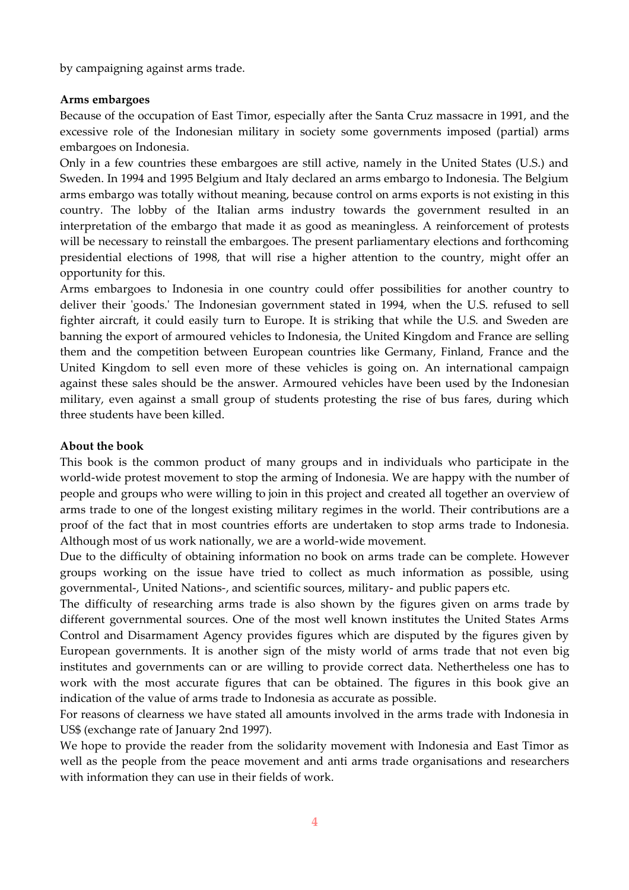by campaigning against arms trade.

#### **Arms embargoes**

Because of the occupation of East Timor, especially after the Santa Cruz massacre in 1991, and the excessive role of the Indonesian military in society some governments imposed (partial) arms embargoes on Indonesia.

Only in a few countries these embargoes are still active, namely in the United States (U.S.) and Sweden. In 1994 and 1995 Belgium and Italy declared an arms embargo to Indonesia. The Belgium arms embargo was totally without meaning, because control on arms exports is not existing in this country. The lobby of the Italian arms industry towards the government resulted in an interpretation of the embargo that made it as good as meaningless. A reinforcement of protests will be necessary to reinstall the embargoes. The present parliamentary elections and forthcoming presidential elections of 1998, that will rise a higher attention to the country, might offer an opportunity for this.

Arms embargoes to Indonesia in one country could offer possibilities for another country to deliver their 'goods.' The Indonesian government stated in 1994, when the U.S. refused to sell fighter aircraft, it could easily turn to Europe. It is striking that while the U.S. and Sweden are banning the export of armoured vehicles to Indonesia, the United Kingdom and France are selling them and the competition between European countries like Germany, Finland, France and the United Kingdom to sell even more of these vehicles is going on. An international campaign against these sales should be the answer. Armoured vehicles have been used by the Indonesian military, even against a small group of students protesting the rise of bus fares, during which three students have been killed.

#### **About the book**

This book is the common product of many groups and in individuals who participate in the world-wide protest movement to stop the arming of Indonesia. We are happy with the number of people and groups who were willing to join in this project and created all together an overview of arms trade to one of the longest existing military regimes in the world. Their contributions are a proof of the fact that in most countries efforts are undertaken to stop arms trade to Indonesia. Although most of us work nationally, we are a world-wide movement.

Due to the difficulty of obtaining information no book on arms trade can be complete. However groups working on the issue have tried to collect as much information as possible, using governmental-, United Nations-, and scientific sources, military- and public papers etc.

The difficulty of researching arms trade is also shown by the figures given on arms trade by different governmental sources. One of the most well known institutes the United States Arms Control and Disarmament Agency provides figures which are disputed by the figures given by European governments. It is another sign of the misty world of arms trade that not even big institutes and governments can or are willing to provide correct data. Nethertheless one has to work with the most accurate figures that can be obtained. The figures in this book give an indication of the value of arms trade to Indonesia as accurate as possible.

For reasons of clearness we have stated all amounts involved in the arms trade with Indonesia in US\$ (exchange rate of January 2nd 1997).

We hope to provide the reader from the solidarity movement with Indonesia and East Timor as well as the people from the peace movement and anti arms trade organisations and researchers with information they can use in their fields of work.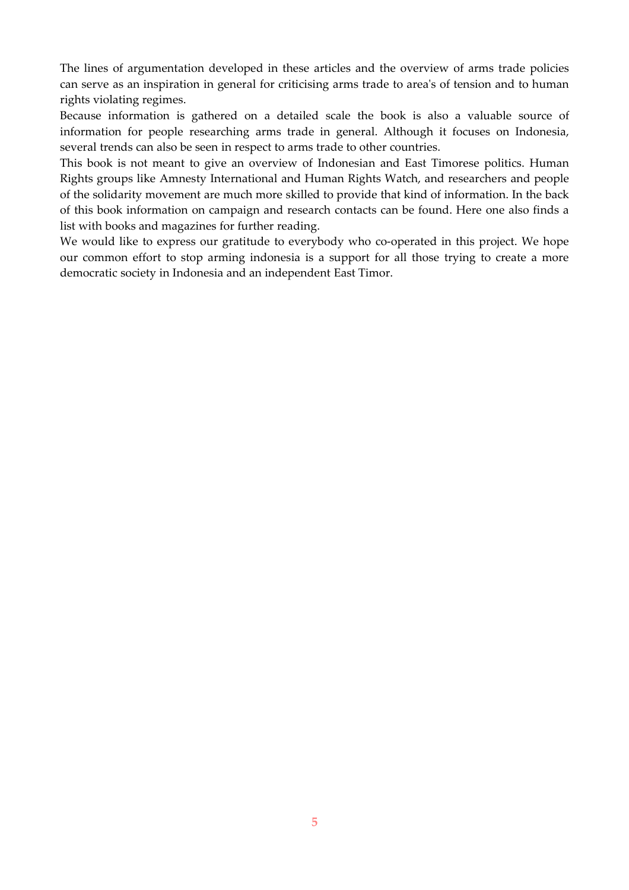The lines of argumentation developed in these articles and the overview of arms trade policies can serve as an inspiration in general for criticising arms trade to area's of tension and to human rights violating regimes.

Because information is gathered on a detailed scale the book is also a valuable source of information for people researching arms trade in general. Although it focuses on Indonesia, several trends can also be seen in respect to arms trade to other countries.

This book is not meant to give an overview of Indonesian and East Timorese politics. Human Rights groups like Amnesty International and Human Rights Watch, and researchers and people of the solidarity movement are much more skilled to provide that kind of information. In the back of this book information on campaign and research contacts can be found. Here one also finds a list with books and magazines for further reading.

We would like to express our gratitude to everybody who co-operated in this project. We hope our common effort to stop arming indonesia is a support for all those trying to create a more democratic society in Indonesia and an independent East Timor.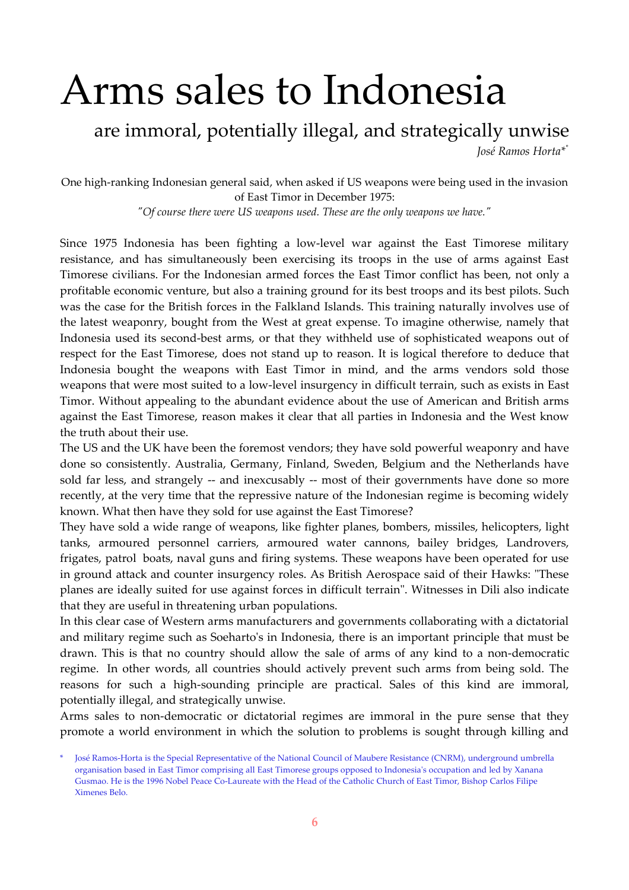## Arms sales to Indonesia

are immoral, potentially illegal, and strategically unwise *José Ramos Horta\* \**

One high-ranking Indonesian general said, when asked if US weapons were being used in the invasion of East Timor in December 1975:

*"Of course there were US weapons used. These are the only weapons we have."*

Since 1975 Indonesia has been fighting a low-level war against the East Timorese military resistance, and has simultaneously been exercising its troops in the use of arms against East Timorese civilians. For the Indonesian armed forces the East Timor conflict has been, not only a profitable economic venture, but also a training ground for its best troops and its best pilots. Such was the case for the British forces in the Falkland Islands. This training naturally involves use of the latest weaponry, bought from the West at great expense. To imagine otherwise, namely that Indonesia used its second-best arms, or that they withheld use of sophisticated weapons out of respect for the East Timorese, does not stand up to reason. It is logical therefore to deduce that Indonesia bought the weapons with East Timor in mind, and the arms vendors sold those weapons that were most suited to a low-level insurgency in difficult terrain, such as exists in East Timor. Without appealing to the abundant evidence about the use of American and British arms against the East Timorese, reason makes it clear that all parties in Indonesia and the West know the truth about their use.

The US and the UK have been the foremost vendors; they have sold powerful weaponry and have done so consistently. Australia, Germany, Finland, Sweden, Belgium and the Netherlands have sold far less, and strangely -- and inexcusably -- most of their governments have done so more recently, at the very time that the repressive nature of the Indonesian regime is becoming widely known. What then have they sold for use against the East Timorese?

They have sold a wide range of weapons, like fighter planes, bombers, missiles, helicopters, light tanks, armoured personnel carriers, armoured water cannons, bailey bridges, Landrovers, frigates, patrol boats, naval guns and firing systems. These weapons have been operated for use in ground attack and counter insurgency roles. As British Aerospace said of their Hawks: "These planes are ideally suited for use against forces in difficult terrain". Witnesses in Dili also indicate that they are useful in threatening urban populations.

In this clear case of Western arms manufacturers and governments collaborating with a dictatorial and military regime such as Soeharto's in Indonesia, there is an important principle that must be drawn. This is that no country should allow the sale of arms of any kind to a non-democratic regime. In other words, all countries should actively prevent such arms from being sold. The reasons for such a high-sounding principle are practical. Sales of this kind are immoral, potentially illegal, and strategically unwise.

Arms sales to non-democratic or dictatorial regimes are immoral in the pure sense that they promote a world environment in which the solution to problems is sought through killing and

<sup>\*</sup> José Ramos-Horta is the Special Representative of the National Council of Maubere Resistance (CNRM), underground umbrella organisation based in East Timor comprising all East Timorese groups opposed to Indonesia's occupation and led by Xanana Gusmao. He is the 1996 Nobel Peace Co-Laureate with the Head of the Catholic Church of East Timor, Bishop Carlos Filipe Ximenes Belo.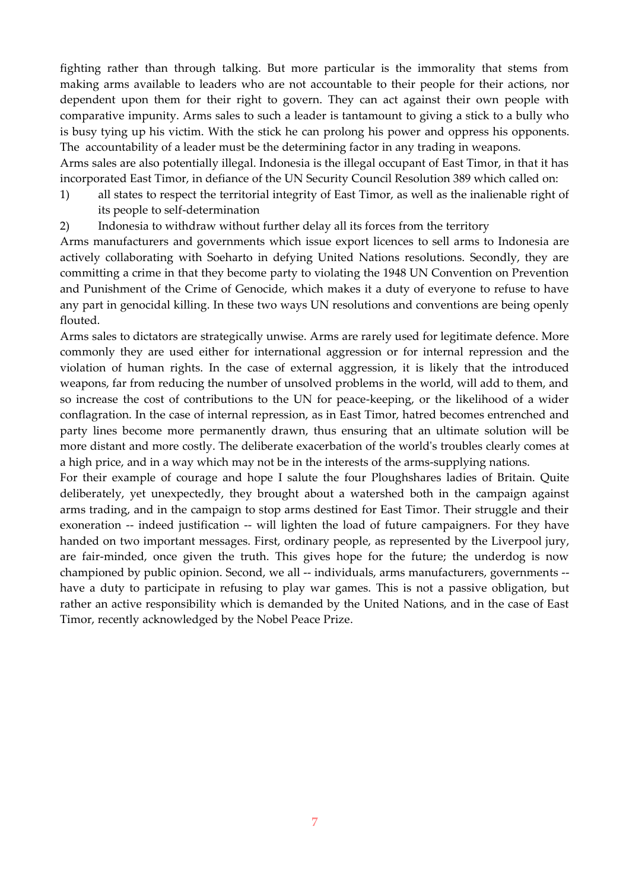fighting rather than through talking. But more particular is the immorality that stems from making arms available to leaders who are not accountable to their people for their actions, nor dependent upon them for their right to govern. They can act against their own people with comparative impunity. Arms sales to such a leader is tantamount to giving a stick to a bully who is busy tying up his victim. With the stick he can prolong his power and oppress his opponents. The accountability of a leader must be the determining factor in any trading in weapons.

Arms sales are also potentially illegal. Indonesia is the illegal occupant of East Timor, in that it has incorporated East Timor, in defiance of the UN Security Council Resolution 389 which called on:

- 1) all states to respect the territorial integrity of East Timor, as well as the inalienable right of its people to self-determination
- 2) Indonesia to withdraw without further delay all its forces from the territory

Arms manufacturers and governments which issue export licences to sell arms to Indonesia are actively collaborating with Soeharto in defying United Nations resolutions. Secondly, they are committing a crime in that they become party to violating the 1948 UN Convention on Prevention and Punishment of the Crime of Genocide, which makes it a duty of everyone to refuse to have any part in genocidal killing. In these two ways UN resolutions and conventions are being openly flouted.

Arms sales to dictators are strategically unwise. Arms are rarely used for legitimate defence. More commonly they are used either for international aggression or for internal repression and the violation of human rights. In the case of external aggression, it is likely that the introduced weapons, far from reducing the number of unsolved problems in the world, will add to them, and so increase the cost of contributions to the UN for peace-keeping, or the likelihood of a wider conflagration. In the case of internal repression, as in East Timor, hatred becomes entrenched and party lines become more permanently drawn, thus ensuring that an ultimate solution will be more distant and more costly. The deliberate exacerbation of the world's troubles clearly comes at a high price, and in a way which may not be in the interests of the arms-supplying nations.

For their example of courage and hope I salute the four Ploughshares ladies of Britain. Quite deliberately, yet unexpectedly, they brought about a watershed both in the campaign against arms trading, and in the campaign to stop arms destined for East Timor. Their struggle and their exoneration -- indeed justification -- will lighten the load of future campaigners. For they have handed on two important messages. First, ordinary people, as represented by the Liverpool jury, are fair-minded, once given the truth. This gives hope for the future; the underdog is now championed by public opinion. Second, we all -- individuals, arms manufacturers, governments - have a duty to participate in refusing to play war games. This is not a passive obligation, but rather an active responsibility which is demanded by the United Nations, and in the case of East Timor, recently acknowledged by the Nobel Peace Prize.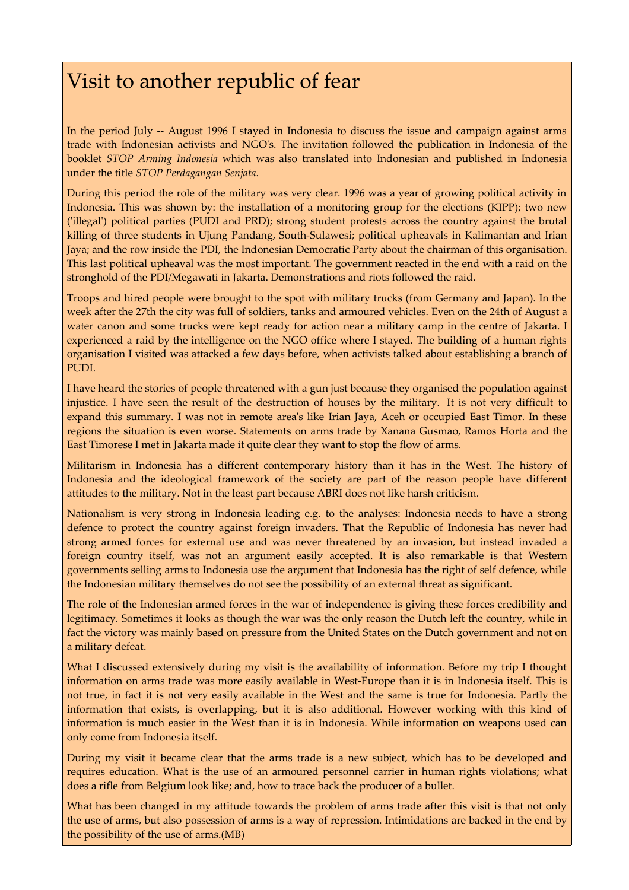### Visit to another republic of fear

In the period July -- August 1996 I stayed in Indonesia to discuss the issue and campaign against arms trade with Indonesian activists and NGO's. The invitation followed the publication in Indonesia of the booklet *STOP Arming Indonesia* which was also translated into Indonesian and published in Indonesia under the title *STOP Perdagangan Senjata*.

During this period the role of the military was very clear. 1996 was a year of growing political activity in Indonesia. This was shown by: the installation of a monitoring group for the elections (KIPP); two new ('illegal') political parties (PUDI and PRD); strong student protests across the country against the brutal killing of three students in Ujung Pandang, South-Sulawesi; political upheavals in Kalimantan and Irian Jaya; and the row inside the PDI, the Indonesian Democratic Party about the chairman of this organisation. This last political upheaval was the most important. The government reacted in the end with a raid on the stronghold of the PDI/Megawati in Jakarta. Demonstrations and riots followed the raid.

Troops and hired people were brought to the spot with military trucks (from Germany and Japan). In the week after the 27th the city was full of soldiers, tanks and armoured vehicles. Even on the 24th of August a water canon and some trucks were kept ready for action near a military camp in the centre of Jakarta. I experienced a raid by the intelligence on the NGO office where I stayed. The building of a human rights organisation I visited was attacked a few days before, when activists talked about establishing a branch of PUDI.

I have heard the stories of people threatened with a gun just because they organised the population against injustice. I have seen the result of the destruction of houses by the military. It is not very difficult to expand this summary. I was not in remote area's like Irian Jaya, Aceh or occupied East Timor. In these regions the situation is even worse. Statements on arms trade by Xanana Gusmao, Ramos Horta and the East Timorese I met in Jakarta made it quite clear they want to stop the flow of arms.

Militarism in Indonesia has a different contemporary history than it has in the West. The history of Indonesia and the ideological framework of the society are part of the reason people have different attitudes to the military. Not in the least part because ABRI does not like harsh criticism.

Nationalism is very strong in Indonesia leading e.g. to the analyses: Indonesia needs to have a strong defence to protect the country against foreign invaders. That the Republic of Indonesia has never had strong armed forces for external use and was never threatened by an invasion, but instead invaded a foreign country itself, was not an argument easily accepted. It is also remarkable is that Western governments selling arms to Indonesia use the argument that Indonesia has the right of self defence, while the Indonesian military themselves do not see the possibility of an external threat as significant.

The role of the Indonesian armed forces in the war of independence is giving these forces credibility and legitimacy. Sometimes it looks as though the war was the only reason the Dutch left the country, while in fact the victory was mainly based on pressure from the United States on the Dutch government and not on a military defeat.

What I discussed extensively during my visit is the availability of information. Before my trip I thought information on arms trade was more easily available in West-Europe than it is in Indonesia itself. This is not true, in fact it is not very easily available in the West and the same is true for Indonesia. Partly the information that exists, is overlapping, but it is also additional. However working with this kind of information is much easier in the West than it is in Indonesia. While information on weapons used can only come from Indonesia itself.

During my visit it became clear that the arms trade is a new subject, which has to be developed and requires education. What is the use of an armoured personnel carrier in human rights violations; what does a rifle from Belgium look like; and, how to trace back the producer of a bullet.

What has been changed in my attitude towards the problem of arms trade after this visit is that not only the use of arms, but also possession of arms is a way of repression. Intimidations are backed in the end by the possibility of the use of arms.(MB)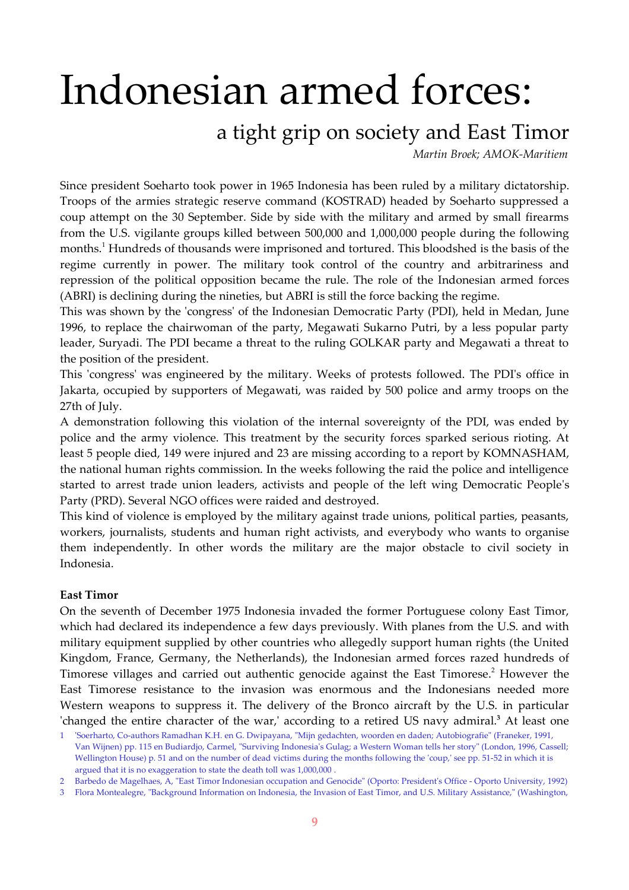## Indonesian armed forces:

### a tight grip on society and East Timor

*Martin Broek; AMOK-Maritiem*

Since president Soeharto took power in 1965 Indonesia has been ruled by a military dictatorship. Troops of the armies strategic reserve command (KOSTRAD) headed by Soeharto suppressed a coup attempt on the 30 September. Side by side with the military and armed by small firearms from the U.S. vigilante groups killed between 500,000 and 1,000,000 people during the following months.<sup>1</sup> Hundreds of thousands were imprisoned and tortured. This bloodshed is the basis of the regime currently in power. The military took control of the country and arbitrariness and repression of the political opposition became the rule. The role of the Indonesian armed forces (ABRI) is declining during the nineties, but ABRI is still the force backing the regime.

This was shown by the 'congress' of the Indonesian Democratic Party (PDI), held in Medan, June 1996, to replace the chairwoman of the party, Megawati Sukarno Putri, by a less popular party leader, Suryadi. The PDI became a threat to the ruling GOLKAR party and Megawati a threat to the position of the president.

This 'congress' was engineered by the military. Weeks of protests followed. The PDI's office in Jakarta, occupied by supporters of Megawati, was raided by 500 police and army troops on the 27th of July.

A demonstration following this violation of the internal sovereignty of the PDI, was ended by police and the army violence. This treatment by the security forces sparked serious rioting. At least 5 people died, 149 were injured and 23 are missing according to a report by KOMNASHAM, the national human rights commission. In the weeks following the raid the police and intelligence started to arrest trade union leaders, activists and people of the left wing Democratic People's Party (PRD). Several NGO offices were raided and destroyed.

This kind of violence is employed by the military against trade unions, political parties, peasants, workers, journalists, students and human right activists, and everybody who wants to organise them independently. In other words the military are the major obstacle to civil society in Indonesia.

#### **East Timor**

On the seventh of December 1975 Indonesia invaded the former Portuguese colony East Timor, which had declared its independence a few days previously. With planes from the U.S. and with military equipment supplied by other countries who allegedly support human rights (the United Kingdom, France, Germany, the Netherlands), the Indonesian armed forces razed hundreds of Timorese villages and carried out authentic genocide against the East Timorese. <sup>2</sup> However the East Timorese resistance to the invasion was enormous and the Indonesians needed more Western weapons to suppress it. The delivery of the Bronco aircraft by the U.S. in particular 'changed the entire character of the war,' according to a retired US navy admiral.<sup>3</sup> At least one

<sup>1</sup> 'Soerharto, Co-authors Ramadhan K.H. en G. Dwipayana, "Mijn gedachten, woorden en daden; Autobiografie" (Franeker, 1991, Van Wijnen) pp. 115 en Budiardjo, Carmel, "Surviving Indonesia's Gulag; a Western Woman tells her story" (London, 1996, Cassell; Wellington House) p. 51 and on the number of dead victims during the months following the 'coup,' see pp. 51-52 in which it is argued that it is no exaggeration to state the death toll was 1,000,000 .

<sup>2</sup> Barbedo de Magelhaes, A, "East Timor Indonesian occupation and Genocide" (Oporto: President's Office - Oporto University, 1992)

<sup>3</sup> Flora Montealegre, "Background Information on Indonesia, the Invasion of East Timor, and U.S. Military Assistance," (Washington,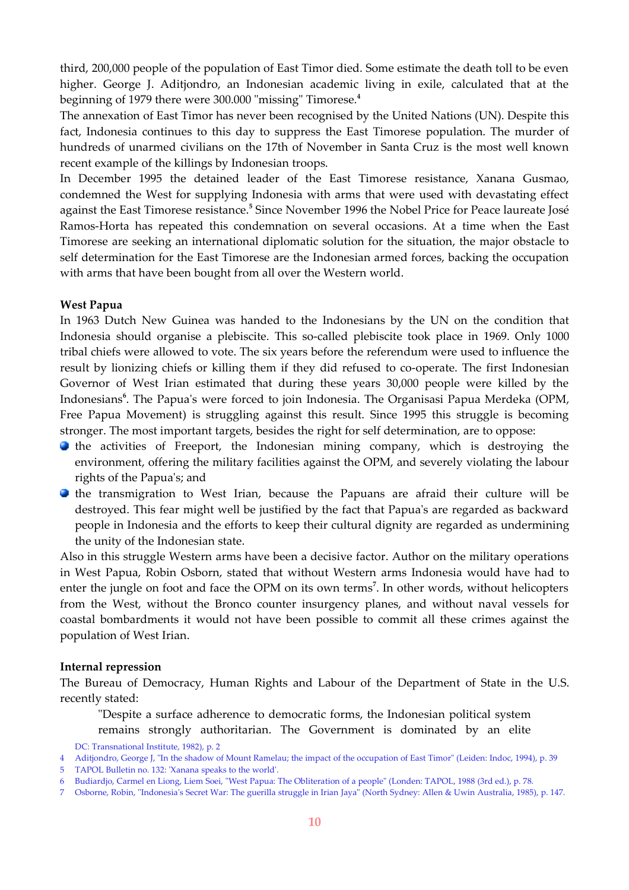third, 200,000 people of the population of East Timor died. Some estimate the death toll to be even higher. George J. Aditjondro, an Indonesian academic living in exile, calculated that at the beginning of 1979 there were 300.000 "missing" Timorese.**<sup>4</sup>**

The annexation of East Timor has never been recognised by the United Nations (UN). Despite this fact, Indonesia continues to this day to suppress the East Timorese population. The murder of hundreds of unarmed civilians on the 17th of November in Santa Cruz is the most well known recent example of the killings by Indonesian troops.

In December 1995 the detained leader of the East Timorese resistance, Xanana Gusmao, condemned the West for supplying Indonesia with arms that were used with devastating effect against the East Timorese resistance.<sup>5</sup> Since November 1996 the Nobel Price for Peace laureate José Ramos-Horta has repeated this condemnation on several occasions. At a time when the East Timorese are seeking an international diplomatic solution for the situation, the major obstacle to self determination for the East Timorese are the Indonesian armed forces, backing the occupation with arms that have been bought from all over the Western world.

#### **West Papua**

In 1963 Dutch New Guinea was handed to the Indonesians by the UN on the condition that Indonesia should organise a plebiscite. This so-called plebiscite took place in 1969. Only 1000 tribal chiefs were allowed to vote. The six years before the referendum were used to influence the result by lionizing chiefs or killing them if they did refused to co-operate. The first Indonesian Governor of West Irian estimated that during these years 30,000 people were killed by the Indonesians **6** . The Papua's were forced to join Indonesia. The Organisasi Papua Merdeka (OPM, Free Papua Movement) is struggling against this result. Since 1995 this struggle is becoming stronger. The most important targets, besides the right for self determination, are to oppose:

- **The activities of Freeport, the Indonesian mining company, which is destroying the** environment, offering the military facilities against the OPM, and severely violating the labour rights of the Papua's; and
- the transmigration to West Irian, because the Papuans are afraid their culture will be destroyed. This fear might well be justified by the fact that Papua's are regarded as backward people in Indonesia and the efforts to keep their cultural dignity are regarded as undermining the unity of the Indonesian state.

Also in this struggle Western arms have been a decisive factor. Author on the military operations in West Papua, Robin Osborn, stated that without Western arms Indonesia would have had to enter the jungle on foot and face the OPM on its own terms **7** . In other words, without helicopters from the West, without the Bronco counter insurgency planes, and without naval vessels for coastal bombardments it would not have been possible to commit all these crimes against the population of West Irian.

#### **Internal repression**

The Bureau of Democracy, Human Rights and Labour of the Department of State in the U.S. recently stated:

"Despite a surface adherence to democratic forms, the Indonesian political system remains strongly authoritarian. The Government is dominated by an elite DC: Transnational Institute, 1982), p. 2

7 Osborne, Robin, "Indonesia's Secret War: The guerilla struggle in Irian Jaya" (North Sydney: Allen & Uwin Australia, 1985), p. 147.

<sup>4</sup> Aditjondro, George J, "In the shadow of Mount Ramelau; the impact of the occupation of East Timor" (Leiden: Indoc, 1994), p. 39

<sup>5</sup> TAPOL Bulletin no. 132: 'Xanana speaks to the world'.

<sup>6</sup> Budiardjo, Carmel en Liong, Liem Soei, "West Papua: The Obliteration of a people" (Londen: TAPOL, 1988 (3rd ed.), p. 78.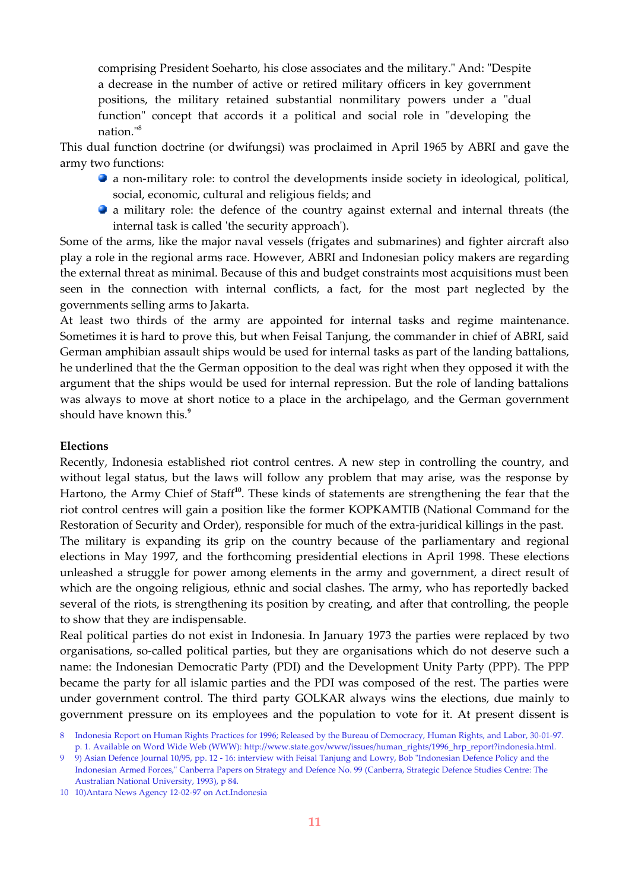comprising President Soeharto, his close associates and the military." And: "Despite a decrease in the number of active or retired military officers in key government positions, the military retained substantial nonmilitary powers under a "dual function" concept that accords it a political and social role in "developing the nation."<sup>8</sup>

This dual function doctrine (or dwifungsi) was proclaimed in April 1965 by ABRI and gave the army two functions:

- a non-military role: to control the developments inside society in ideological, political, social, economic, cultural and religious fields; and
- a military role: the defence of the country against external and internal threats (the internal task is called 'the security approach').

Some of the arms, like the major naval vessels (frigates and submarines) and fighter aircraft also play a role in the regional arms race. However, ABRI and Indonesian policy makers are regarding the external threat as minimal. Because of this and budget constraints most acquisitions must been seen in the connection with internal conflicts, a fact, for the most part neglected by the governments selling arms to Jakarta.

At least two thirds of the army are appointed for internal tasks and regime maintenance. Sometimes it is hard to prove this, but when Feisal Tanjung, the commander in chief of ABRI, said German amphibian assault ships would be used for internal tasks as part of the landing battalions, he underlined that the the German opposition to the deal was right when they opposed it with the argument that the ships would be used for internal repression. But the role of landing battalions was always to move at short notice to a place in the archipelago, and the German government should have known this.**<sup>9</sup>**

#### **Elections**

Recently, Indonesia established riot control centres. A new step in controlling the country, and without legal status, but the laws will follow any problem that may arise, was the response by Hartono, the Army Chief of Staff<sup>10</sup>. These kinds of statements are strengthening the fear that the riot control centres will gain a position like the former KOPKAMTIB (National Command for the Restoration of Security and Order), responsible for much of the extra-juridical killings in the past. The military is expanding its grip on the country because of the parliamentary and regional elections in May 1997, and the forthcoming presidential elections in April 1998. These elections unleashed a struggle for power among elements in the army and government, a direct result of which are the ongoing religious, ethnic and social clashes. The army, who has reportedly backed several of the riots, is strengthening its position by creating, and after that controlling, the people to show that they are indispensable.

Real political parties do not exist in Indonesia. In January 1973 the parties were replaced by two organisations, so-called political parties, but they are organisations which do not deserve such a name: the Indonesian Democratic Party (PDI) and the Development Unity Party (PPP). The PPP became the party for all islamic parties and the PDI was composed of the rest. The parties were under government control. The third party GOLKAR always wins the elections, due mainly to government pressure on its employees and the population to vote for it. At present dissent is

<sup>8</sup> Indonesia Report on Human Rights Practices for 1996; Released by the Bureau of Democracy, Human Rights, and Labor, 30-01-97. p. 1. Available on Word Wide Web (WWW): http://www.state.gov/www/issues/human\_rights/1996\_hrp\_report?indonesia.html.

<sup>9</sup> 9) Asian Defence Journal 10/95, pp. 12 - 16: interview with Feisal Tanjung and Lowry, Bob "Indonesian Defence Policy and the Indonesian Armed Forces," Canberra Papers on Strategy and Defence No. 99 (Canberra, Strategic Defence Studies Centre: The Australian National University, 1993), p 84.

<sup>10</sup> 10)Antara News Agency 12-02-97 on Act.Indonesia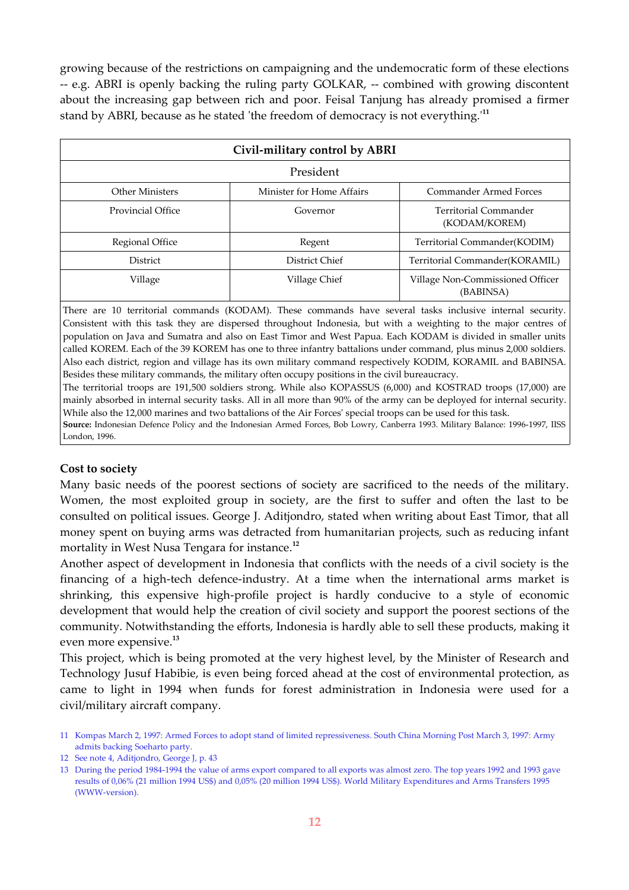growing because of the restrictions on campaigning and the undemocratic form of these elections -- e.g. ABRI is openly backing the ruling party GOLKAR, -- combined with growing discontent about the increasing gap between rich and poor. Feisal Tanjung has already promised a firmer stand by ABRI, because as he stated 'the freedom of democracy is not everything.'**<sup>11</sup>**

|                        | Civil-military control by ABRI |                                               |
|------------------------|--------------------------------|-----------------------------------------------|
|                        | President                      |                                               |
| <b>Other Ministers</b> | Minister for Home Affairs      | Commander Armed Forces                        |
| Provincial Office      | Governor                       | Territorial Commander<br>(KODAM/KOREM)        |
| Regional Office        | Regent                         | Territorial Commander(KODIM)                  |
| <b>District</b>        | District Chief                 | Territorial Commander(KORAMIL)                |
| Village                | Village Chief                  | Village Non-Commissioned Officer<br>(BABINSA) |

There are 10 territorial commands (KODAM). These commands have several tasks inclusive internal security. Consistent with this task they are dispersed throughout Indonesia, but with a weighting to the major centres of population on Java and Sumatra and also on East Timor and West Papua. Each KODAM is divided in smaller units called KOREM. Each of the 39 KOREM has one to three infantry battalions under command, plus minus 2,000 soldiers. Also each district, region and village has its own military command respectively KODIM, KORAMIL and BABINSA. Besides these military commands, the military often occupy positions in the civil bureaucracy.

The territorial troops are 191,500 soldiers strong. While also KOPASSUS (6,000) and KOSTRAD troops (17,000) are mainly absorbed in internal security tasks. All in all more than 90% of the army can be deployed for internal security. While also the 12,000 marines and two battalions of the Air Forces' special troops can be used for this task.

**Source:** Indonesian Defence Policy and the Indonesian Armed Forces, Bob Lowry, Canberra 1993. Military Balance: 1996-1997, IISS London, 1996.

#### **Cost to society**

Many basic needs of the poorest sections of society are sacrificed to the needs of the military. Women, the most exploited group in society, are the first to suffer and often the last to be consulted on political issues. George J. Aditjondro, stated when writing about East Timor, that all money spent on buying arms was detracted from humanitarian projects, such as reducing infant mortality in West Nusa Tengara for instance. **12**

Another aspect of development in Indonesia that conflicts with the needs of a civil society is the financing of a high-tech defence-industry. At a time when the international arms market is shrinking, this expensive high-profile project is hardly conducive to a style of economic development that would help the creation of civil society and support the poorest sections of the community. Notwithstanding the efforts, Indonesia is hardly able to sell these products, making it even more expensive. **13**

This project, which is being promoted at the very highest level, by the Minister of Research and Technology Jusuf Habibie, is even being forced ahead at the cost of environmental protection, as came to light in 1994 when funds for forest administration in Indonesia were used for a civil/military aircraft company.

<sup>11</sup> Kompas March 2, 1997: Armed Forces to adopt stand of limited repressiveness. South China Morning Post March 3, 1997: Army admits backing Soeharto party.

<sup>12</sup> See note 4, Aditjondro, George J, p. 43

<sup>13</sup> During the period 1984-1994 the value of arms export compared to all exports was almost zero. The top years 1992 and 1993 gave results of 0,06% (21 million 1994 US\$) and 0,05% (20 million 1994 US\$). World Military Expenditures and Arms Transfers 1995 (WWW-version).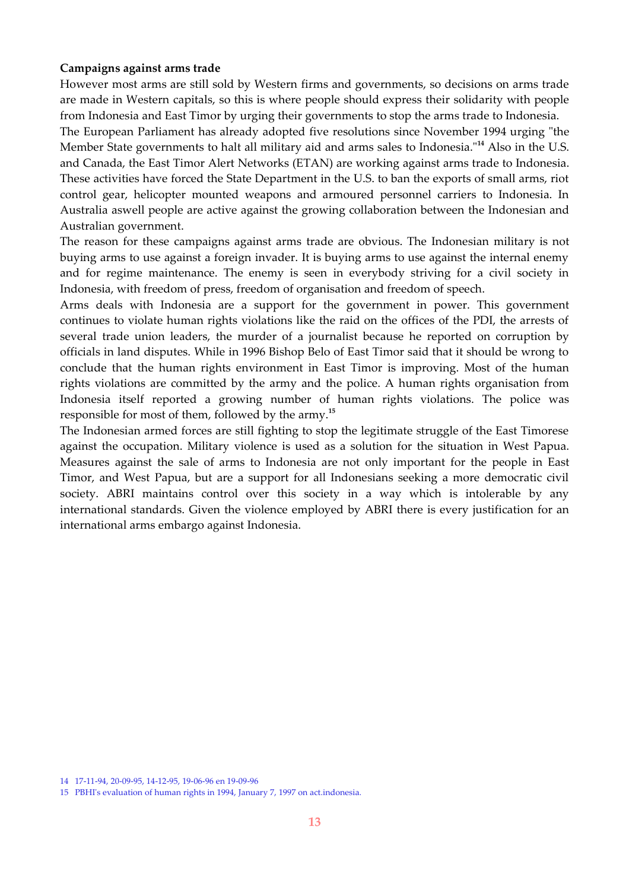#### **Campaigns against arms trade**

However most arms are still sold by Western firms and governments, so decisions on arms trade are made in Western capitals, so this is where people should express their solidarity with people from Indonesia and East Timor by urging their governments to stop the arms trade to Indonesia.

The European Parliament has already adopted five resolutions since November 1994 urging "the Member State governments to halt all military aid and arms sales to Indonesia." **<sup>14</sup>** Also in the U.S. and Canada, the East Timor Alert Networks (ETAN) are working against arms trade to Indonesia. These activities have forced the State Department in the U.S. to ban the exports of small arms, riot control gear, helicopter mounted weapons and armoured personnel carriers to Indonesia. In Australia aswell people are active against the growing collaboration between the Indonesian and Australian government.

The reason for these campaigns against arms trade are obvious. The Indonesian military is not buying arms to use against a foreign invader. It is buying arms to use against the internal enemy and for regime maintenance. The enemy is seen in everybody striving for a civil society in Indonesia, with freedom of press, freedom of organisation and freedom of speech.

Arms deals with Indonesia are a support for the government in power. This government continues to violate human rights violations like the raid on the offices of the PDI, the arrests of several trade union leaders, the murder of a journalist because he reported on corruption by officials in land disputes. While in 1996 Bishop Belo of East Timor said that it should be wrong to conclude that the human rights environment in East Timor is improving. Most of the human rights violations are committed by the army and the police. A human rights organisation from Indonesia itself reported a growing number of human rights violations. The police was responsible for most of them, followed by the army. **15**

The Indonesian armed forces are still fighting to stop the legitimate struggle of the East Timorese against the occupation. Military violence is used as a solution for the situation in West Papua. Measures against the sale of arms to Indonesia are not only important for the people in East Timor, and West Papua, but are a support for all Indonesians seeking a more democratic civil society. ABRI maintains control over this society in a way which is intolerable by any international standards. Given the violence employed by ABRI there is every justification for an international arms embargo against Indonesia.

<sup>14</sup> 17-11-94, 20-09-95, 14-12-95, 19-06-96 en 19-09-96

<sup>15</sup> PBHI's evaluation of human rights in 1994, January 7, 1997 on act.indonesia.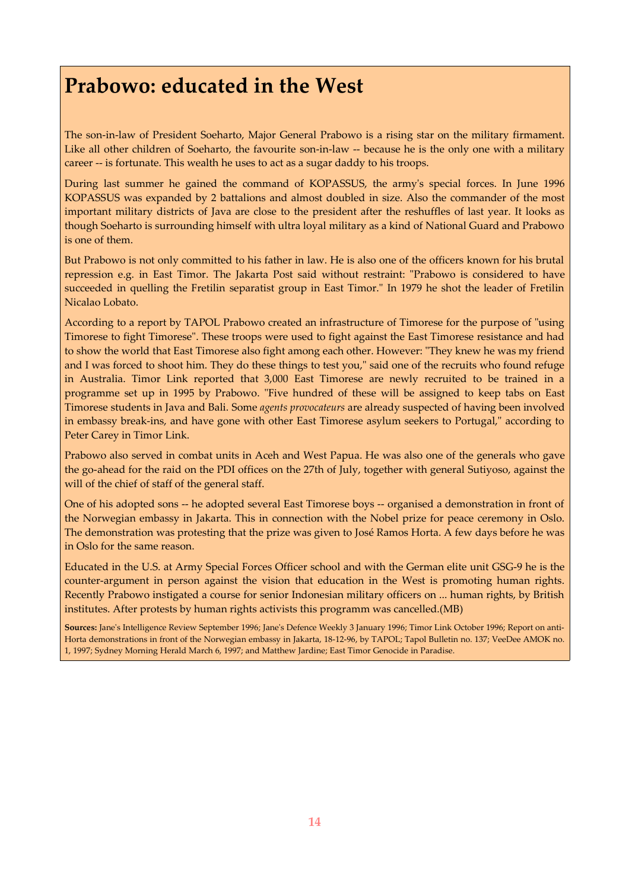### **Prabowo: educated in the West**

The son-in-law of President Soeharto, Major General Prabowo is a rising star on the military firmament. Like all other children of Soeharto, the favourite son-in-law -- because he is the only one with a military career -- is fortunate. This wealth he uses to act as a sugar daddy to his troops.

During last summer he gained the command of KOPASSUS, the army's special forces. In June 1996 KOPASSUS was expanded by 2 battalions and almost doubled in size. Also the commander of the most important military districts of Java are close to the president after the reshuffles of last year. It looks as though Soeharto is surrounding himself with ultra loyal military as a kind of National Guard and Prabowo is one of them.

But Prabowo is not only committed to his father in law. He is also one of the officers known for his brutal repression e.g. in East Timor. The Jakarta Post said without restraint: "Prabowo is considered to have succeeded in quelling the Fretilin separatist group in East Timor." In 1979 he shot the leader of Fretilin Nicalao Lobato.

According to a report by TAPOL Prabowo created an infrastructure of Timorese for the purpose of "using Timorese to fight Timorese". These troops were used to fight against the East Timorese resistance and had to show the world that East Timorese also fight among each other. However: "They knew he was my friend and I was forced to shoot him. They do these things to test you," said one of the recruits who found refuge in Australia. Timor Link reported that 3,000 East Timorese are newly recruited to be trained in a programme set up in 1995 by Prabowo. "Five hundred of these will be assigned to keep tabs on East Timorese students in Java and Bali. Some *agents provocateurs* are already suspected of having been involved in embassy break-ins, and have gone with other East Timorese asylum seekers to Portugal," according to Peter Carey in Timor Link.

Prabowo also served in combat units in Aceh and West Papua. He was also one of the generals who gave the go-ahead for the raid on the PDI offices on the 27th of July, together with general Sutiyoso, against the will of the chief of staff of the general staff.

One of his adopted sons -- he adopted several East Timorese boys -- organised a demonstration in front of the Norwegian embassy in Jakarta. This in connection with the Nobel prize for peace ceremony in Oslo. The demonstration was protesting that the prize was given to José Ramos Horta. A few days before he was in Oslo for the same reason.

Educated in the U.S. at Army Special Forces Officer school and with the German elite unit GSG-9 he is the counter-argument in person against the vision that education in the West is promoting human rights. Recently Prabowo instigated a course for senior Indonesian military officers on ... human rights, by British institutes. After protests by human rights activists this programm was cancelled.(MB)

**Sources:** Jane's Intelligence Review September 1996; Jane's Defence Weekly 3 January 1996; Timor Link October 1996; Report on anti-Horta demonstrations in front of the Norwegian embassy in Jakarta, 18-12-96, by TAPOL; Tapol Bulletin no. 137; VeeDee AMOK no. 1, 1997; Sydney Morning Herald March 6, 1997; and Matthew Jardine; East Timor Genocide in Paradise.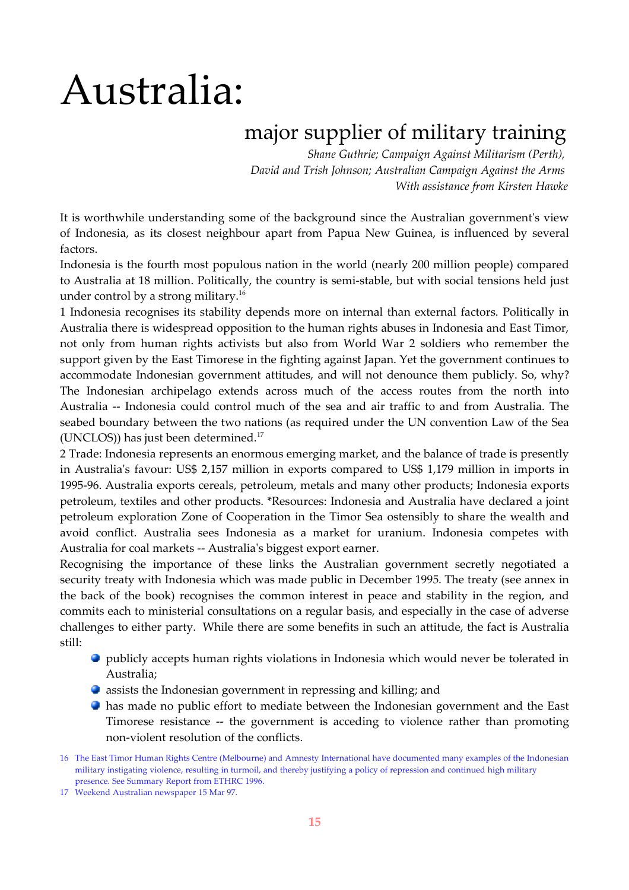## Australia:

### major supplier of military training

*Shane Guthrie; Campaign Against Militarism (Perth), David and Trish Johnson; Australian Campaign Against the Arms With assistance from Kirsten Hawke*

It is worthwhile understanding some of the background since the Australian government's view of Indonesia, as its closest neighbour apart from Papua New Guinea, is influenced by several factors.

Indonesia is the fourth most populous nation in the world (nearly 200 million people) compared to Australia at 18 million. Politically, the country is semi-stable, but with social tensions held just under control by a strong military.<sup>16</sup>

1 Indonesia recognises its stability depends more on internal than external factors. Politically in Australia there is widespread opposition to the human rights abuses in Indonesia and East Timor, not only from human rights activists but also from World War 2 soldiers who remember the support given by the East Timorese in the fighting against Japan. Yet the government continues to accommodate Indonesian government attitudes, and will not denounce them publicly. So, why? The Indonesian archipelago extends across much of the access routes from the north into Australia -- Indonesia could control much of the sea and air traffic to and from Australia. The seabed boundary between the two nations (as required under the UN convention Law of the Sea (UNCLOS)) has just been determined.<sup>17</sup>

2 Trade: Indonesia represents an enormous emerging market, and the balance of trade is presently in Australia's favour: US\$ 2,157 million in exports compared to US\$ 1,179 million in imports in 1995-96. Australia exports cereals, petroleum, metals and many other products; Indonesia exports petroleum, textiles and other products. \*Resources: Indonesia and Australia have declared a joint petroleum exploration Zone of Cooperation in the Timor Sea ostensibly to share the wealth and avoid conflict. Australia sees Indonesia as a market for uranium. Indonesia competes with Australia for coal markets -- Australia's biggest export earner.

Recognising the importance of these links the Australian government secretly negotiated a security treaty with Indonesia which was made public in December 1995. The treaty (see annex in the back of the book) recognises the common interest in peace and stability in the region, and commits each to ministerial consultations on a regular basis, and especially in the case of adverse challenges to either party. While there are some benefits in such an attitude, the fact is Australia still:

- publicly accepts human rights violations in Indonesia which would never be tolerated in Australia;
- assists the Indonesian government in repressing and killing; and
- has made no public effort to mediate between the Indonesian government and the East Timorese resistance -- the government is acceding to violence rather than promoting non-violent resolution of the conflicts.
- 16 The East Timor Human Rights Centre (Melbourne) and Amnesty International have documented many examples of the Indonesian military instigating violence, resulting in turmoil, and thereby justifying a policy of repression and continued high military presence. See Summary Report from ETHRC 1996.

<sup>17</sup> Weekend Australian newspaper 15 Mar 97.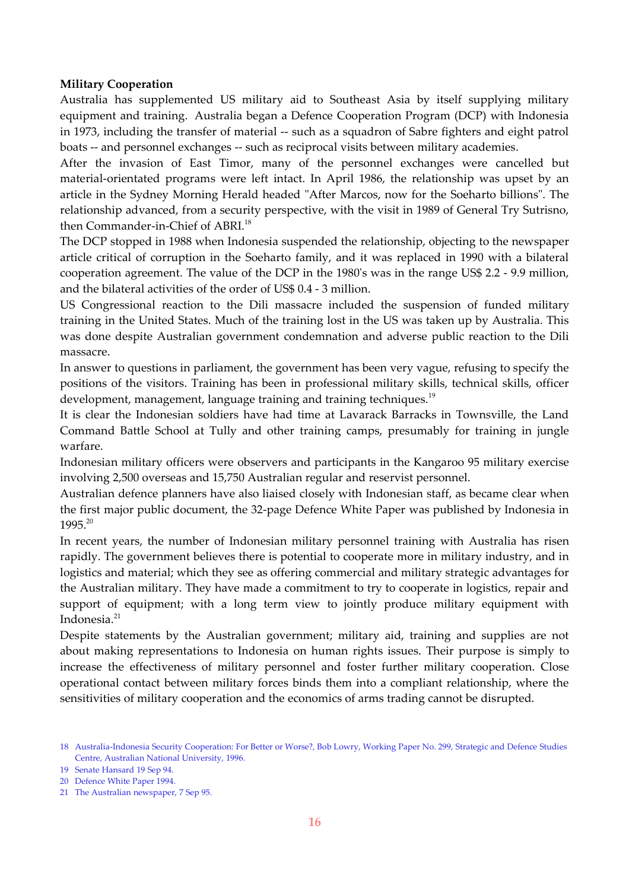#### **Military Cooperation**

Australia has supplemented US military aid to Southeast Asia by itself supplying military equipment and training. Australia began a Defence Cooperation Program (DCP) with Indonesia in 1973, including the transfer of material -- such as a squadron of Sabre fighters and eight patrol boats -- and personnel exchanges -- such as reciprocal visits between military academies.

After the invasion of East Timor, many of the personnel exchanges were cancelled but material-orientated programs were left intact. In April 1986, the relationship was upset by an article in the Sydney Morning Herald headed "After Marcos, now for the Soeharto billions". The relationship advanced, from a security perspective, with the visit in 1989 of General Try Sutrisno, then Commander-in-Chief of ABRI.<sup>18</sup>

The DCP stopped in 1988 when Indonesia suspended the relationship, objecting to the newspaper article critical of corruption in the Soeharto family, and it was replaced in 1990 with a bilateral cooperation agreement. The value of the DCP in the 1980's was in the range US\$ 2.2 - 9.9 million, and the bilateral activities of the order of US\$ 0.4 - 3 million.

US Congressional reaction to the Dili massacre included the suspension of funded military training in the United States. Much of the training lost in the US was taken up by Australia. This was done despite Australian government condemnation and adverse public reaction to the Dili massacre.

In answer to questions in parliament, the government has been very vague, refusing to specify the positions of the visitors. Training has been in professional military skills, technical skills, officer development, management, language training and training techniques.<sup>19</sup>

It is clear the Indonesian soldiers have had time at Lavarack Barracks in Townsville, the Land Command Battle School at Tully and other training camps, presumably for training in jungle warfare.

Indonesian military officers were observers and participants in the Kangaroo 95 military exercise involving 2,500 overseas and 15,750 Australian regular and reservist personnel.

Australian defence planners have also liaised closely with Indonesian staff, as became clear when the first major public document, the 32-page Defence White Paper was published by Indonesia in 1995. 20

In recent years, the number of Indonesian military personnel training with Australia has risen rapidly. The government believes there is potential to cooperate more in military industry, and in logistics and material; which they see as offering commercial and military strategic advantages for the Australian military. They have made a commitment to try to cooperate in logistics, repair and support of equipment; with a long term view to jointly produce military equipment with Indonesia. 21

Despite statements by the Australian government; military aid, training and supplies are not about making representations to Indonesia on human rights issues. Their purpose is simply to increase the effectiveness of military personnel and foster further military cooperation. Close operational contact between military forces binds them into a compliant relationship, where the sensitivities of military cooperation and the economics of arms trading cannot be disrupted.

<sup>18</sup> Australia-Indonesia Security Cooperation: For Better or Worse?, Bob Lowry, Working Paper No. 299, Strategic and Defence Studies Centre, Australian National University, 1996.

<sup>19</sup> Senate Hansard 19 Sep 94.

<sup>20</sup> Defence White Paper 1994.

<sup>21</sup> The Australian newspaper, 7 Sep 95.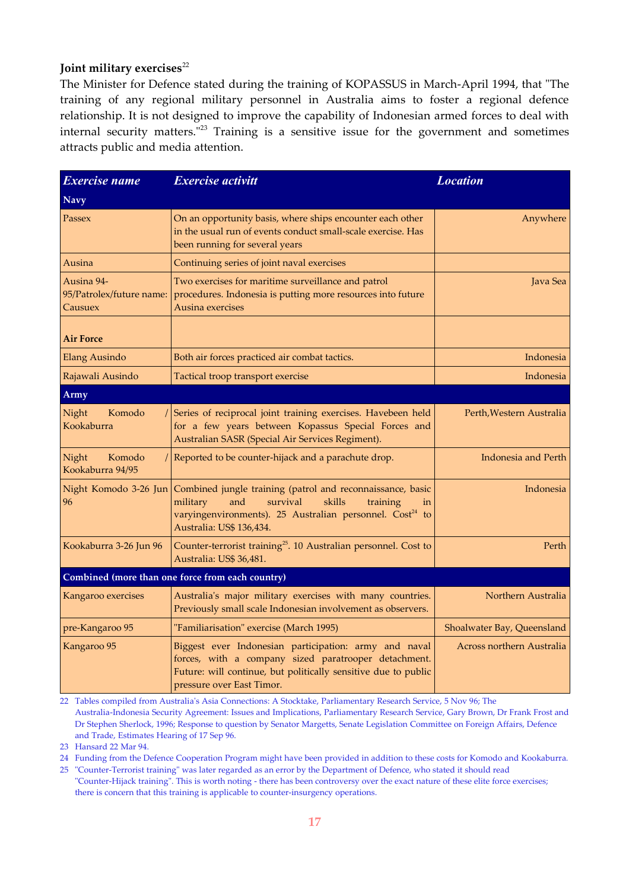#### **Joint military exercises** 22

The Minister for Defence stated during the training of KOPASSUS in March-April 1994, that "The training of any regional military personnel in Australia aims to foster a regional defence relationship. It is not designed to improve the capability of Indonesian armed forces to deal with internal security matters."<sup>23</sup> Training is a sensitive issue for the government and sometimes attracts public and media attention.

| <b>Exercise</b> name                              | <b>Exercise</b> activitt                                                                                                                                                                                                  | <b>Location</b>            |
|---------------------------------------------------|---------------------------------------------------------------------------------------------------------------------------------------------------------------------------------------------------------------------------|----------------------------|
| <b>Navy</b>                                       |                                                                                                                                                                                                                           |                            |
| Passex                                            | On an opportunity basis, where ships encounter each other<br>in the usual run of events conduct small-scale exercise. Has<br>been running for several years                                                               | Anywhere                   |
| Ausina                                            | Continuing series of joint naval exercises                                                                                                                                                                                |                            |
| Ausina 94-<br>95/Patrolex/future name:<br>Causuex | Two exercises for maritime surveillance and patrol<br>procedures. Indonesia is putting more resources into future<br>Ausina exercises                                                                                     | Java Sea                   |
| <b>Air Force</b>                                  |                                                                                                                                                                                                                           |                            |
| <b>Elang Ausindo</b>                              | Both air forces practiced air combat tactics.                                                                                                                                                                             | Indonesia                  |
| Rajawali Ausindo                                  | Tactical troop transport exercise                                                                                                                                                                                         | Indonesia                  |
| <b>Army</b>                                       |                                                                                                                                                                                                                           |                            |
| Night<br>Komodo<br>Kookaburra                     | Series of reciprocal joint training exercises. Havebeen held<br>for a few years between Kopassus Special Forces and<br>Australian SASR (Special Air Services Regiment).                                                   | Perth, Western Australia   |
| Night<br>Komodo<br>Kookaburra 94/95               | Reported to be counter-hijack and a parachute drop.                                                                                                                                                                       | <b>Indonesia and Perth</b> |
| Night Komodo 3-26 Jun<br>96                       | Combined jungle training (patrol and reconnaissance, basic<br>skills<br>military<br>and<br>survival<br>training<br>in<br>varyingenvironments). 25 Australian personnel. Cost <sup>24</sup> to<br>Australia: US\$ 136,434. | Indonesia                  |
| Kookaburra 3-26 Jun 96                            | Counter-terrorist training <sup>25</sup> . 10 Australian personnel. Cost to<br>Australia: US\$ 36,481.                                                                                                                    | Perth                      |
|                                                   | Combined (more than one force from each country)                                                                                                                                                                          |                            |
| Kangaroo exercises                                | Australia's major military exercises with many countries.<br>Previously small scale Indonesian involvement as observers.                                                                                                  | Northern Australia         |
| pre-Kangaroo 95                                   | "Familiarisation" exercise (March 1995)                                                                                                                                                                                   | Shoalwater Bay, Queensland |
| Kangaroo 95                                       | Biggest ever Indonesian participation: army and naval<br>forces, with a company sized paratrooper detachment.<br>Future: will continue, but politically sensitive due to public<br>pressure over East Timor.              | Across northern Australia  |

22 Tables compiled from Australia's Asia Connections: A Stocktake, Parliamentary Research Service, 5 Nov 96; The

Australia-Indonesia Security Agreement: Issues and Implications, Parliamentary Research Service, Gary Brown, Dr Frank Frost and Dr Stephen Sherlock, 1996; Response to question by Senator Margetts, Senate Legislation Committee on Foreign Affairs, Defence and Trade, Estimates Hearing of 17 Sep 96.

23 Hansard 22 Mar 94.

24 Funding from the Defence Cooperation Program might have been provided in addition to these costs for Komodo and Kookaburra.

25 "Counter-Terrorist training" was later regarded as an error by the Department of Defence, who stated it should read "Counter-Hijack training". This is worth noting - there has been controversy over the exact nature of these elite force exercises; there is concern that this training is applicable to counter-insurgency operations.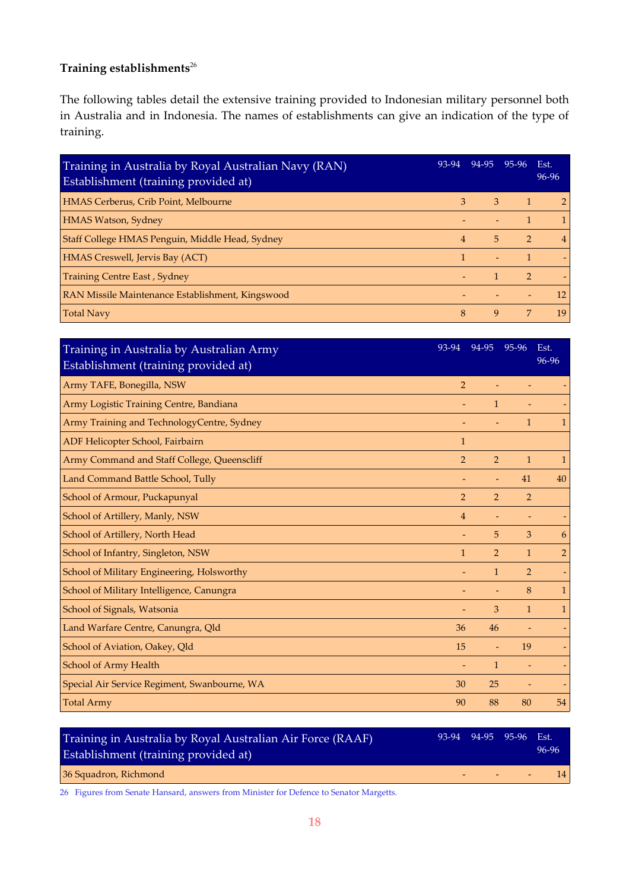#### **Training establishments** 26

The following tables detail the extensive training provided to Indonesian military personnel both in Australia and in Indonesia. The names of establishments can give an indication of the type of training.

| Training in Australia by Royal Australian Navy (RAN)<br>Establishment (training provided at) | 93-94 | 94-95 95-96 |               | Est.<br>96-96  |
|----------------------------------------------------------------------------------------------|-------|-------------|---------------|----------------|
| <b>HMAS Cerberus, Crib Point, Melbourne</b>                                                  | 3     | 3           |               |                |
| <b>HMAS Watson, Sydney</b>                                                                   |       |             |               |                |
| Staff College HMAS Penguin, Middle Head, Sydney                                              | 4     | 5.          | $\mathcal{P}$ | $\overline{4}$ |
| HMAS Creswell, Jervis Bay (ACT)                                                              |       |             |               |                |
| <b>Training Centre East, Sydney</b>                                                          |       |             | $\mathcal{P}$ |                |
| RAN Missile Maintenance Establishment, Kingswood                                             |       |             |               | 12             |
| <b>Total Navy</b>                                                                            | 8     | 9           | 7             | 19             |

| Training in Australia by Australian Army<br>Establishment (training provided at) | 93-94          | 94-95          | 95-96          | Est.<br>96-96  |
|----------------------------------------------------------------------------------|----------------|----------------|----------------|----------------|
| Army TAFE, Bonegilla, NSW                                                        | $\overline{2}$ |                |                |                |
| Army Logistic Training Centre, Bandiana                                          |                | $\mathbf{1}$   |                |                |
| Army Training and TechnologyCentre, Sydney                                       |                |                | 1              |                |
| ADF Helicopter School, Fairbairn                                                 | $\mathbf{1}$   |                |                |                |
| Army Command and Staff College, Queenscliff                                      | $\overline{2}$ | $\overline{2}$ | $\mathbf{1}$   | $\mathbf{1}$   |
| Land Command Battle School, Tully                                                |                |                | 41             | 40             |
| School of Armour, Puckapunyal                                                    | $\mathcal{P}$  | $\overline{2}$ | $\overline{2}$ |                |
| School of Artillery, Manly, NSW                                                  | 4              |                |                |                |
| School of Artillery, North Head                                                  |                | 5              | 3              | 6              |
| School of Infantry, Singleton, NSW                                               | $\mathbf{1}$   | $\overline{2}$ | $\mathbf{1}$   | $\overline{2}$ |
| School of Military Engineering, Holsworthy                                       |                | $\mathbf{1}$   | $\overline{2}$ |                |
| School of Military Intelligence, Canungra                                        |                |                | 8              | $\mathbf{1}$   |
| School of Signals, Watsonia                                                      |                | 3              | $\mathbf{1}$   | $\mathbf{1}$   |
| Land Warfare Centre, Canungra, Qld                                               | 36             | 46             |                |                |
| School of Aviation, Oakey, Qld                                                   | 15             |                | 19             |                |
| School of Army Health                                                            |                | $\mathbf{1}$   |                |                |
| Special Air Service Regiment, Swanbourne, WA                                     | 30             | 25             |                |                |
| <b>Total Army</b>                                                                | 90             | 88             | 80             | 54             |

| Training in Australia by Royal Australian Air Force (RAAF)<br>Establishment (training provided at) |  | 93-94 94-95 95-96 Est. | 96-96 |
|----------------------------------------------------------------------------------------------------|--|------------------------|-------|
| 36 Squadron, Richmond                                                                              |  |                        | 14    |

26 Figures from Senate Hansard, answers from Minister for Defence to Senator Margetts.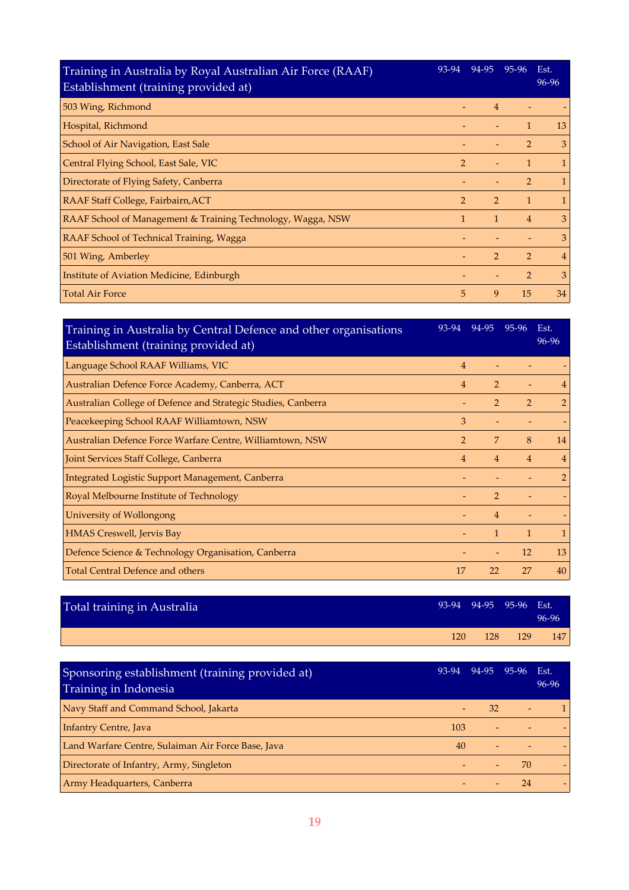| Training in Australia by Royal Australian Air Force (RAAF)<br>Establishment (training provided at) | 93-94          | 94-95         | 95-96          | Est.<br>96-96  |
|----------------------------------------------------------------------------------------------------|----------------|---------------|----------------|----------------|
| 503 Wing, Richmond                                                                                 |                | 4             |                |                |
| Hospital, Richmond                                                                                 |                |               | $\mathbf{1}$   | 13             |
| School of Air Navigation, East Sale                                                                |                |               | 2              | 3              |
| Central Flying School, East Sale, VIC                                                              | $\overline{2}$ |               | $\mathbf{1}$   | $\mathbf{1}$   |
| Directorate of Flying Safety, Canberra                                                             |                |               | $\mathcal{P}$  | $\mathbf{1}$   |
| RAAF Staff College, Fairbairn, ACT                                                                 | $\overline{2}$ | $\mathcal{P}$ | $\mathbf{1}$   | $\mathbf{1}$   |
| RAAF School of Management & Training Technology, Wagga, NSW                                        | 1              | $\mathbf{1}$  | $\overline{4}$ | 3              |
| RAAF School of Technical Training, Wagga                                                           |                |               |                | 3              |
| 501 Wing, Amberley                                                                                 |                | $\mathcal{P}$ | $\mathcal{P}$  | $\overline{4}$ |
| Institute of Aviation Medicine, Edinburgh                                                          |                |               | $\overline{2}$ | 3              |
| <b>Total Air Force</b>                                                                             | 5              | 9             | 15             | 34             |

| Training in Australia by Central Defence and other organisations<br>Establishment (training provided at) | 93-94          | 94-95         | 95-96         | Est.<br>96-96  |
|----------------------------------------------------------------------------------------------------------|----------------|---------------|---------------|----------------|
| Language School RAAF Williams, VIC                                                                       | $\overline{4}$ |               |               |                |
| Australian Defence Force Academy, Canberra, ACT                                                          | $\overline{4}$ | 2             |               |                |
| Australian College of Defence and Strategic Studies, Canberra                                            |                | $\mathcal{P}$ | $\mathcal{P}$ | $\overline{2}$ |
| Peacekeeping School RAAF Williamtown, NSW                                                                | 3              |               |               |                |
| Australian Defence Force Warfare Centre, Williamtown, NSW                                                | $\overline{2}$ | 7             | 8             | 14             |
| Joint Services Staff College, Canberra                                                                   | 4              | 4             | 4             | 4              |
| Integrated Logistic Support Management, Canberra                                                         |                |               |               |                |
| Royal Melbourne Institute of Technology                                                                  |                | $\mathcal{P}$ |               |                |
| <b>University of Wollongong</b>                                                                          |                | 4             |               |                |
| <b>HMAS Creswell, Jervis Bay</b>                                                                         |                | 1             | $\mathbf{1}$  | 1              |
| Defence Science & Technology Organisation, Canberra                                                      |                |               | 12            | 13             |
| <b>Total Central Defence and others</b>                                                                  | 17             | 22            | 27            | 40             |

| Total training in Australia |     |     | 93-94 94-95 95-96 Est. | 96-96 |
|-----------------------------|-----|-----|------------------------|-------|
|                             | 120 | 128 | <b>129</b>             | 147   |

| Sponsoring establishment (training provided at)<br>Training in Indonesia |     | 93-94 94-95 95-96 |                          | Est.<br>96-96 |
|--------------------------------------------------------------------------|-----|-------------------|--------------------------|---------------|
| Navy Staff and Command School, Jakarta                                   |     | 32                | $\overline{\phantom{0}}$ |               |
| <b>Infantry Centre, Java</b>                                             | 103 |                   |                          |               |
| Land Warfare Centre, Sulaiman Air Force Base, Java                       | 40  |                   |                          |               |
| Directorate of Infantry, Army, Singleton                                 |     |                   | 70                       |               |
| Army Headquarters, Canberra                                              |     |                   | 24                       |               |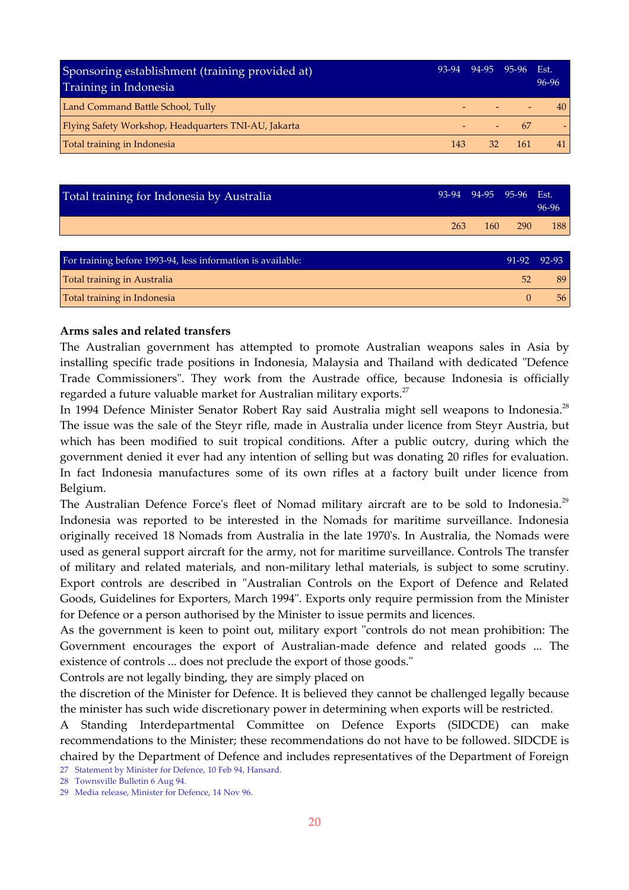| Sponsoring establishment (training provided at)<br>Training in Indonesia |     |    | 93-94 94-95 95-96 Est. | 96-96                    |
|--------------------------------------------------------------------------|-----|----|------------------------|--------------------------|
| Land Command Battle School, Tully                                        |     |    |                        | 40                       |
| Flying Safety Workshop, Headquarters TNI-AU, Jakarta                     |     |    | -67                    | $\overline{\phantom{a}}$ |
| Total training in Indonesia                                              | 143 | 32 | 161                    | 41                       |

| Total training for Indonesia by Australia                   |     | 93-94 94-95 95-96 Est. |            | 96-96 |
|-------------------------------------------------------------|-----|------------------------|------------|-------|
|                                                             | 263 | 160                    | <b>290</b> | 188   |
|                                                             |     |                        |            |       |
| For training before 1993-94, less information is available: |     |                        | $91-92$    | 92-93 |
| Total training in Australia                                 |     |                        | 52         | 89    |
| Total training in Indonesia                                 |     |                        | $\Omega$   | 56    |

#### **Arms sales and related transfers**

The Australian government has attempted to promote Australian weapons sales in Asia by installing specific trade positions in Indonesia, Malaysia and Thailand with dedicated "Defence Trade Commissioners". They work from the Austrade office, because Indonesia is officially regarded a future valuable market for Australian military exports.<sup>27</sup>

In 1994 Defence Minister Senator Robert Ray said Australia might sell weapons to Indonesia.<sup>28</sup> The issue was the sale of the Steyr rifle, made in Australia under licence from Steyr Austria, but which has been modified to suit tropical conditions. After a public outcry, during which the government denied it ever had any intention of selling but was donating 20 rifles for evaluation. In fact Indonesia manufactures some of its own rifles at a factory built under licence from Belgium.

The Australian Defence Force's fleet of Nomad military aircraft are to be sold to Indonesia.<sup>29</sup> Indonesia was reported to be interested in the Nomads for maritime surveillance. Indonesia originally received 18 Nomads from Australia in the late 1970's. In Australia, the Nomads were used as general support aircraft for the army, not for maritime surveillance. Controls The transfer of military and related materials, and non-military lethal materials, is subject to some scrutiny. Export controls are described in "Australian Controls on the Export of Defence and Related Goods, Guidelines for Exporters, March 1994". Exports only require permission from the Minister for Defence or a person authorised by the Minister to issue permits and licences.

As the government is keen to point out, military export "controls do not mean prohibition: The Government encourages the export of Australian-made defence and related goods ... The existence of controls ... does not preclude the export of those goods."

Controls are not legally binding, they are simply placed on

the discretion of the Minister for Defence. It is believed they cannot be challenged legally because the minister has such wide discretionary power in determining when exports will be restricted.

A Standing Interdepartmental Committee on Defence Exports (SIDCDE) can make recommendations to the Minister; these recommendations do not have to be followed. SIDCDE is chaired by the Department of Defence and includes representatives of the Department of Foreign

27 Statement by Minister for Defence, 10 Feb 94, Hansard.

28 Townsville Bulletin 6 Aug 94.

<sup>29</sup> Media release, Minister for Defence, 14 Nov 96.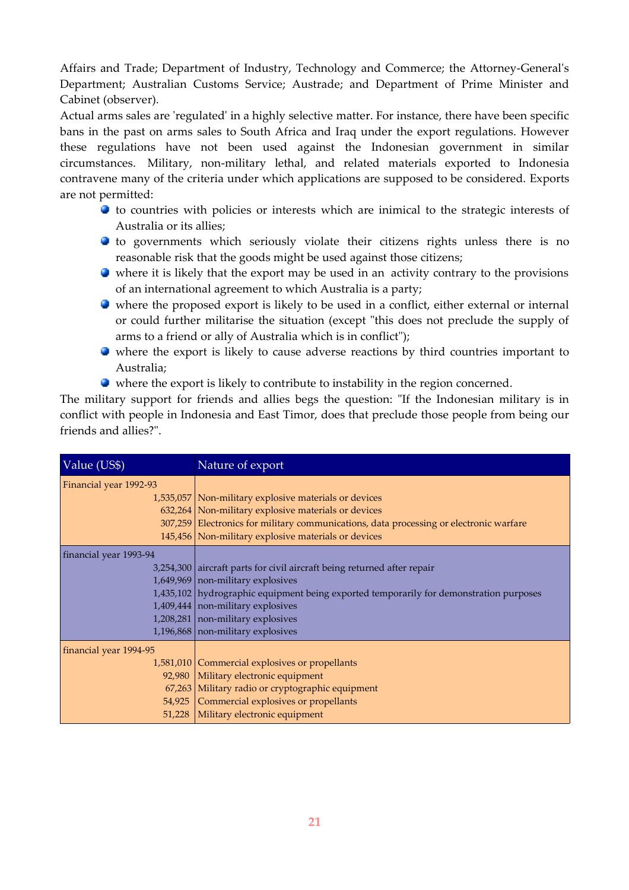Affairs and Trade; Department of Industry, Technology and Commerce; the Attorney-General's Department; Australian Customs Service; Austrade; and Department of Prime Minister and Cabinet (observer).

Actual arms sales are 'regulated' in a highly selective matter. For instance, there have been specific bans in the past on arms sales to South Africa and Iraq under the export regulations. However these regulations have not been used against the Indonesian government in similar circumstances. Military, non-military lethal, and related materials exported to Indonesia contravene many of the criteria under which applications are supposed to be considered. Exports are not permitted:

- to countries with policies or interests which are inimical to the strategic interests of Australia or its allies;
- to governments which seriously violate their citizens rights unless there is no reasonable risk that the goods might be used against those citizens;
- where it is likely that the export may be used in an activity contrary to the provisions of an international agreement to which Australia is a party;
- where the proposed export is likely to be used in a conflict, either external or internal or could further militarise the situation (except "this does not preclude the supply of arms to a friend or ally of Australia which is in conflict");
- where the export is likely to cause adverse reactions by third countries important to Australia;
- where the export is likely to contribute to instability in the region concerned.

The military support for friends and allies begs the question: "If the Indonesian military is in conflict with people in Indonesia and East Timor, does that preclude those people from being our friends and allies?".

| Value (US\$)           | Nature of export                                                                       |
|------------------------|----------------------------------------------------------------------------------------|
| Financial year 1992-93 |                                                                                        |
|                        | 1,535,057   Non-military explosive materials or devices                                |
|                        | 632,264 Non-military explosive materials or devices                                    |
|                        | 307,259 Electronics for military communications, data processing or electronic warfare |
|                        | 145,456 Non-military explosive materials or devices                                    |
| financial year 1993-94 |                                                                                        |
|                        | 3,254,300 aircraft parts for civil aircraft being returned after repair                |
|                        | $1,649,969$ non-military explosives                                                    |
|                        | 1,435,102 hydrographic equipment being exported temporarily for demonstration purposes |
|                        | $1,409,444$ non-military explosives                                                    |
|                        | 1,208,281   non-military explosives                                                    |
|                        | 1,196,868   non-military explosives                                                    |
| financial year 1994-95 |                                                                                        |
|                        | 1,581,010 Commercial explosives or propellants                                         |
|                        | 92,980 Military electronic equipment                                                   |
|                        | $67,263$ Military radio or cryptographic equipment                                     |
|                        | 54,925 Commercial explosives or propellants                                            |
|                        | 51,228 Military electronic equipment                                                   |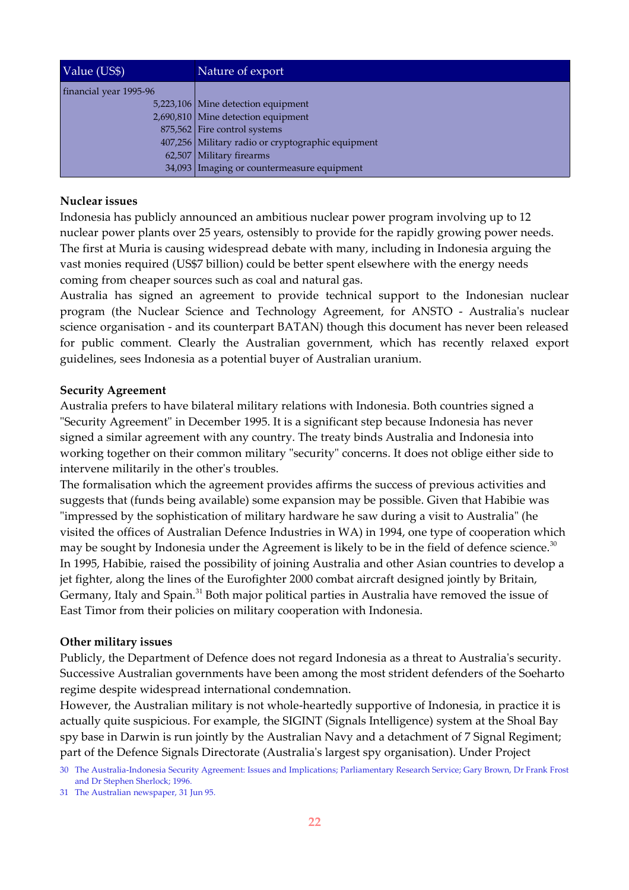| Value (US\$)           | Nature of export                                  |
|------------------------|---------------------------------------------------|
| financial year 1995-96 |                                                   |
|                        | 5,223,106   Mine detection equipment              |
|                        | $2,690,810$ Mine detection equipment              |
|                        | 875,562 Fire control systems                      |
|                        | 407,256 Military radio or cryptographic equipment |
|                        | 62,507 Military firearms                          |
|                        | 34,093 Imaging or countermeasure equipment        |

#### **Nuclear issues**

Indonesia has publicly announced an ambitious nuclear power program involving up to 12 nuclear power plants over 25 years, ostensibly to provide for the rapidly growing power needs. The first at Muria is causing widespread debate with many, including in Indonesia arguing the vast monies required (US\$7 billion) could be better spent elsewhere with the energy needs coming from cheaper sources such as coal and natural gas.

Australia has signed an agreement to provide technical support to the Indonesian nuclear program (the Nuclear Science and Technology Agreement, for ANSTO - Australia's nuclear science organisation - and its counterpart BATAN) though this document has never been released for public comment. Clearly the Australian government, which has recently relaxed export guidelines, sees Indonesia as a potential buyer of Australian uranium.

#### **Security Agreement**

Australia prefers to have bilateral military relations with Indonesia. Both countries signed a "Security Agreement" in December 1995. It is a significant step because Indonesia has never signed a similar agreement with any country. The treaty binds Australia and Indonesia into working together on their common military "security" concerns. It does not oblige either side to intervene militarily in the other's troubles.

The formalisation which the agreement provides affirms the success of previous activities and suggests that (funds being available) some expansion may be possible. Given that Habibie was "impressed by the sophistication of military hardware he saw during a visit to Australia" (he visited the offices of Australian Defence Industries in WA) in 1994, one type of cooperation which may be sought by Indonesia under the Agreement is likely to be in the field of defence science.<sup>30</sup> In 1995, Habibie, raised the possibility of joining Australia and other Asian countries to develop a jet fighter, along the lines of the Eurofighter 2000 combat aircraft designed jointly by Britain, Germany, Italy and Spain.<sup>31</sup> Both major political parties in Australia have removed the issue of East Timor from their policies on military cooperation with Indonesia.

#### **Other military issues**

Publicly, the Department of Defence does not regard Indonesia as a threat to Australia's security. Successive Australian governments have been among the most strident defenders of the Soeharto regime despite widespread international condemnation.

However, the Australian military is not whole-heartedly supportive of Indonesia, in practice it is actually quite suspicious. For example, the SIGINT (Signals Intelligence) system at the Shoal Bay spy base in Darwin is run jointly by the Australian Navy and a detachment of 7 Signal Regiment; part of the Defence Signals Directorate (Australia's largest spy organisation). Under Project

<sup>30</sup> The Australia-Indonesia Security Agreement: Issues and Implications; Parliamentary Research Service; Gary Brown, Dr Frank Frost and Dr Stephen Sherlock; 1996.

<sup>31</sup> The Australian newspaper, 31 Jun 95.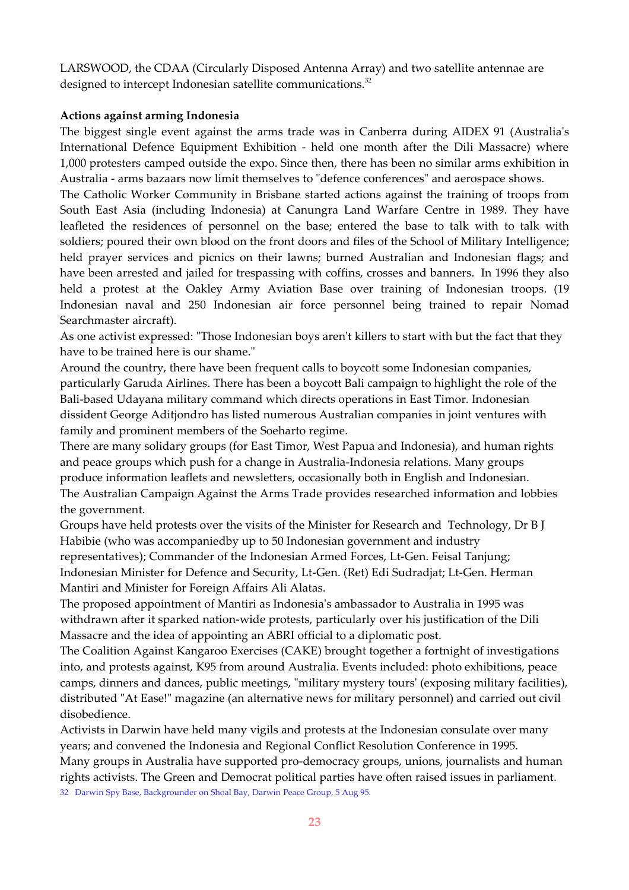LARSWOOD, the CDAA (Circularly Disposed Antenna Array) and two satellite antennae are designed to intercept Indonesian satellite communications.<sup>32</sup>

#### **Actions against arming Indonesia**

The biggest single event against the arms trade was in Canberra during AIDEX 91 (Australia's International Defence Equipment Exhibition - held one month after the Dili Massacre) where 1,000 protesters camped outside the expo. Since then, there has been no similar arms exhibition in Australia - arms bazaars now limit themselves to "defence conferences" and aerospace shows.

The Catholic Worker Community in Brisbane started actions against the training of troops from South East Asia (including Indonesia) at Canungra Land Warfare Centre in 1989. They have leafleted the residences of personnel on the base; entered the base to talk with to talk with soldiers; poured their own blood on the front doors and files of the School of Military Intelligence; held prayer services and picnics on their lawns; burned Australian and Indonesian flags; and have been arrested and jailed for trespassing with coffins, crosses and banners. In 1996 they also held a protest at the Oakley Army Aviation Base over training of Indonesian troops. (19 Indonesian naval and 250 Indonesian air force personnel being trained to repair Nomad Searchmaster aircraft).

As one activist expressed: "Those Indonesian boys aren't killers to start with but the fact that they have to be trained here is our shame."

Around the country, there have been frequent calls to boycott some Indonesian companies, particularly Garuda Airlines. There has been a boycott Bali campaign to highlight the role of the Bali-based Udayana military command which directs operations in East Timor. Indonesian dissident George Aditjondro has listed numerous Australian companies in joint ventures with family and prominent members of the Soeharto regime.

There are many solidary groups (for East Timor, West Papua and Indonesia), and human rights and peace groups which push for a change in Australia-Indonesia relations. Many groups produce information leaflets and newsletters, occasionally both in English and Indonesian. The Australian Campaign Against the Arms Trade provides researched information and lobbies the government.

Groups have held protests over the visits of the Minister for Research and Technology, Dr B J Habibie (who was accompaniedby up to 50 Indonesian government and industry representatives); Commander of the Indonesian Armed Forces, Lt-Gen. Feisal Tanjung; Indonesian Minister for Defence and Security, Lt-Gen. (Ret) Edi Sudradjat; Lt-Gen. Herman Mantiri and Minister for Foreign Affairs Ali Alatas.

The proposed appointment of Mantiri as Indonesia's ambassador to Australia in 1995 was withdrawn after it sparked nation-wide protests, particularly over his justification of the Dili Massacre and the idea of appointing an ABRI official to a diplomatic post.

The Coalition Against Kangaroo Exercises (CAKE) brought together a fortnight of investigations into, and protests against, K95 from around Australia. Events included: photo exhibitions, peace camps, dinners and dances, public meetings, "military mystery tours' (exposing military facilities), distributed "At Ease!" magazine (an alternative news for military personnel) and carried out civil disobedience.

Activists in Darwin have held many vigils and protests at the Indonesian consulate over many years; and convened the Indonesia and Regional Conflict Resolution Conference in 1995. Many groups in Australia have supported pro-democracy groups, unions, journalists and human rights activists. The Green and Democrat political parties have often raised issues in parliament. 32 Darwin Spy Base, Backgrounder on Shoal Bay, Darwin Peace Group, 5 Aug 95.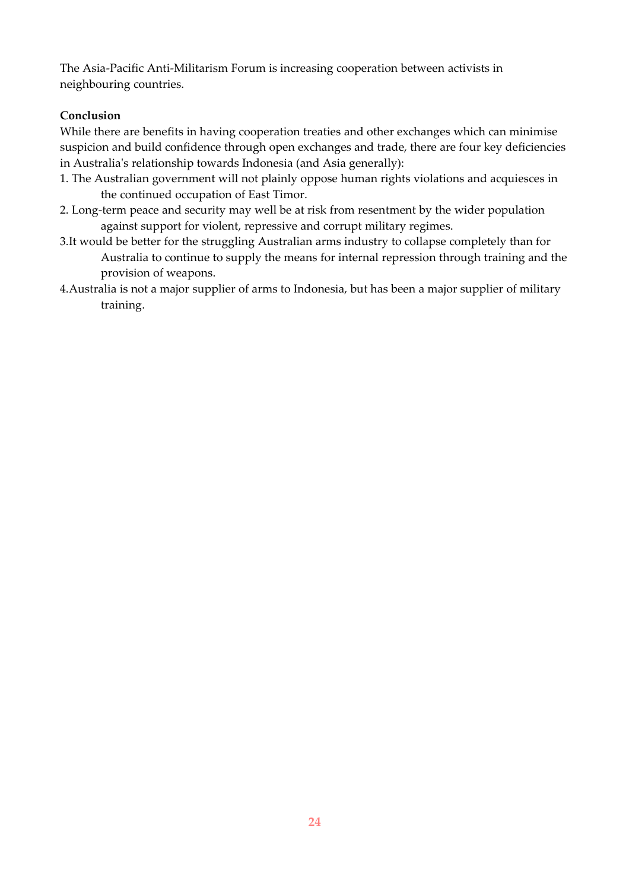The Asia-Pacific Anti-Militarism Forum is increasing cooperation between activists in neighbouring countries.

#### **Conclusion**

While there are benefits in having cooperation treaties and other exchanges which can minimise suspicion and build confidence through open exchanges and trade, there are four key deficiencies in Australia's relationship towards Indonesia (and Asia generally):

- 1. The Australian government will not plainly oppose human rights violations and acquiesces in the continued occupation of East Timor.
- 2. Long-term peace and security may well be at risk from resentment by the wider population against support for violent, repressive and corrupt military regimes.
- 3.It would be better for the struggling Australian arms industry to collapse completely than for Australia to continue to supply the means for internal repression through training and the provision of weapons.
- 4.Australia is not a major supplier of arms to Indonesia, but has been a major supplier of military training.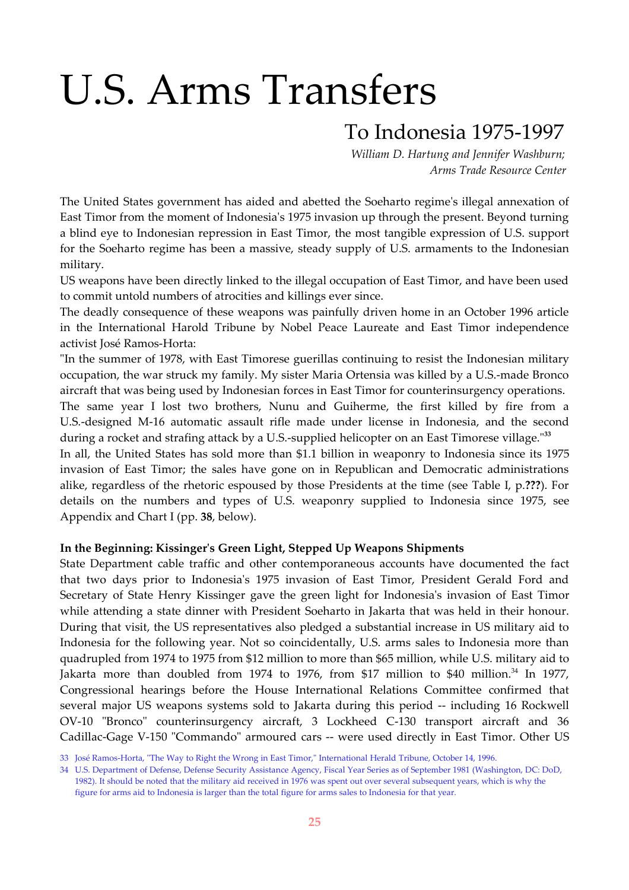## U.S. Arms Transfers

### To Indonesia 1975-1997

*William D. Hartung and Jennifer Washburn; Arms Trade Resource Center*

The United States government has aided and abetted the Soeharto regime's illegal annexation of East Timor from the moment of Indonesia's 1975 invasion up through the present. Beyond turning a blind eye to Indonesian repression in East Timor, the most tangible expression of U.S. support for the Soeharto regime has been a massive, steady supply of U.S. armaments to the Indonesian military.

US weapons have been directly linked to the illegal occupation of East Timor, and have been used to commit untold numbers of atrocities and killings ever since.

The deadly consequence of these weapons was painfully driven home in an October 1996 article in the International Harold Tribune by Nobel Peace Laureate and East Timor independence activist José Ramos-Horta:

"In the summer of 1978, with East Timorese guerillas continuing to resist the Indonesian military occupation, the war struck my family. My sister Maria Ortensia was killed by a U.S.-made Bronco aircraft that was being used by Indonesian forces in East Timor for counterinsurgency operations.

The same year I lost two brothers, Nunu and Guiherme, the first killed by fire from a U.S.-designed M-16 automatic assault rifle made under license in Indonesia, and the second during a rocket and strafing attack by a U.S.-supplied helicopter on an East Timorese village." **33**

In all, the United States has sold more than \$1.1 billion in weaponry to Indonesia since its 1975 invasion of East Timor; the sales have gone on in Republican and Democratic administrations alike, regardless of the rhetoric espoused by those Presidents at the time (see Table I, p.**???**). For details on the numbers and types of U.S. weaponry supplied to Indonesia since 1975, see Appendix and Chart I (pp. **38**, below).

#### **In the Beginning: Kissinger's Green Light, Stepped Up Weapons Shipments**

State Department cable traffic and other contemporaneous accounts have documented the fact that two days prior to Indonesia's 1975 invasion of East Timor, President Gerald Ford and Secretary of State Henry Kissinger gave the green light for Indonesia's invasion of East Timor while attending a state dinner with President Soeharto in Jakarta that was held in their honour. During that visit, the US representatives also pledged a substantial increase in US military aid to Indonesia for the following year. Not so coincidentally, U.S. arms sales to Indonesia more than quadrupled from 1974 to 1975 from \$12 million to more than \$65 million, while U.S. military aid to Jakarta more than doubled from 1974 to 1976, from \$17 million to \$40 million.<sup>34</sup> In 1977, Congressional hearings before the House International Relations Committee confirmed that several major US weapons systems sold to Jakarta during this period -- including 16 Rockwell OV-10 "Bronco" counterinsurgency aircraft, 3 Lockheed C-130 transport aircraft and 36 Cadillac-Gage V-150 "Commando" armoured cars -- were used directly in East Timor. Other US

<sup>33</sup> José Ramos-Horta, "The Way to Right the Wrong in East Timor," International Herald Tribune, October 14, 1996.

<sup>34</sup> U.S. Department of Defense, Defense Security Assistance Agency, Fiscal Year Series as of September 1981 (Washington, DC: DoD, 1982). It should be noted that the military aid received in 1976 was spent out over several subsequent years, which is why the figure for arms aid to Indonesia is larger than the total figure for arms sales to Indonesia for that year.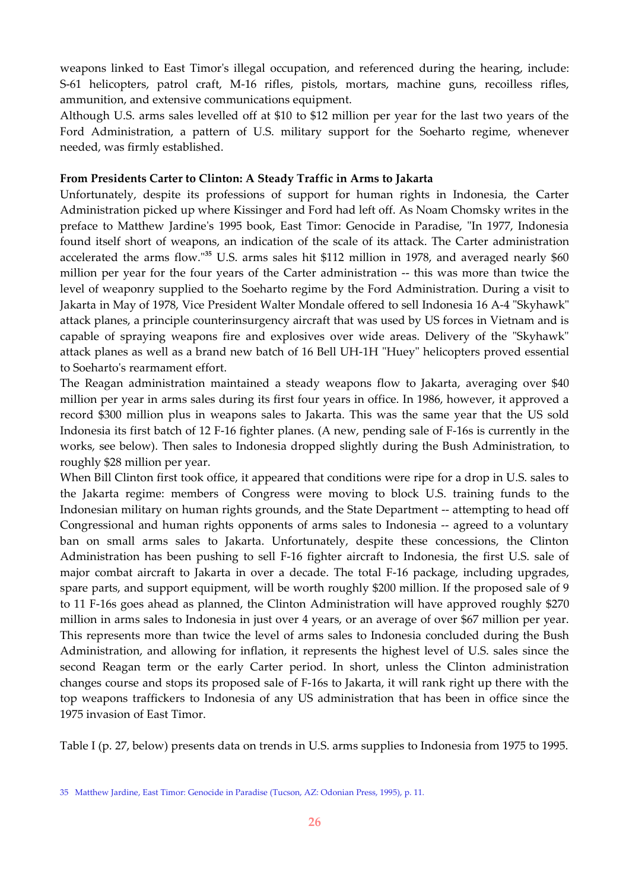weapons linked to East Timor's illegal occupation, and referenced during the hearing, include: S-61 helicopters, patrol craft, M-16 rifles, pistols, mortars, machine guns, recoilless rifles, ammunition, and extensive communications equipment.

Although U.S. arms sales levelled off at \$10 to \$12 million per year for the last two years of the Ford Administration, a pattern of U.S. military support for the Soeharto regime, whenever needed, was firmly established.

#### **From Presidents Carter to Clinton: A Steady Traffic in Arms to Jakarta**

Unfortunately, despite its professions of support for human rights in Indonesia, the Carter Administration picked up where Kissinger and Ford had left off. As Noam Chomsky writes in the preface to Matthew Jardine's 1995 book, East Timor: Genocide in Paradise, "In 1977, Indonesia found itself short of weapons, an indication of the scale of its attack. The Carter administration accelerated the arms flow."**<sup>35</sup>** U.S. arms sales hit \$112 million in 1978, and averaged nearly \$60 million per year for the four years of the Carter administration -- this was more than twice the level of weaponry supplied to the Soeharto regime by the Ford Administration. During a visit to Jakarta in May of 1978, Vice President Walter Mondale offered to sell Indonesia 16 A-4 "Skyhawk" attack planes, a principle counterinsurgency aircraft that was used by US forces in Vietnam and is capable of spraying weapons fire and explosives over wide areas. Delivery of the "Skyhawk" attack planes as well as a brand new batch of 16 Bell UH-1H "Huey" helicopters proved essential to Soeharto's rearmament effort.

The Reagan administration maintained a steady weapons flow to Jakarta, averaging over \$40 million per year in arms sales during its first four years in office. In 1986, however, it approved a record \$300 million plus in weapons sales to Jakarta. This was the same year that the US sold Indonesia its first batch of 12 F-16 fighter planes. (A new, pending sale of F-16s is currently in the works, see below). Then sales to Indonesia dropped slightly during the Bush Administration, to roughly \$28 million per year.

When Bill Clinton first took office, it appeared that conditions were ripe for a drop in U.S. sales to the Jakarta regime: members of Congress were moving to block U.S. training funds to the Indonesian military on human rights grounds, and the State Department -- attempting to head off Congressional and human rights opponents of arms sales to Indonesia -- agreed to a voluntary ban on small arms sales to Jakarta. Unfortunately, despite these concessions, the Clinton Administration has been pushing to sell F-16 fighter aircraft to Indonesia, the first U.S. sale of major combat aircraft to Jakarta in over a decade. The total F-16 package, including upgrades, spare parts, and support equipment, will be worth roughly \$200 million. If the proposed sale of 9 to 11 F-16s goes ahead as planned, the Clinton Administration will have approved roughly \$270 million in arms sales to Indonesia in just over 4 years, or an average of over \$67 million per year. This represents more than twice the level of arms sales to Indonesia concluded during the Bush Administration, and allowing for inflation, it represents the highest level of U.S. sales since the second Reagan term or the early Carter period. In short, unless the Clinton administration changes course and stops its proposed sale of F-16s to Jakarta, it will rank right up there with the top weapons traffickers to Indonesia of any US administration that has been in office since the 1975 invasion of East Timor.

Table I (p. 27, below) presents data on trends in U.S. arms supplies to Indonesia from 1975 to 1995.

<sup>35</sup> Matthew Jardine, East Timor: Genocide in Paradise (Tucson, AZ: Odonian Press, 1995), p. 11.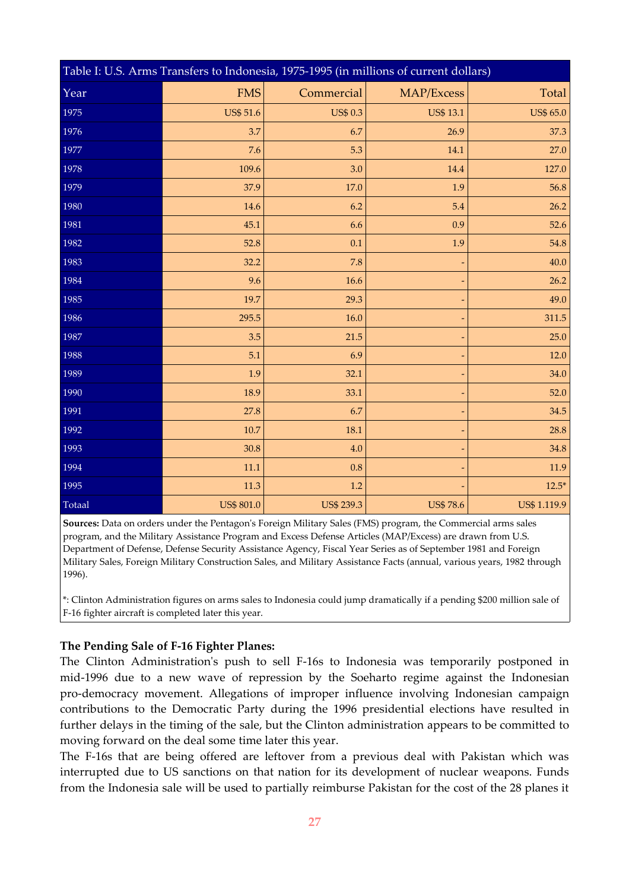| Table I: U.S. Arms Transfers to Indonesia, 1975-1995 (in millions of current dollars) |                   |                 |                  |              |
|---------------------------------------------------------------------------------------|-------------------|-----------------|------------------|--------------|
| Year                                                                                  | <b>FMS</b>        | Commercial      | MAP/Excess       | Total        |
| 1975                                                                                  | <b>US\$ 51.6</b>  | <b>US\$ 0.3</b> | <b>US\$ 13.1</b> | US\$ 65.0    |
| 1976                                                                                  | 3.7               | 6.7             | 26.9             | 37.3         |
| 1977                                                                                  | 7.6               | 5.3             | 14.1             | 27.0         |
| 1978                                                                                  | 109.6             | 3.0             | 14.4             | 127.0        |
| 1979                                                                                  | 37.9              | 17.0            | 1.9              | 56.8         |
| 1980                                                                                  | 14.6              | 6.2             | 5.4              | 26.2         |
| 1981                                                                                  | 45.1              | 6.6             | 0.9              | 52.6         |
| 1982                                                                                  | 52.8              | 0.1             | 1.9              | 54.8         |
| 1983                                                                                  | 32.2              | 7.8             |                  | 40.0         |
| 1984                                                                                  | 9.6               | 16.6            |                  | 26.2         |
| 1985                                                                                  | 19.7              | 29.3            |                  | 49.0         |
| 1986                                                                                  | 295.5             | 16.0            |                  | 311.5        |
| 1987                                                                                  | 3.5               | 21.5            |                  | 25.0         |
| 1988                                                                                  | 5.1               | 6.9             |                  | 12.0         |
| 1989                                                                                  | 1.9               | 32.1            |                  | 34.0         |
| 1990                                                                                  | 18.9              | 33.1            |                  | 52.0         |
| 1991                                                                                  | 27.8              | 6.7             |                  | 34.5         |
| 1992                                                                                  | 10.7              | 18.1            |                  | 28.8         |
| 1993                                                                                  | 30.8              | 4.0             |                  | 34.8         |
| 1994                                                                                  | 11.1              | 0.8             |                  | 11.9         |
| 1995                                                                                  | 11.3              | 1.2             |                  | $12.5*$      |
| Totaal                                                                                | <b>US\$ 801.0</b> | US\$ 239.3      | <b>US\$78.6</b>  | US\$ 1.119.9 |

**Sources:** Data on orders under the Pentagon's Foreign Military Sales (FMS) program, the Commercial arms sales program, and the Military Assistance Program and Excess Defense Articles (MAP/Excess) are drawn from U.S. Department of Defense, Defense Security Assistance Agency, Fiscal Year Series as of September 1981 and Foreign Military Sales, Foreign Military Construction Sales, and Military Assistance Facts (annual, various years, 1982 through 1996).

\*: Clinton Administration figures on arms sales to Indonesia could jump dramatically if a pending \$200 million sale of F-16 fighter aircraft is completed later this year.

#### **The Pending Sale of F-16 Fighter Planes:**

The Clinton Administration's push to sell F-16s to Indonesia was temporarily postponed in mid-1996 due to a new wave of repression by the Soeharto regime against the Indonesian pro-democracy movement. Allegations of improper influence involving Indonesian campaign contributions to the Democratic Party during the 1996 presidential elections have resulted in further delays in the timing of the sale, but the Clinton administration appears to be committed to moving forward on the deal some time later this year.

The F-16s that are being offered are leftover from a previous deal with Pakistan which was interrupted due to US sanctions on that nation for its development of nuclear weapons. Funds from the Indonesia sale will be used to partially reimburse Pakistan for the cost of the 28 planes it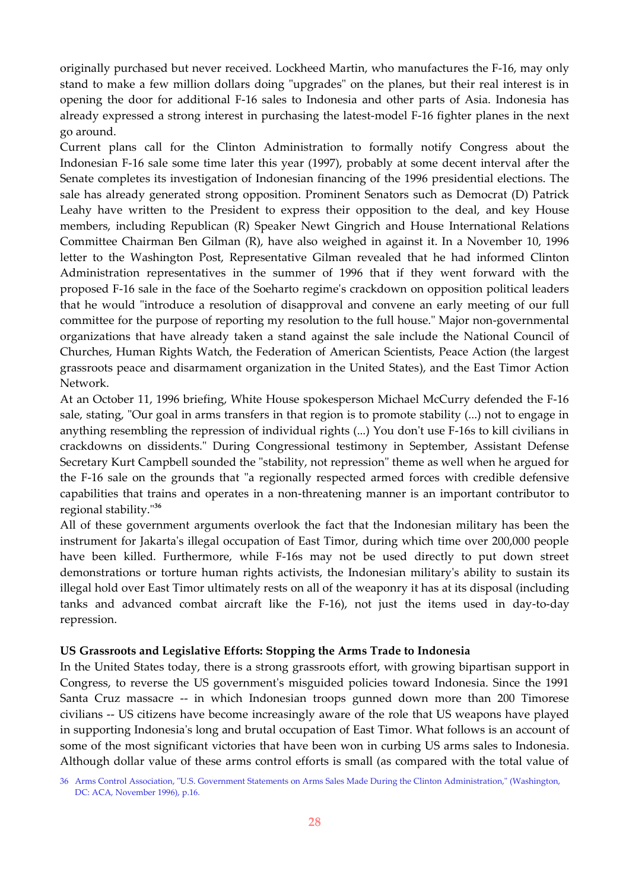originally purchased but never received. Lockheed Martin, who manufactures the F-16, may only stand to make a few million dollars doing "upgrades" on the planes, but their real interest is in opening the door for additional F-16 sales to Indonesia and other parts of Asia. Indonesia has already expressed a strong interest in purchasing the latest-model F-16 fighter planes in the next go around.

Current plans call for the Clinton Administration to formally notify Congress about the Indonesian F-16 sale some time later this year (1997), probably at some decent interval after the Senate completes its investigation of Indonesian financing of the 1996 presidential elections. The sale has already generated strong opposition. Prominent Senators such as Democrat (D) Patrick Leahy have written to the President to express their opposition to the deal, and key House members, including Republican (R) Speaker Newt Gingrich and House International Relations Committee Chairman Ben Gilman (R), have also weighed in against it. In a November 10, 1996 letter to the Washington Post, Representative Gilman revealed that he had informed Clinton Administration representatives in the summer of 1996 that if they went forward with the proposed F-16 sale in the face of the Soeharto regime's crackdown on opposition political leaders that he would "introduce a resolution of disapproval and convene an early meeting of our full committee for the purpose of reporting my resolution to the full house." Major non-governmental organizations that have already taken a stand against the sale include the National Council of Churches, Human Rights Watch, the Federation of American Scientists, Peace Action (the largest grassroots peace and disarmament organization in the United States), and the East Timor Action Network.

At an October 11, 1996 briefing, White House spokesperson Michael McCurry defended the F-16 sale, stating, "Our goal in arms transfers in that region is to promote stability (...) not to engage in anything resembling the repression of individual rights (...) You don't use F-16s to kill civilians in crackdowns on dissidents." During Congressional testimony in September, Assistant Defense Secretary Kurt Campbell sounded the "stability, not repression" theme as well when he argued for the F-16 sale on the grounds that "a regionally respected armed forces with credible defensive capabilities that trains and operates in a non-threatening manner is an important contributor to regional stability." **36**

All of these government arguments overlook the fact that the Indonesian military has been the instrument for Jakarta's illegal occupation of East Timor, during which time over 200,000 people have been killed. Furthermore, while F-16s may not be used directly to put down street demonstrations or torture human rights activists, the Indonesian military's ability to sustain its illegal hold over East Timor ultimately rests on all of the weaponry it has at its disposal (including tanks and advanced combat aircraft like the F-16), not just the items used in day-to-day repression.

#### **US Grassroots and Legislative Efforts: Stopping the Arms Trade to Indonesia**

In the United States today, there is a strong grassroots effort, with growing bipartisan support in Congress, to reverse the US government's misguided policies toward Indonesia. Since the 1991 Santa Cruz massacre -- in which Indonesian troops gunned down more than 200 Timorese civilians -- US citizens have become increasingly aware of the role that US weapons have played in supporting Indonesia's long and brutal occupation of East Timor. What follows is an account of some of the most significant victories that have been won in curbing US arms sales to Indonesia. Although dollar value of these arms control efforts is small (as compared with the total value of

<sup>36</sup> Arms Control Association, "U.S. Government Statements on Arms Sales Made During the Clinton Administration," (Washington, DC: ACA, November 1996), p.16.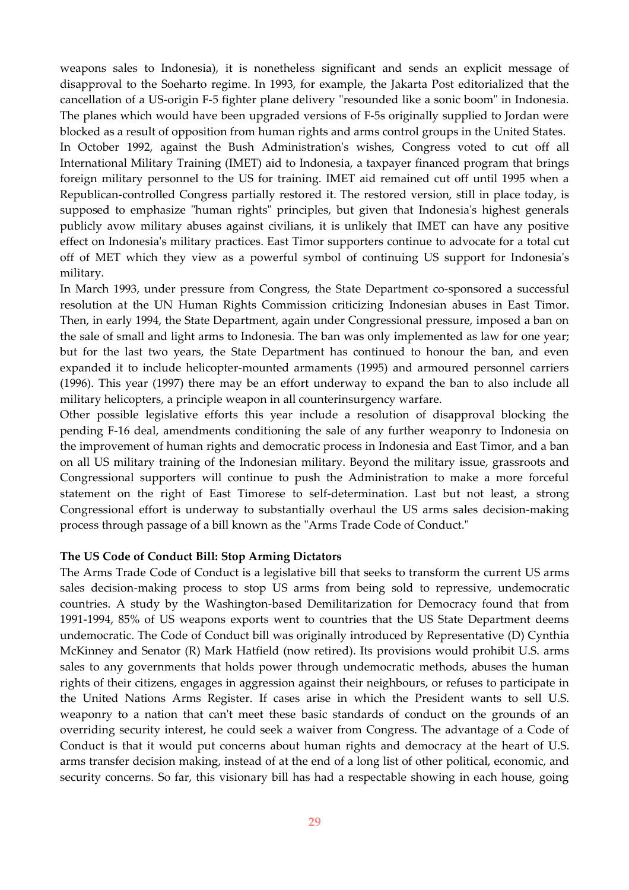weapons sales to Indonesia), it is nonetheless significant and sends an explicit message of disapproval to the Soeharto regime. In 1993, for example, the Jakarta Post editorialized that the cancellation of a US-origin F-5 fighter plane delivery "resounded like a sonic boom" in Indonesia. The planes which would have been upgraded versions of F-5s originally supplied to Jordan were blocked as a result of opposition from human rights and arms control groups in the United States.

In October 1992, against the Bush Administration's wishes, Congress voted to cut off all International Military Training (IMET) aid to Indonesia, a taxpayer financed program that brings foreign military personnel to the US for training. IMET aid remained cut off until 1995 when a Republican-controlled Congress partially restored it. The restored version, still in place today, is supposed to emphasize "human rights" principles, but given that Indonesia's highest generals publicly avow military abuses against civilians, it is unlikely that IMET can have any positive effect on Indonesia's military practices. East Timor supporters continue to advocate for a total cut off of MET which they view as a powerful symbol of continuing US support for Indonesia's military.

In March 1993, under pressure from Congress, the State Department co-sponsored a successful resolution at the UN Human Rights Commission criticizing Indonesian abuses in East Timor. Then, in early 1994, the State Department, again under Congressional pressure, imposed a ban on the sale of small and light arms to Indonesia. The ban was only implemented as law for one year; but for the last two years, the State Department has continued to honour the ban, and even expanded it to include helicopter-mounted armaments (1995) and armoured personnel carriers (1996). This year (1997) there may be an effort underway to expand the ban to also include all military helicopters, a principle weapon in all counterinsurgency warfare.

Other possible legislative efforts this year include a resolution of disapproval blocking the pending F-16 deal, amendments conditioning the sale of any further weaponry to Indonesia on the improvement of human rights and democratic process in Indonesia and East Timor, and a ban on all US military training of the Indonesian military. Beyond the military issue, grassroots and Congressional supporters will continue to push the Administration to make a more forceful statement on the right of East Timorese to self-determination. Last but not least, a strong Congressional effort is underway to substantially overhaul the US arms sales decision-making process through passage of a bill known as the "Arms Trade Code of Conduct."

#### **The US Code of Conduct Bill: Stop Arming Dictators**

The Arms Trade Code of Conduct is a legislative bill that seeks to transform the current US arms sales decision-making process to stop US arms from being sold to repressive, undemocratic countries. A study by the Washington-based Demilitarization for Democracy found that from 1991-1994, 85% of US weapons exports went to countries that the US State Department deems undemocratic. The Code of Conduct bill was originally introduced by Representative (D) Cynthia McKinney and Senator (R) Mark Hatfield (now retired). Its provisions would prohibit U.S. arms sales to any governments that holds power through undemocratic methods, abuses the human rights of their citizens, engages in aggression against their neighbours, or refuses to participate in the United Nations Arms Register. If cases arise in which the President wants to sell U.S. weaponry to a nation that can't meet these basic standards of conduct on the grounds of an overriding security interest, he could seek a waiver from Congress. The advantage of a Code of Conduct is that it would put concerns about human rights and democracy at the heart of U.S. arms transfer decision making, instead of at the end of a long list of other political, economic, and security concerns. So far, this visionary bill has had a respectable showing in each house, going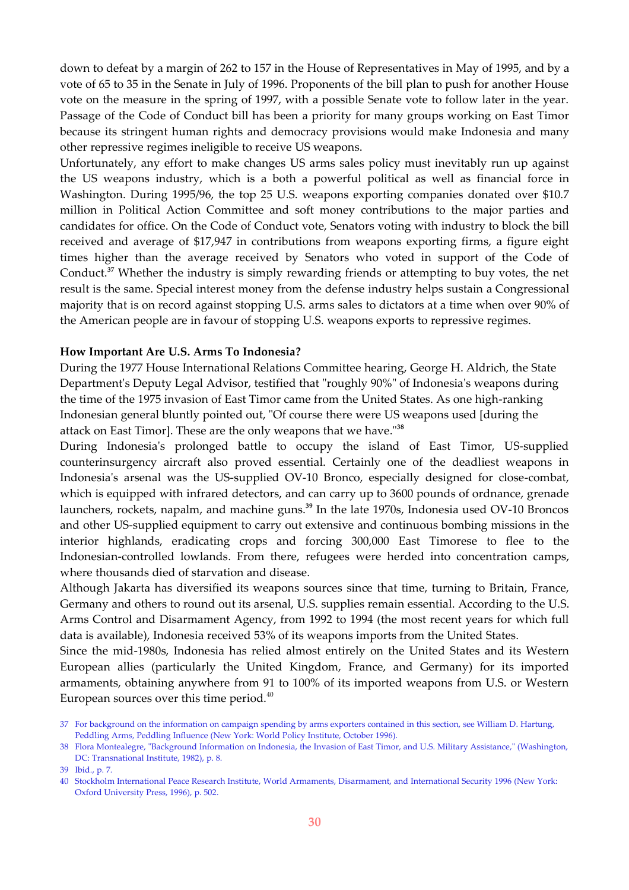down to defeat by a margin of 262 to 157 in the House of Representatives in May of 1995, and by a vote of 65 to 35 in the Senate in July of 1996. Proponents of the bill plan to push for another House vote on the measure in the spring of 1997, with a possible Senate vote to follow later in the year. Passage of the Code of Conduct bill has been a priority for many groups working on East Timor because its stringent human rights and democracy provisions would make Indonesia and many other repressive regimes ineligible to receive US weapons.

Unfortunately, any effort to make changes US arms sales policy must inevitably run up against the US weapons industry, which is a both a powerful political as well as financial force in Washington. During 1995/96, the top 25 U.S. weapons exporting companies donated over \$10.7 million in Political Action Committee and soft money contributions to the major parties and candidates for office. On the Code of Conduct vote, Senators voting with industry to block the bill received and average of \$17,947 in contributions from weapons exporting firms, a figure eight times higher than the average received by Senators who voted in support of the Code of Conduct.**<sup>37</sup>** Whether the industry is simply rewarding friends or attempting to buy votes, the net result is the same. Special interest money from the defense industry helps sustain a Congressional majority that is on record against stopping U.S. arms sales to dictators at a time when over 90% of the American people are in favour of stopping U.S. weapons exports to repressive regimes.

#### **How Important Are U.S. Arms To Indonesia?**

During the 1977 House International Relations Committee hearing, George H. Aldrich, the State Department's Deputy Legal Advisor, testified that "roughly 90%" of Indonesia's weapons during the time of the 1975 invasion of East Timor came from the United States. As one high-ranking Indonesian general bluntly pointed out, "Of course there were US weapons used [during the attack on East Timor]. These are the only weapons that we have."**<sup>38</sup>**

During Indonesia's prolonged battle to occupy the island of East Timor, US-supplied counterinsurgency aircraft also proved essential. Certainly one of the deadliest weapons in Indonesia's arsenal was the US-supplied OV-10 Bronco, especially designed for close-combat, which is equipped with infrared detectors, and can carry up to 3600 pounds of ordnance, grenade launchers, rockets, napalm, and machine guns.**<sup>39</sup>** In the late 1970s, Indonesia used OV-10 Broncos and other US-supplied equipment to carry out extensive and continuous bombing missions in the interior highlands, eradicating crops and forcing 300,000 East Timorese to flee to the Indonesian-controlled lowlands. From there, refugees were herded into concentration camps, where thousands died of starvation and disease.

Although Jakarta has diversified its weapons sources since that time, turning to Britain, France, Germany and others to round out its arsenal, U.S. supplies remain essential. According to the U.S. Arms Control and Disarmament Agency, from 1992 to 1994 (the most recent years for which full data is available), Indonesia received 53% of its weapons imports from the United States.

Since the mid-1980s, Indonesia has relied almost entirely on the United States and its Western European allies (particularly the United Kingdom, France, and Germany) for its imported armaments, obtaining anywhere from 91 to 100% of its imported weapons from U.S. or Western European sources over this time period.<sup>40</sup>

<sup>37</sup> For background on the information on campaign spending by arms exporters contained in this section, see William D. Hartung, Peddling Arms, Peddling Influence (New York: World Policy Institute, October 1996).

<sup>38</sup> Flora Montealegre, "Background Information on Indonesia, the Invasion of East Timor, and U.S. Military Assistance," (Washington, DC: Transnational Institute, 1982), p. 8.

<sup>39</sup> Ibid., p. 7.

<sup>40</sup> Stockholm International Peace Research Institute, World Armaments, Disarmament, and International Security 1996 (New York: Oxford University Press, 1996), p. 502.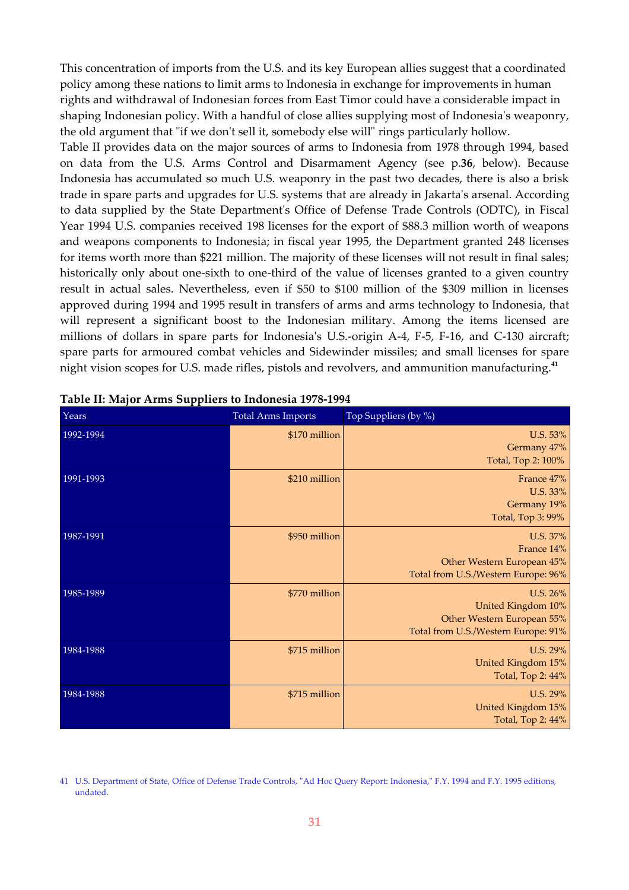This concentration of imports from the U.S. and its key European allies suggest that a coordinated policy among these nations to limit arms to Indonesia in exchange for improvements in human rights and withdrawal of Indonesian forces from East Timor could have a considerable impact in shaping Indonesian policy. With a handful of close allies supplying most of Indonesia's weaponry, the old argument that "if we don't sell it, somebody else will" rings particularly hollow.

Table II provides data on the major sources of arms to Indonesia from 1978 through 1994, based on data from the U.S. Arms Control and Disarmament Agency (see p.**36**, below). Because Indonesia has accumulated so much U.S. weaponry in the past two decades, there is also a brisk trade in spare parts and upgrades for U.S. systems that are already in Jakarta's arsenal. According to data supplied by the State Department's Office of Defense Trade Controls (ODTC), in Fiscal Year 1994 U.S. companies received 198 licenses for the export of \$88.3 million worth of weapons and weapons components to Indonesia; in fiscal year 1995, the Department granted 248 licenses for items worth more than \$221 million. The majority of these licenses will not result in final sales; historically only about one-sixth to one-third of the value of licenses granted to a given country result in actual sales. Nevertheless, even if \$50 to \$100 million of the \$309 million in licenses approved during 1994 and 1995 result in transfers of arms and arms technology to Indonesia, that will represent a significant boost to the Indonesian military. Among the items licensed are millions of dollars in spare parts for Indonesia's U.S.-origin A-4, F-5, F-16, and C-130 aircraft; spare parts for armoured combat vehicles and Sidewinder missiles; and small licenses for spare night vision scopes for U.S. made rifles, pistols and revolvers, and ammunition manufacturing.<sup>41</sup>

| Years     | <b>Total Arms Imports</b> | Top Suppliers (by %)                                                                                |
|-----------|---------------------------|-----------------------------------------------------------------------------------------------------|
| 1992-1994 | \$170 million             | U.S. 53%<br>Germany 47%<br>Total, Top 2: 100%                                                       |
| 1991-1993 | \$210 million             | France 47%<br>U.S. 33%<br>Germany 19%<br>Total, Top 3: 99%                                          |
| 1987-1991 | \$950 million             | U.S. 37%<br>France 14%<br>Other Western European 45%<br>Total from U.S./Western Europe: 96%         |
| 1985-1989 | \$770 million             | U.S. 26%<br>United Kingdom 10%<br>Other Western European 55%<br>Total from U.S./Western Europe: 91% |
| 1984-1988 | \$715 million             | U.S. 29%<br>United Kingdom 15%<br>Total, Top 2: 44%                                                 |
| 1984-1988 | \$715 million             | U.S. 29%<br>United Kingdom 15%<br>Total, Top 2: 44%                                                 |

| Table II: Major Arms Suppliers to Indonesia 1978-1994 |  |  |  |
|-------------------------------------------------------|--|--|--|
|-------------------------------------------------------|--|--|--|

<sup>41</sup> U.S. Department of State, Office of Defense Trade Controls, "Ad Hoc Query Report: Indonesia," F.Y. 1994 and F.Y. 1995 editions, undated.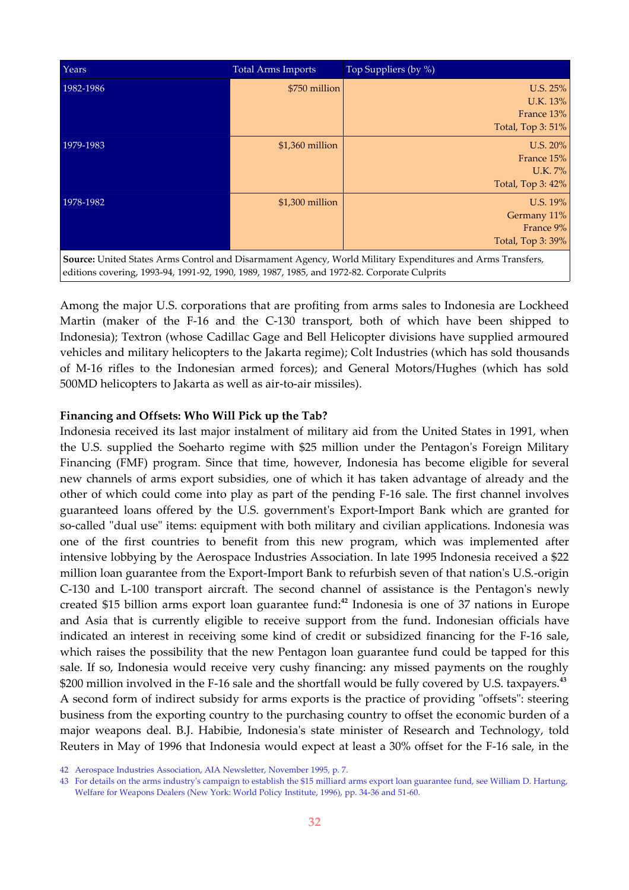| Years                                                                                                                                                                                                      | <b>Total Arms Imports</b> | Top Suppliers (by %) |
|------------------------------------------------------------------------------------------------------------------------------------------------------------------------------------------------------------|---------------------------|----------------------|
| 1982-1986                                                                                                                                                                                                  | \$750 million             | U.S. 25%             |
|                                                                                                                                                                                                            |                           | U.K. 13%             |
|                                                                                                                                                                                                            |                           | France 13%           |
|                                                                                                                                                                                                            |                           | Total, Top 3: 51%    |
| 1979-1983                                                                                                                                                                                                  | $$1,360$ million          | U.S. 20%             |
|                                                                                                                                                                                                            |                           | France 15%           |
|                                                                                                                                                                                                            |                           | U.K. 7%              |
|                                                                                                                                                                                                            |                           | Total, Top 3: 42%    |
| 1978-1982                                                                                                                                                                                                  | $$1,300$ million          | U.S. 19%             |
|                                                                                                                                                                                                            |                           | Germany 11%          |
|                                                                                                                                                                                                            |                           | France 9%            |
|                                                                                                                                                                                                            |                           | Total, Top 3: 39%    |
| Source: United States Arms Control and Disarmament Agency, World Military Expenditures and Arms Transfers,<br>editions covering, 1993-94, 1991-92, 1990, 1989, 1987, 1985, and 1972-82. Corporate Culprits |                           |                      |

Among the major U.S. corporations that are profiting from arms sales to Indonesia are Lockheed Martin (maker of the F-16 and the C-130 transport, both of which have been shipped to Indonesia); Textron (whose Cadillac Gage and Bell Helicopter divisions have supplied armoured vehicles and military helicopters to the Jakarta regime); Colt Industries (which has sold thousands of M-16 rifles to the Indonesian armed forces); and General Motors/Hughes (which has sold 500MD helicopters to Jakarta as well as air-to-air missiles).

#### **Financing and Offsets: Who Will Pick up the Tab?**

Indonesia received its last major instalment of military aid from the United States in 1991, when the U.S. supplied the Soeharto regime with \$25 million under the Pentagon's Foreign Military Financing (FMF) program. Since that time, however, Indonesia has become eligible for several new channels of arms export subsidies, one of which it has taken advantage of already and the other of which could come into play as part of the pending F-16 sale. The first channel involves guaranteed loans offered by the U.S. government's Export-Import Bank which are granted for so-called "dual use" items: equipment with both military and civilian applications. Indonesia was one of the first countries to benefit from this new program, which was implemented after intensive lobbying by the Aerospace Industries Association. In late 1995 Indonesia received a \$22 million loan guarantee from the Export-Import Bank to refurbish seven of that nation's U.S.-origin C-130 and L-100 transport aircraft. The second channel of assistance is the Pentagon's newly created \$15 billion arms export loan guarantee fund:**<sup>42</sup>** Indonesia is one of 37 nations in Europe and Asia that is currently eligible to receive support from the fund. Indonesian officials have indicated an interest in receiving some kind of credit or subsidized financing for the F-16 sale, which raises the possibility that the new Pentagon loan guarantee fund could be tapped for this sale. If so, Indonesia would receive very cushy financing: any missed payments on the roughly \$200 million involved in the F-16 sale and the shortfall would be fully covered by U.S. taxpayers.**<sup>43</sup>** A second form of indirect subsidy for arms exports is the practice of providing "offsets": steering business from the exporting country to the purchasing country to offset the economic burden of a major weapons deal. B.J. Habibie, Indonesia's state minister of Research and Technology, told Reuters in May of 1996 that Indonesia would expect at least a 30% offset for the F-16 sale, in the

<sup>42</sup> Aerospace Industries Association, AIA Newsletter, November 1995, p. 7.

<sup>43</sup> For details on the arms industry's campaign to establish the \$15 milliard arms export loan guarantee fund, see William D. Hartung, Welfare for Weapons Dealers (New York: World Policy Institute, 1996), pp. 34-36 and 51-60.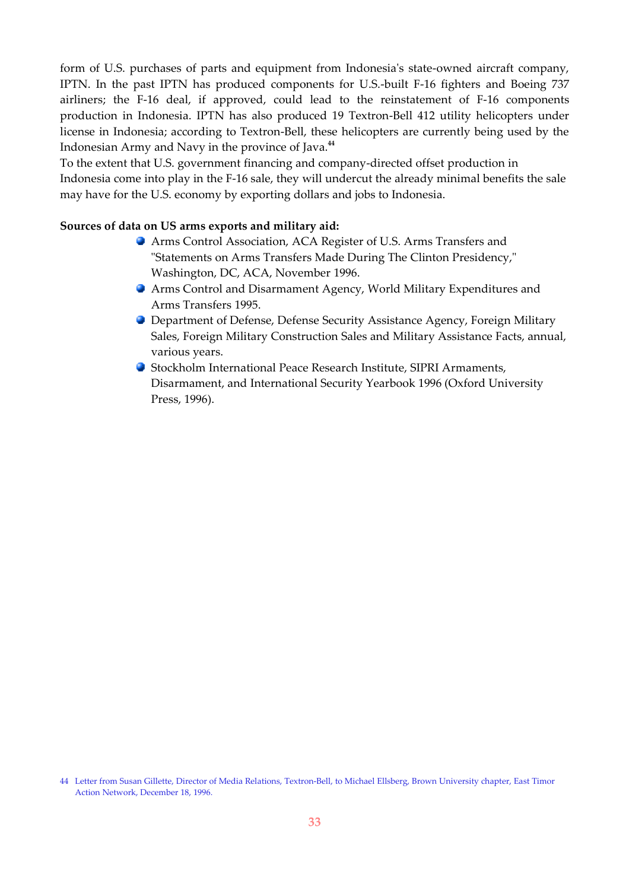form of U.S. purchases of parts and equipment from Indonesia's state-owned aircraft company, IPTN. In the past IPTN has produced components for U.S.-built F-16 fighters and Boeing 737 airliners; the F-16 deal, if approved, could lead to the reinstatement of F-16 components production in Indonesia. IPTN has also produced 19 Textron-Bell 412 utility helicopters under license in Indonesia; according to Textron-Bell, these helicopters are currently being used by the Indonesian Army and Navy in the province of Java.**<sup>44</sup>**

To the extent that U.S. government financing and company-directed offset production in Indonesia come into play in the F-16 sale, they will undercut the already minimal benefits the sale may have for the U.S. economy by exporting dollars and jobs to Indonesia.

#### **Sources of data on US arms exports and military aid:**

- Arms Control Association, ACA Register of U.S. Arms Transfers and "Statements on Arms Transfers Made During The Clinton Presidency," Washington, DC, ACA, November 1996.
- Arms Control and Disarmament Agency, World Military Expenditures and Arms Transfers 1995.
- Department of Defense, Defense Security Assistance Agency, Foreign Military Sales, Foreign Military Construction Sales and Military Assistance Facts, annual, various years.
- Stockholm International Peace Research Institute, SIPRI Armaments, Disarmament, and International Security Yearbook 1996 (Oxford University Press, 1996).

<sup>44</sup> Letter from Susan Gillette, Director of Media Relations, Textron-Bell, to Michael Ellsberg, Brown University chapter, East Timor Action Network, December 18, 1996.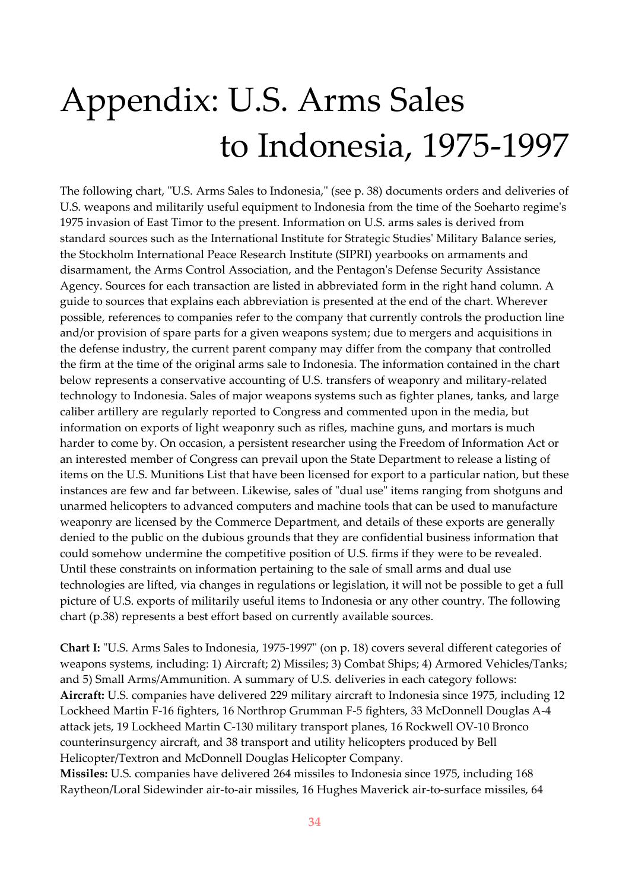### Appendix: U.S. Arms Sales to Indonesia, 1975-1997

The following chart, "U.S. Arms Sales to Indonesia," (see p. 38) documents orders and deliveries of U.S. weapons and militarily useful equipment to Indonesia from the time of the Soeharto regime's 1975 invasion of East Timor to the present. Information on U.S. arms sales is derived from standard sources such as the International Institute for Strategic Studies' Military Balance series, the Stockholm International Peace Research Institute (SIPRI) yearbooks on armaments and disarmament, the Arms Control Association, and the Pentagon's Defense Security Assistance Agency. Sources for each transaction are listed in abbreviated form in the right hand column. A guide to sources that explains each abbreviation is presented at the end of the chart. Wherever possible, references to companies refer to the company that currently controls the production line and/or provision of spare parts for a given weapons system; due to mergers and acquisitions in the defense industry, the current parent company may differ from the company that controlled the firm at the time of the original arms sale to Indonesia. The information contained in the chart below represents a conservative accounting of U.S. transfers of weaponry and military-related technology to Indonesia. Sales of major weapons systems such as fighter planes, tanks, and large caliber artillery are regularly reported to Congress and commented upon in the media, but information on exports of light weaponry such as rifles, machine guns, and mortars is much harder to come by. On occasion, a persistent researcher using the Freedom of Information Act or an interested member of Congress can prevail upon the State Department to release a listing of items on the U.S. Munitions List that have been licensed for export to a particular nation, but these instances are few and far between. Likewise, sales of "dual use" items ranging from shotguns and unarmed helicopters to advanced computers and machine tools that can be used to manufacture weaponry are licensed by the Commerce Department, and details of these exports are generally denied to the public on the dubious grounds that they are confidential business information that could somehow undermine the competitive position of U.S. firms if they were to be revealed. Until these constraints on information pertaining to the sale of small arms and dual use technologies are lifted, via changes in regulations or legislation, it will not be possible to get a full picture of U.S. exports of militarily useful items to Indonesia or any other country. The following chart (p.38) represents a best effort based on currently available sources.

**Chart I:** "U.S. Arms Sales to Indonesia, 1975-1997" (on p. 18) covers several different categories of weapons systems, including: 1) Aircraft; 2) Missiles; 3) Combat Ships; 4) Armored Vehicles/Tanks; and 5) Small Arms/Ammunition. A summary of U.S. deliveries in each category follows: **Aircraft:** U.S. companies have delivered 229 military aircraft to Indonesia since 1975, including 12 Lockheed Martin F-16 fighters, 16 Northrop Grumman F-5 fighters, 33 McDonnell Douglas A-4 attack jets, 19 Lockheed Martin C-130 military transport planes, 16 Rockwell OV-10 Bronco counterinsurgency aircraft, and 38 transport and utility helicopters produced by Bell Helicopter/Textron and McDonnell Douglas Helicopter Company.

**Missiles:** U.S. companies have delivered 264 missiles to Indonesia since 1975, including 168 Raytheon/Loral Sidewinder air-to-air missiles, 16 Hughes Maverick air-to-surface missiles, 64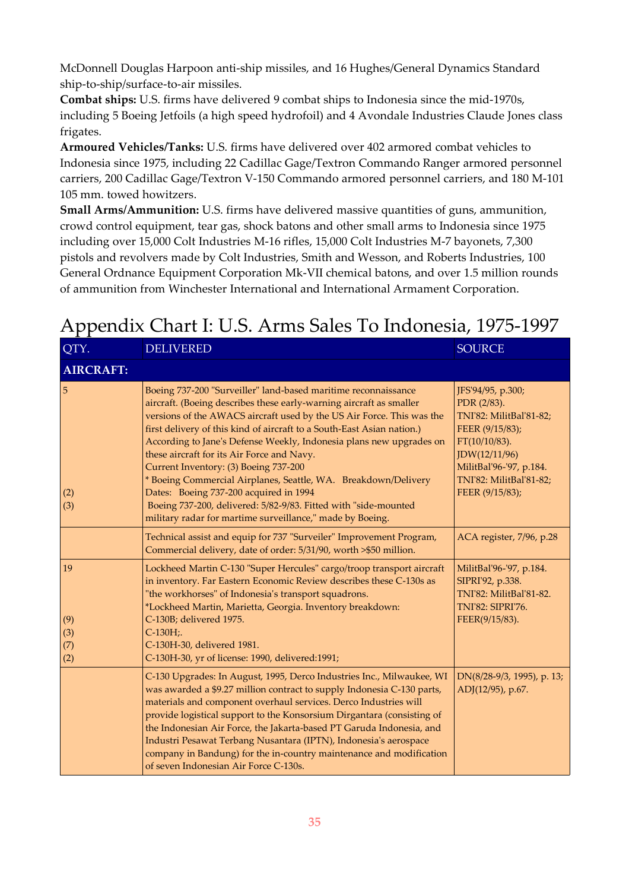McDonnell Douglas Harpoon anti-ship missiles, and 16 Hughes/General Dynamics Standard ship-to-ship/surface-to-air missiles.

**Combat ships:** U.S. firms have delivered 9 combat ships to Indonesia since the mid-1970s, including 5 Boeing Jetfoils (a high speed hydrofoil) and 4 Avondale Industries Claude Jones class frigates.

**Armoured Vehicles/Tanks:** U.S. firms have delivered over 402 armored combat vehicles to Indonesia since 1975, including 22 Cadillac Gage/Textron Commando Ranger armored personnel carriers, 200 Cadillac Gage/Textron V-150 Commando armored personnel carriers, and 180 M-101 105 mm. towed howitzers.

**Small Arms/Ammunition:** U.S. firms have delivered massive quantities of guns, ammunition, crowd control equipment, tear gas, shock batons and other small arms to Indonesia since 1975 including over 15,000 Colt Industries M-16 rifles, 15,000 Colt Industries M-7 bayonets, 7,300 pistols and revolvers made by Colt Industries, Smith and Wesson, and Roberts Industries, 100 General Ordnance Equipment Corporation Mk-VII chemical batons, and over 1.5 million rounds of ammunition from Winchester International and International Armament Corporation.

| QTY.                           | <b>DELIVERED</b>                                                                                                                                                                                                                                                                                                                                                                                                                                                                                                                                                                                                                                                                                   | <b>SOURCE</b>                                                                                                                                                                             |
|--------------------------------|----------------------------------------------------------------------------------------------------------------------------------------------------------------------------------------------------------------------------------------------------------------------------------------------------------------------------------------------------------------------------------------------------------------------------------------------------------------------------------------------------------------------------------------------------------------------------------------------------------------------------------------------------------------------------------------------------|-------------------------------------------------------------------------------------------------------------------------------------------------------------------------------------------|
| <b>AIRCRAFT:</b>               |                                                                                                                                                                                                                                                                                                                                                                                                                                                                                                                                                                                                                                                                                                    |                                                                                                                                                                                           |
| 5<br>(2)<br>(3)                | Boeing 737-200 "Surveiller" land-based maritime reconnaissance<br>aircraft. (Boeing describes these early-warning aircraft as smaller<br>versions of the AWACS aircraft used by the US Air Force. This was the<br>first delivery of this kind of aircraft to a South-East Asian nation.)<br>According to Jane's Defense Weekly, Indonesia plans new upgrades on<br>these aircraft for its Air Force and Navy.<br>Current Inventory: (3) Boeing 737-200<br>* Boeing Commercial Airplanes, Seattle, WA. Breakdown/Delivery<br>Dates: Boeing 737-200 acquired in 1994<br>Boeing 737-200, delivered: 5/82-9/83. Fitted with "side-mounted<br>military radar for martime surveillance," made by Boeing. | JFS'94/95, p.300;<br>PDR (2/83).<br>TNI'82: MilitBal'81-82;<br>FEER (9/15/83);<br>FT(10/10/83).<br>JDW(12/11/96)<br>MilitBal'96-'97, p.184.<br>TNI'82: MilitBal'81-82;<br>FEER (9/15/83); |
|                                | Technical assist and equip for 737 "Surveiler" Improvement Program,<br>Commercial delivery, date of order: 5/31/90, worth >\$50 million.                                                                                                                                                                                                                                                                                                                                                                                                                                                                                                                                                           | ACA register, 7/96, p.28                                                                                                                                                                  |
| 19<br>(9)<br>(3)<br>(7)<br>(2) | Lockheed Martin C-130 "Super Hercules" cargo/troop transport aircraft<br>in inventory. Far Eastern Economic Review describes these C-130s as<br>"the workhorses" of Indonesia's transport squadrons.<br>*Lockheed Martin, Marietta, Georgia. Inventory breakdown:<br>C-130B; delivered 1975.<br>C-130H;.<br>C-130H-30, delivered 1981.<br>C-130H-30, yr of license: 1990, delivered:1991;                                                                                                                                                                                                                                                                                                          | MilitBal'96-'97, p.184.<br>SIPRI'92, p.338.<br>TNI'82: MilitBal'81-82.<br>TNI'82: SIPRI'76.<br>FEER(9/15/83).                                                                             |
|                                | C-130 Upgrades: In August, 1995, Derco Industries Inc., Milwaukee, WI<br>was awarded a \$9.27 million contract to supply Indonesia C-130 parts,<br>materials and component overhaul services. Derco Industries will<br>provide logistical support to the Konsorsium Dirgantara (consisting of<br>the Indonesian Air Force, the Jakarta-based PT Garuda Indonesia, and<br>Industri Pesawat Terbang Nusantara (IPTN), Indonesia's aerospace<br>company in Bandung) for the in-country maintenance and modification<br>of seven Indonesian Air Force C-130s.                                                                                                                                          | DN(8/28-9/3, 1995), p. 13;<br>ADJ(12/95), p.67.                                                                                                                                           |

### Appendix Chart I: U.S. Arms Sales To Indonesia, 1975-1997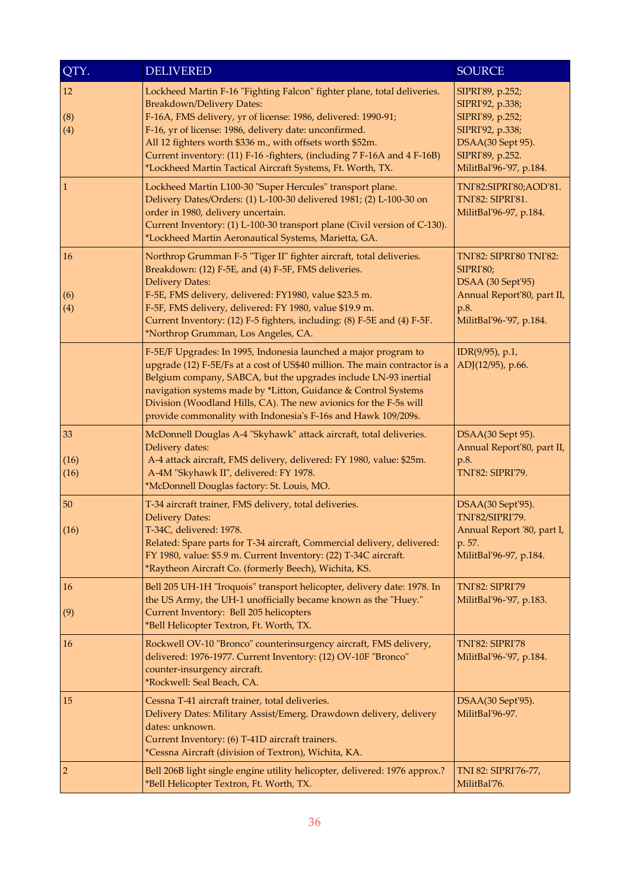| QTY.               | <b>DELIVERED</b>                                                                                                                                                                                                                                                                                                                                                                                                                             | <b>SOURCE</b>                                                                                                                                    |
|--------------------|----------------------------------------------------------------------------------------------------------------------------------------------------------------------------------------------------------------------------------------------------------------------------------------------------------------------------------------------------------------------------------------------------------------------------------------------|--------------------------------------------------------------------------------------------------------------------------------------------------|
| 12<br>(8)<br>(4)   | Lockheed Martin F-16 "Fighting Falcon" fighter plane, total deliveries.<br><b>Breakdown/Delivery Dates:</b><br>F-16A, FMS delivery, yr of license: 1986, delivered: 1990-91;<br>F-16, yr of license: 1986, delivery date: unconfirmed.<br>All 12 fighters worth \$336 m., with offsets worth \$52m.<br>Current inventory: (11) F-16 -fighters, (including 7 F-16A and 4 F-16B)<br>*Lockheed Martin Tactical Aircraft Systems, Ft. Worth, TX. | SIPRI'89, p.252;<br>SIPRI'92, p.338;<br>SIPRI'89, p.252;<br>SIPRI'92, p.338;<br>DSAA(30 Sept 95).<br>SIPRI'89, p.252.<br>MilitBal'96-'97, p.184. |
| $\mathbf 1$        | Lockheed Martin L100-30 "Super Hercules" transport plane.<br>Delivery Dates/Orders: (1) L-100-30 delivered 1981; (2) L-100-30 on<br>order in 1980, delivery uncertain.<br>Current Inventory: (1) L-100-30 transport plane (Civil version of C-130).<br>*Lockheed Martin Aeronautical Systems, Marietta, GA.                                                                                                                                  | TNI'82:SIPRI'80;AOD'81.<br>TNI'82: SIPRI'81.<br>MilitBal'96-97, p.184.                                                                           |
| 16<br>(6)<br>(4)   | Northrop Grumman F-5 "Tiger II" fighter aircraft, total deliveries.<br>Breakdown: (12) F-5E, and (4) F-5F, FMS deliveries.<br><b>Delivery Dates:</b><br>F-5E, FMS delivery, delivered: FY1980, value \$23.5 m.<br>F-5F, FMS delivery, delivered: FY 1980, value \$19.9 m.<br>Current Inventory: (12) F-5 fighters, including: (8) F-5E and (4) F-5F.<br>*Northrop Grumman, Los Angeles, CA.                                                  | <b>TNI'82: SIPRI'80 TNI'82:</b><br><b>SIPRI'80;</b><br><b>DSAA</b> (30 Sept'95)<br>Annual Report'80, part II,<br>p.8.<br>MilitBal'96-'97, p.184. |
|                    | F-5E/F Upgrades: In 1995, Indonesia launched a major program to<br>upgrade (12) F-5E/Fs at a cost of US\$40 million. The main contractor is a<br>Belgium company, SABCA, but the upgrades include LN-93 inertial<br>navigation systems made by *Litton, Guidance & Control Systems<br>Division (Woodland Hills, CA). The new avionics for the F-5s will<br>provide commonality with Indonesia's F-16s and Hawk 109/209s.                     | IDR(9/95), p.1,<br>ADJ(12/95), p.66.                                                                                                             |
| 33<br>(16)<br>(16) | McDonnell Douglas A-4 "Skyhawk" attack aircraft, total deliveries.<br>Delivery dates:<br>A-4 attack aircraft, FMS delivery, delivered: FY 1980, value: \$25m.<br>A-4M "Skyhawk II", delivered: FY 1978.<br>*McDonnell Douglas factory: St. Louis, MO.                                                                                                                                                                                        | DSAA(30 Sept 95).<br>Annual Report'80, part II,<br>p.8.<br>TNI'82: SIPRI'79.                                                                     |
| 50<br>(16)         | T-34 aircraft trainer, FMS delivery, total deliveries.<br><b>Delivery Dates:</b><br>T-34C, delivered: 1978.<br>Related: Spare parts for T-34 aircraft, Commercial delivery, delivered:<br>FY 1980, value: \$5.9 m. Current Inventory: (22) T-34C aircraft.<br>*Raytheon Aircraft Co. (formerly Beech), Wichita, KS.                                                                                                                          | DSAA(30 Sept'95).<br>TNI'82/SIPRI'79.<br>Annual Report '80, part I,<br>p. 57.<br>MilitBal'96-97, p.184.                                          |
| 16<br>(9)          | Bell 205 UH-1H "Iroquois" transport helicopter, delivery date: 1978. In<br>the US Army, the UH-1 unofficially became known as the "Huey."<br>Current Inventory: Bell 205 helicopters<br>*Bell Helicopter Textron, Ft. Worth, TX.                                                                                                                                                                                                             | <b>TNI'82: SIPRI'79</b><br>MilitBal'96-'97, p.183.                                                                                               |
| 16                 | Rockwell OV-10 "Bronco" counterinsurgency aircraft, FMS delivery,<br>delivered: 1976-1977. Current Inventory: (12) OV-10F "Bronco"<br>counter-insurgency aircraft.<br>*Rockwell: Seal Beach, CA.                                                                                                                                                                                                                                             | <b>TNI'82: SIPRI'78</b><br>MilitBal'96-'97, p.184.                                                                                               |
| 15                 | Cessna T-41 aircraft trainer, total deliveries.<br>Delivery Dates: Military Assist/Emerg. Drawdown delivery, delivery<br>dates: unknown.<br>Current Inventory: (6) T-41D aircraft trainers.<br>*Cessna Aircraft (division of Textron), Wichita, KA.                                                                                                                                                                                          | DSAA(30 Sept'95).<br>MilitBal'96-97.                                                                                                             |
| $\overline{2}$     | Bell 206B light single engine utility helicopter, delivered: 1976 approx.?<br>*Bell Helicopter Textron, Ft. Worth, TX.                                                                                                                                                                                                                                                                                                                       | TNI 82: SIPRI'76-77,<br>MilitBal'76.                                                                                                             |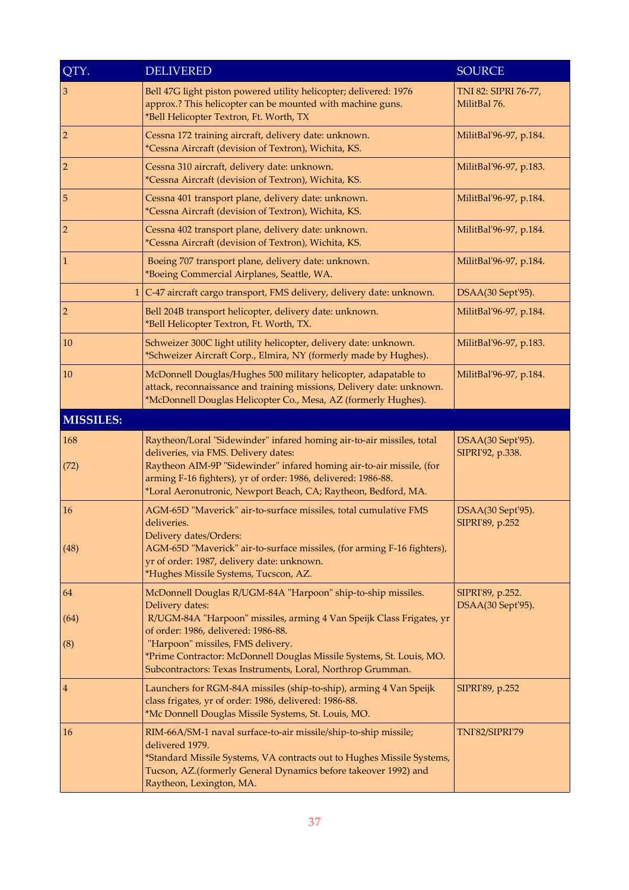| QTY.             | <b>DELIVERED</b>                                                                                                                                                                                                                                                                                                         | <b>SOURCE</b>                         |
|------------------|--------------------------------------------------------------------------------------------------------------------------------------------------------------------------------------------------------------------------------------------------------------------------------------------------------------------------|---------------------------------------|
| 3                | Bell 47G light piston powered utility helicopter; delivered: 1976<br>approx.? This helicopter can be mounted with machine guns.<br>*Bell Helicopter Textron, Ft. Worth, TX                                                                                                                                               | TNI 82: SIPRI 76-77,<br>MilitBal 76.  |
| $\overline{2}$   | Cessna 172 training aircraft, delivery date: unknown.<br>*Cessna Aircraft (devision of Textron), Wichita, KS.                                                                                                                                                                                                            | MilitBal'96-97, p.184.                |
| $\overline{c}$   | Cessna 310 aircraft, delivery date: unknown.<br>*Cessna Aircraft (devision of Textron), Wichita, KS.                                                                                                                                                                                                                     | MilitBal'96-97, p.183.                |
| $\overline{5}$   | Cessna 401 transport plane, delivery date: unknown.<br>*Cessna Aircraft (devision of Textron), Wichita, KS.                                                                                                                                                                                                              | MilitBal'96-97, p.184.                |
| $\overline{2}$   | Cessna 402 transport plane, delivery date: unknown.<br>*Cessna Aircraft (devision of Textron), Wichita, KS.                                                                                                                                                                                                              | MilitBal'96-97, p.184.                |
| $\mathbf{1}$     | Boeing 707 transport plane, delivery date: unknown.<br>*Boeing Commercial Airplanes, Seattle, WA.                                                                                                                                                                                                                        | MilitBal'96-97, p.184.                |
| $\mathbf{1}$     | C-47 aircraft cargo transport, FMS delivery, delivery date: unknown.                                                                                                                                                                                                                                                     | DSAA(30 Sept'95).                     |
| $\overline{c}$   | Bell 204B transport helicopter, delivery date: unknown.<br>*Bell Helicopter Textron, Ft. Worth, TX.                                                                                                                                                                                                                      | MilitBal'96-97, p.184.                |
| 10               | Schweizer 300C light utility helicopter, delivery date: unknown.<br>*Schweizer Aircraft Corp., Elmira, NY (formerly made by Hughes).                                                                                                                                                                                     | MilitBal'96-97, p.183.                |
| 10               | McDonnell Douglas/Hughes 500 military helicopter, adapatable to<br>attack, reconnaissance and training missions, Delivery date: unknown.<br>*McDonnell Douglas Helicopter Co., Mesa, AZ (formerly Hughes).                                                                                                               | MilitBal'96-97, p.184.                |
| <b>MISSILES:</b> |                                                                                                                                                                                                                                                                                                                          |                                       |
| 168<br>(72)      | Raytheon/Loral "Sidewinder" infared homing air-to-air missiles, total<br>deliveries, via FMS. Delivery dates:<br>Raytheon AIM-9P "Sidewinder" infared homing air-to-air missile, (for<br>arming F-16 fighters), yr of order: 1986, delivered: 1986-88.<br>*Loral Aeronutronic, Newport Beach, CA; Raytheon, Bedford, MA. | DSAA(30 Sept'95).<br>SIPRI'92, p.338. |
| 16<br>(48)       | AGM-65D "Maverick" air-to-surface missiles, total cumulative FMS<br>deliveries.<br>Delivery dates/Orders:<br>AGM-65D "Maverick" air-to-surface missiles, (for arming F-16 fighters),<br>yr of order: 1987, delivery date: unknown.<br>*Hughes Missile Systems, Tucscon, AZ.                                              | DSAA(30 Sept'95).<br>SIPRI'89, p.252  |
| 64               | McDonnell Douglas R/UGM-84A "Harpoon" ship-to-ship missiles.                                                                                                                                                                                                                                                             | SIPRI'89, p.252.                      |
| (64)             | Delivery dates:<br>R/UGM-84A "Harpoon" missiles, arming 4 Van Speijk Class Frigates, yr<br>of order: 1986, delivered: 1986-88.                                                                                                                                                                                           | DSAA(30 Sept'95).                     |
| (8)              | "Harpoon" missiles, FMS delivery.<br>*Prime Contractor: McDonnell Douglas Missile Systems, St. Louis, MO.<br>Subcontractors: Texas Instruments, Loral, Northrop Grumman.                                                                                                                                                 |                                       |
| $\bf 4$          | Launchers for RGM-84A missiles (ship-to-ship), arming 4 Van Speijk<br>class frigates, yr of order: 1986, delivered: 1986-88.<br>*Mc Donnell Douglas Missile Systems, St. Louis, MO.                                                                                                                                      | SIPRI'89, p.252                       |
| 16               | RIM-66A/SM-1 naval surface-to-air missile/ship-to-ship missile;<br>delivered 1979.<br>*Standard Missile Systems, VA contracts out to Hughes Missile Systems,<br>Tucson, AZ.(formerly General Dynamics before takeover 1992) and<br>Raytheon, Lexington, MA.                                                              | TNI'82/SIPRI'79                       |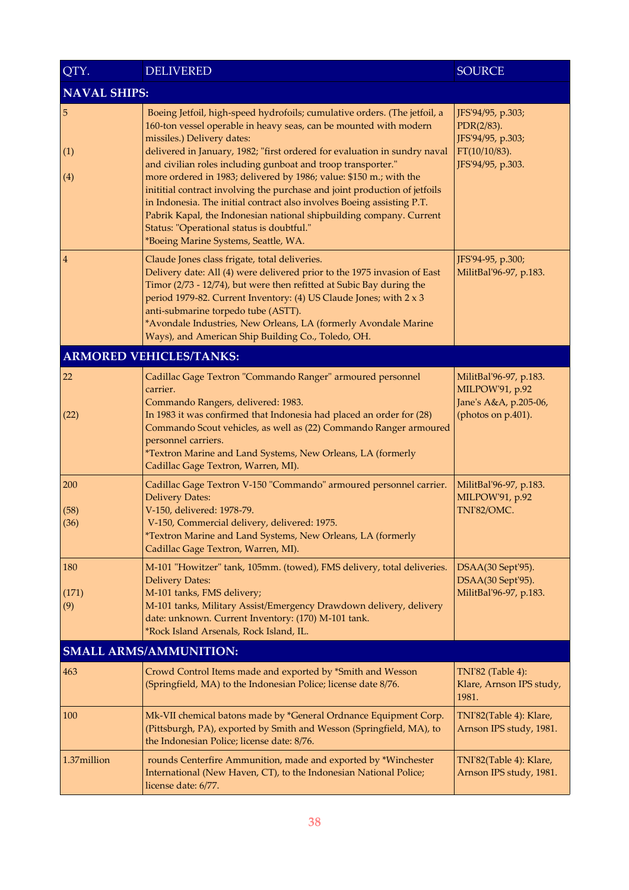| QTY.                         | <b>DELIVERED</b>                                                                                                                                                                                                                                                                                                                                                                                                                                                                                                                                                                                                                                                                                                    | <b>SOURCE</b>                                                                              |
|------------------------------|---------------------------------------------------------------------------------------------------------------------------------------------------------------------------------------------------------------------------------------------------------------------------------------------------------------------------------------------------------------------------------------------------------------------------------------------------------------------------------------------------------------------------------------------------------------------------------------------------------------------------------------------------------------------------------------------------------------------|--------------------------------------------------------------------------------------------|
| <b>NAVAL SHIPS:</b>          |                                                                                                                                                                                                                                                                                                                                                                                                                                                                                                                                                                                                                                                                                                                     |                                                                                            |
| $\overline{5}$<br>(1)<br>(4) | Boeing Jetfoil, high-speed hydrofoils; cumulative orders. (The jetfoil, a<br>160-ton vessel operable in heavy seas, can be mounted with modern<br>missiles.) Delivery dates:<br>delivered in January, 1982; "first ordered for evaluation in sundry naval<br>and civilian roles including gunboat and troop transporter."<br>more ordered in 1983; delivered by 1986; value: \$150 m.; with the<br>inititial contract involving the purchase and joint production of jetfoils<br>in Indonesia. The initial contract also involves Boeing assisting P.T.<br>Pabrik Kapal, the Indonesian national shipbuilding company. Current<br>Status: "Operational status is doubtful."<br>*Boeing Marine Systems, Seattle, WA. | JFS'94/95, p.303;<br>PDR(2/83).<br>JFS'94/95, p.303;<br>FT(10/10/83).<br>JFS'94/95, p.303. |
| $\overline{4}$               | Claude Jones class frigate, total deliveries.<br>Delivery date: All (4) were delivered prior to the 1975 invasion of East<br>Timor (2/73 - 12/74), but were then refitted at Subic Bay during the<br>period 1979-82. Current Inventory: (4) US Claude Jones; with 2 x 3<br>anti-submarine torpedo tube (ASTT).<br>*Avondale Industries, New Orleans, LA (formerly Avondale Marine<br>Ways), and American Ship Building Co., Toledo, OH.                                                                                                                                                                                                                                                                             | JFS'94-95, p.300;<br>MilitBal'96-97, p.183.                                                |
|                              | <b>ARMORED VEHICLES/TANKS:</b>                                                                                                                                                                                                                                                                                                                                                                                                                                                                                                                                                                                                                                                                                      |                                                                                            |
| 22<br>(22)                   | Cadillac Gage Textron "Commando Ranger" armoured personnel<br>carrier.<br>Commando Rangers, delivered: 1983.<br>In 1983 it was confirmed that Indonesia had placed an order for (28)<br>Commando Scout vehicles, as well as (22) Commando Ranger armoured<br>personnel carriers.<br>*Textron Marine and Land Systems, New Orleans, LA (formerly<br>Cadillac Gage Textron, Warren, MI).                                                                                                                                                                                                                                                                                                                              | MilitBal'96-97, p.183.<br>MILPOW'91, p.92<br>Jane's A&A, p.205-06,<br>(photos on p.401).   |
| 200<br>(58)<br>(36)          | Cadillac Gage Textron V-150 "Commando" armoured personnel carrier.<br><b>Delivery Dates:</b><br>V-150, delivered: 1978-79.<br>V-150, Commercial delivery, delivered: 1975.<br>*Textron Marine and Land Systems, New Orleans, LA (formerly<br>Cadillac Gage Textron, Warren, MI).                                                                                                                                                                                                                                                                                                                                                                                                                                    | MilitBal'96-97, p.183.<br>MILPOW'91, p.92<br>TNI'82/OMC.                                   |
| 180<br>(171)<br>(9)          | M-101 "Howitzer" tank, 105mm. (towed), FMS delivery, total deliveries.<br><b>Delivery Dates:</b><br>M-101 tanks, FMS delivery;<br>M-101 tanks, Military Assist/Emergency Drawdown delivery, delivery<br>date: unknown. Current Inventory: (170) M-101 tank.<br>*Rock Island Arsenals, Rock Island, IL.                                                                                                                                                                                                                                                                                                                                                                                                              | DSAA(30 Sept'95).<br>DSAA(30 Sept'95).<br>MilitBal'96-97, p.183.                           |
|                              | <b>SMALL ARMS/AMMUNITION:</b>                                                                                                                                                                                                                                                                                                                                                                                                                                                                                                                                                                                                                                                                                       |                                                                                            |
| 463                          | Crowd Control Items made and exported by *Smith and Wesson<br>(Springfield, MA) to the Indonesian Police; license date 8/76.                                                                                                                                                                                                                                                                                                                                                                                                                                                                                                                                                                                        | TNI'82 (Table 4):<br>Klare, Arnson IPS study,<br>1981.                                     |
| 100                          | Mk-VII chemical batons made by *General Ordnance Equipment Corp.<br>(Pittsburgh, PA), exported by Smith and Wesson (Springfield, MA), to<br>the Indonesian Police; license date: 8/76.                                                                                                                                                                                                                                                                                                                                                                                                                                                                                                                              | TNI'82(Table 4): Klare,<br>Arnson IPS study, 1981.                                         |
| 1.37million                  | rounds Centerfire Ammunition, made and exported by *Winchester<br>International (New Haven, CT), to the Indonesian National Police;<br>license date: 6/77.                                                                                                                                                                                                                                                                                                                                                                                                                                                                                                                                                          | TNI'82(Table 4): Klare,<br>Arnson IPS study, 1981.                                         |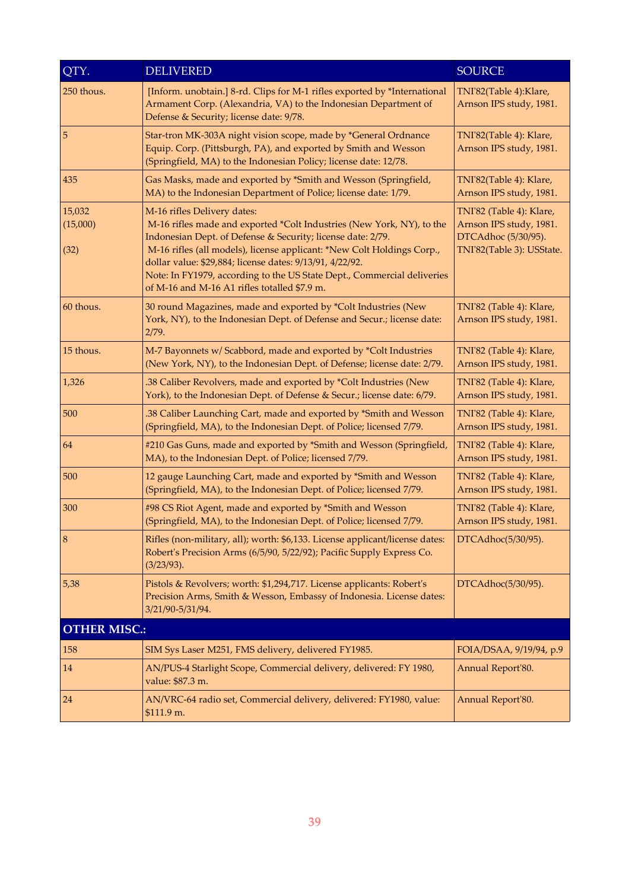| QTY.                       | <b>DELIVERED</b>                                                                                                                                                                                                                                                                                                                                                                                                                     | <b>SOURCE</b>                                                                                           |
|----------------------------|--------------------------------------------------------------------------------------------------------------------------------------------------------------------------------------------------------------------------------------------------------------------------------------------------------------------------------------------------------------------------------------------------------------------------------------|---------------------------------------------------------------------------------------------------------|
| 250 thous.                 | [Inform. unobtain.] 8-rd. Clips for M-1 rifles exported by *International<br>Armament Corp. (Alexandria, VA) to the Indonesian Department of<br>Defense & Security; license date: 9/78.                                                                                                                                                                                                                                              | TNI'82(Table 4):Klare,<br>Arnson IPS study, 1981.                                                       |
| $\overline{5}$             | Star-tron MK-303A night vision scope, made by *General Ordnance<br>Equip. Corp. (Pittsburgh, PA), and exported by Smith and Wesson<br>(Springfield, MA) to the Indonesian Policy; license date: 12/78.                                                                                                                                                                                                                               | TNI'82(Table 4): Klare,<br>Arnson IPS study, 1981.                                                      |
| 435                        | Gas Masks, made and exported by *Smith and Wesson (Springfield,<br>MA) to the Indonesian Department of Police; license date: 1/79.                                                                                                                                                                                                                                                                                                   | TNI'82(Table 4): Klare,<br>Arnson IPS study, 1981.                                                      |
| 15,032<br>(15,000)<br>(32) | M-16 rifles Delivery dates:<br>M-16 rifles made and exported *Colt Industries (New York, NY), to the<br>Indonesian Dept. of Defense & Security; license date: 2/79.<br>M-16 rifles (all models), license applicant: *New Colt Holdings Corp.,<br>dollar value: \$29,884; license dates: 9/13/91, 4/22/92.<br>Note: In FY1979, according to the US State Dept., Commercial deliveries<br>of M-16 and M-16 A1 rifles totalled \$7.9 m. | TNI'82 (Table 4): Klare,<br>Arnson IPS study, 1981.<br>DTCAdhoc (5/30/95).<br>TNI'82(Table 3): USState. |
| 60 thous.                  | 30 round Magazines, made and exported by *Colt Industries (New<br>York, NY), to the Indonesian Dept. of Defense and Secur.; license date:<br>2/79.                                                                                                                                                                                                                                                                                   | TNI'82 (Table 4): Klare,<br>Arnson IPS study, 1981.                                                     |
| 15 thous.                  | M-7 Bayonnets w/ Scabbord, made and exported by *Colt Industries<br>(New York, NY), to the Indonesian Dept. of Defense; license date: 2/79.                                                                                                                                                                                                                                                                                          | TNI'82 (Table 4): Klare,<br>Arnson IPS study, 1981.                                                     |
| 1,326                      | .38 Caliber Revolvers, made and exported by *Colt Industries (New<br>York), to the Indonesian Dept. of Defense & Secur.; license date: 6/79.                                                                                                                                                                                                                                                                                         | TNI'82 (Table 4): Klare,<br>Arnson IPS study, 1981.                                                     |
| 500                        | .38 Caliber Launching Cart, made and exported by *Smith and Wesson<br>(Springfield, MA), to the Indonesian Dept. of Police; licensed 7/79.                                                                                                                                                                                                                                                                                           | TNI'82 (Table 4): Klare,<br>Arnson IPS study, 1981.                                                     |
| 64                         | #210 Gas Guns, made and exported by *Smith and Wesson (Springfield,<br>MA), to the Indonesian Dept. of Police; licensed 7/79.                                                                                                                                                                                                                                                                                                        | TNI'82 (Table 4): Klare,<br>Arnson IPS study, 1981.                                                     |
| 500                        | 12 gauge Launching Cart, made and exported by *Smith and Wesson<br>(Springfield, MA), to the Indonesian Dept. of Police; licensed 7/79.                                                                                                                                                                                                                                                                                              | TNI'82 (Table 4): Klare,<br>Arnson IPS study, 1981.                                                     |
| 300                        | #98 CS Riot Agent, made and exported by *Smith and Wesson<br>(Springfield, MA), to the Indonesian Dept. of Police; licensed 7/79.                                                                                                                                                                                                                                                                                                    | TNI'82 (Table 4): Klare,<br>Arnson IPS study, 1981.                                                     |
| 8                          | Rifles (non-military, all); worth: \$6,133. License applicant/license dates:<br>Robert's Precision Arms (6/5/90, 5/22/92); Pacific Supply Express Co.<br>$(3/23/93)$ .                                                                                                                                                                                                                                                               | DTCAdhoc(5/30/95).                                                                                      |
| 5,38                       | Pistols & Revolvers; worth: \$1,294,717. License applicants: Robert's<br>Precision Arms, Smith & Wesson, Embassy of Indonesia. License dates:<br>3/21/90-5/31/94.                                                                                                                                                                                                                                                                    | DTCAdhoc(5/30/95).                                                                                      |
| <b>OTHER MISC.:</b>        |                                                                                                                                                                                                                                                                                                                                                                                                                                      |                                                                                                         |
| 158                        | SIM Sys Laser M251, FMS delivery, delivered FY1985.                                                                                                                                                                                                                                                                                                                                                                                  | FOIA/DSAA, 9/19/94, p.9                                                                                 |
| 14                         | AN/PUS-4 Starlight Scope, Commercial delivery, delivered: FY 1980,<br>value: \$87.3 m.                                                                                                                                                                                                                                                                                                                                               | Annual Report'80.                                                                                       |
| 24                         | AN/VRC-64 radio set, Commercial delivery, delivered: FY1980, value:<br>\$111.9 m.                                                                                                                                                                                                                                                                                                                                                    | Annual Report'80.                                                                                       |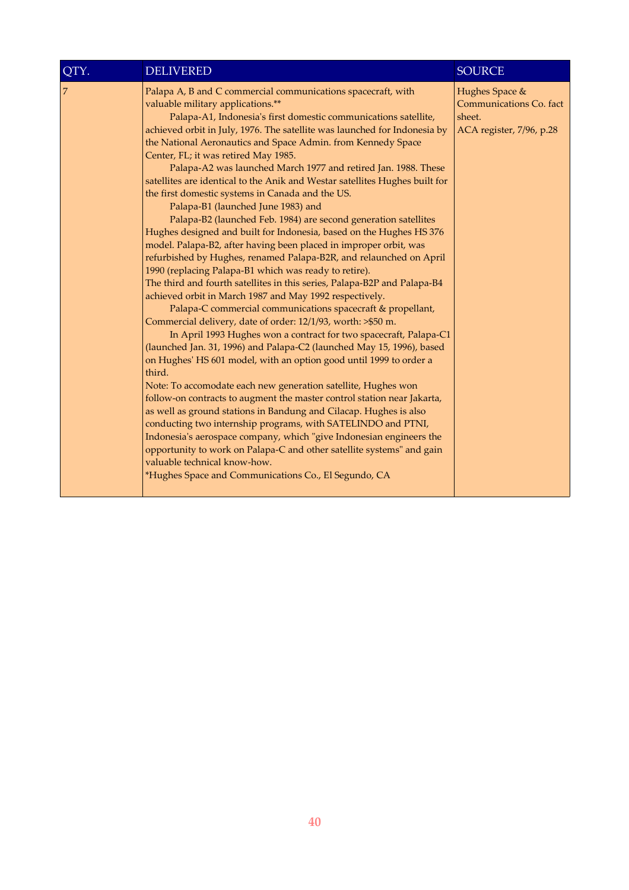| QTY.           | <b>DELIVERED</b>                                                                                                                                                                                                                                                                                                                                                                                                                                                                                                                                                                                                                                                                                                                                                                                                                                                                                                                                                                                                                                                                                                                                                                                                                                                                                                                                                                                                                                                                                                                                                                                                                                                                                                                                                                                                                                                                                                                                                                | <b>SOURCE</b>                                                                   |
|----------------|---------------------------------------------------------------------------------------------------------------------------------------------------------------------------------------------------------------------------------------------------------------------------------------------------------------------------------------------------------------------------------------------------------------------------------------------------------------------------------------------------------------------------------------------------------------------------------------------------------------------------------------------------------------------------------------------------------------------------------------------------------------------------------------------------------------------------------------------------------------------------------------------------------------------------------------------------------------------------------------------------------------------------------------------------------------------------------------------------------------------------------------------------------------------------------------------------------------------------------------------------------------------------------------------------------------------------------------------------------------------------------------------------------------------------------------------------------------------------------------------------------------------------------------------------------------------------------------------------------------------------------------------------------------------------------------------------------------------------------------------------------------------------------------------------------------------------------------------------------------------------------------------------------------------------------------------------------------------------------|---------------------------------------------------------------------------------|
| $\overline{7}$ | Palapa A, B and C commercial communications spacecraft, with<br>valuable military applications.**<br>Palapa-A1, Indonesia's first domestic communications satellite,<br>achieved orbit in July, 1976. The satellite was launched for Indonesia by<br>the National Aeronautics and Space Admin. from Kennedy Space<br>Center, FL; it was retired May 1985.<br>Palapa-A2 was launched March 1977 and retired Jan. 1988. These<br>satellites are identical to the Anik and Westar satellites Hughes built for<br>the first domestic systems in Canada and the US.<br>Palapa-B1 (launched June 1983) and<br>Palapa-B2 (launched Feb. 1984) are second generation satellites<br>Hughes designed and built for Indonesia, based on the Hughes HS 376<br>model. Palapa-B2, after having been placed in improper orbit, was<br>refurbished by Hughes, renamed Palapa-B2R, and relaunched on April<br>1990 (replacing Palapa-B1 which was ready to retire).<br>The third and fourth satellites in this series, Palapa-B2P and Palapa-B4<br>achieved orbit in March 1987 and May 1992 respectively.<br>Palapa-C commercial communications spacecraft & propellant,<br>Commercial delivery, date of order: 12/1/93, worth: >\$50 m.<br>In April 1993 Hughes won a contract for two spacecraft, Palapa-C1<br>(launched Jan. 31, 1996) and Palapa-C2 (launched May 15, 1996), based<br>on Hughes' HS 601 model, with an option good until 1999 to order a<br>third.<br>Note: To accomodate each new generation satellite, Hughes won<br>follow-on contracts to augment the master control station near Jakarta,<br>as well as ground stations in Bandung and Cilacap. Hughes is also<br>conducting two internship programs, with SATELINDO and PTNI,<br>Indonesia's aerospace company, which "give Indonesian engineers the<br>opportunity to work on Palapa-C and other satellite systems" and gain<br>valuable technical know-how.<br>*Hughes Space and Communications Co., El Segundo, CA | Hughes Space &<br>Communications Co. fact<br>sheet.<br>ACA register, 7/96, p.28 |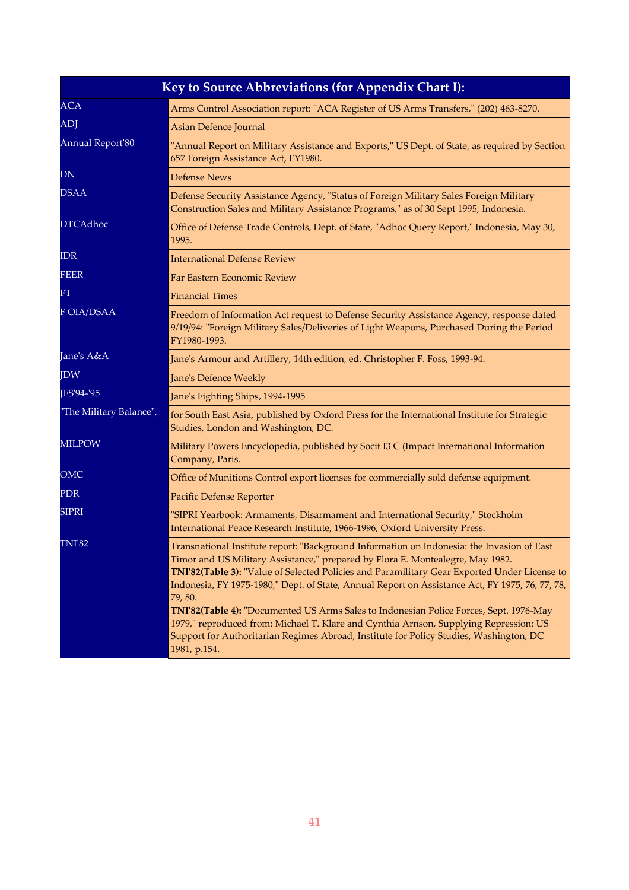|                         | Key to Source Abbreviations (for Appendix Chart I):                                                                                                                                                                                                                                                                                                                                                                                                                                                                                                                                                                                                                                     |
|-------------------------|-----------------------------------------------------------------------------------------------------------------------------------------------------------------------------------------------------------------------------------------------------------------------------------------------------------------------------------------------------------------------------------------------------------------------------------------------------------------------------------------------------------------------------------------------------------------------------------------------------------------------------------------------------------------------------------------|
| <b>ACA</b>              | Arms Control Association report: "ACA Register of US Arms Transfers," (202) 463-8270.                                                                                                                                                                                                                                                                                                                                                                                                                                                                                                                                                                                                   |
| <b>ADJ</b>              | Asian Defence Journal                                                                                                                                                                                                                                                                                                                                                                                                                                                                                                                                                                                                                                                                   |
| <b>Annual Report'80</b> | "Annual Report on Military Assistance and Exports," US Dept. of State, as required by Section<br>657 Foreign Assistance Act, FY1980.                                                                                                                                                                                                                                                                                                                                                                                                                                                                                                                                                    |
| DN                      | <b>Defense News</b>                                                                                                                                                                                                                                                                                                                                                                                                                                                                                                                                                                                                                                                                     |
| <b>DSAA</b>             | Defense Security Assistance Agency, "Status of Foreign Military Sales Foreign Military<br>Construction Sales and Military Assistance Programs," as of 30 Sept 1995, Indonesia.                                                                                                                                                                                                                                                                                                                                                                                                                                                                                                          |
| <b>DTCAdhoc</b>         | Office of Defense Trade Controls, Dept. of State, "Adhoc Query Report," Indonesia, May 30,<br>1995.                                                                                                                                                                                                                                                                                                                                                                                                                                                                                                                                                                                     |
| IDR                     | <b>International Defense Review</b>                                                                                                                                                                                                                                                                                                                                                                                                                                                                                                                                                                                                                                                     |
| <b>FEER</b>             | Far Eastern Economic Review                                                                                                                                                                                                                                                                                                                                                                                                                                                                                                                                                                                                                                                             |
| FT                      | <b>Financial Times</b>                                                                                                                                                                                                                                                                                                                                                                                                                                                                                                                                                                                                                                                                  |
| F OIA/DSAA              | Freedom of Information Act request to Defense Security Assistance Agency, response dated<br>9/19/94: "Foreign Military Sales/Deliveries of Light Weapons, Purchased During the Period<br>FY1980-1993.                                                                                                                                                                                                                                                                                                                                                                                                                                                                                   |
| Jane's A&A              | Jane's Armour and Artillery, 14th edition, ed. Christopher F. Foss, 1993-94.                                                                                                                                                                                                                                                                                                                                                                                                                                                                                                                                                                                                            |
| <b>JDW</b>              | Jane's Defence Weekly                                                                                                                                                                                                                                                                                                                                                                                                                                                                                                                                                                                                                                                                   |
| <b>IFS'94-'95</b>       | Jane's Fighting Ships, 1994-1995                                                                                                                                                                                                                                                                                                                                                                                                                                                                                                                                                                                                                                                        |
| "The Military Balance", | for South East Asia, published by Oxford Press for the International Institute for Strategic<br>Studies, London and Washington, DC.                                                                                                                                                                                                                                                                                                                                                                                                                                                                                                                                                     |
| <b>MILPOW</b>           | Military Powers Encyclopedia, published by Socit I3 C (Impact International Information<br>Company, Paris.                                                                                                                                                                                                                                                                                                                                                                                                                                                                                                                                                                              |
| OMC                     | Office of Munitions Control export licenses for commercially sold defense equipment.                                                                                                                                                                                                                                                                                                                                                                                                                                                                                                                                                                                                    |
| <b>PDR</b>              | Pacific Defense Reporter                                                                                                                                                                                                                                                                                                                                                                                                                                                                                                                                                                                                                                                                |
| <b>SIPRI</b>            | "SIPRI Yearbook: Armaments, Disarmament and International Security," Stockholm<br>International Peace Research Institute, 1966-1996, Oxford University Press.                                                                                                                                                                                                                                                                                                                                                                                                                                                                                                                           |
| <b>TNI'82</b>           | Transnational Institute report: "Background Information on Indonesia: the Invasion of East<br>Timor and US Military Assistance," prepared by Flora E. Montealegre, May 1982.<br>TNI'82(Table 3): "Value of Selected Policies and Paramilitary Gear Exported Under License to<br>Indonesia, FY 1975-1980," Dept. of State, Annual Report on Assistance Act, FY 1975, 76, 77, 78,<br>79, 80.<br>TNI'82(Table 4): "Documented US Arms Sales to Indonesian Police Forces, Sept. 1976-May<br>1979," reproduced from: Michael T. Klare and Cynthia Arnson, Supplying Repression: US<br>Support for Authoritarian Regimes Abroad, Institute for Policy Studies, Washington, DC<br>1981, p.154. |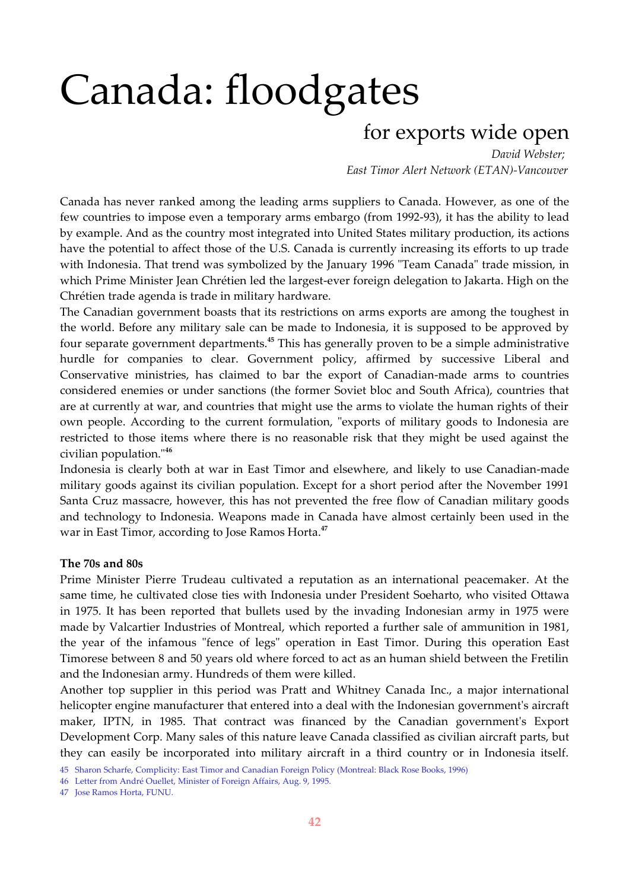# Canada: floodgates

### for exports wide open

*David Webster; East Timor Alert Network (ETAN)-Vancouver*

Canada has never ranked among the leading arms suppliers to Canada. However, as one of the few countries to impose even a temporary arms embargo (from 1992-93), it has the ability to lead by example. And as the country most integrated into United States military production, its actions have the potential to affect those of the U.S. Canada is currently increasing its efforts to up trade with Indonesia. That trend was symbolized by the January 1996 "Team Canada" trade mission, in which Prime Minister Jean Chrétien led the largest-ever foreign delegation to Jakarta. High on the Chrétien trade agenda is trade in military hardware.

The Canadian government boasts that its restrictions on arms exports are among the toughest in the world. Before any military sale can be made to Indonesia, it is supposed to be approved by four separate government departments.**<sup>45</sup>** This has generally proven to be a simple administrative hurdle for companies to clear. Government policy, affirmed by successive Liberal and Conservative ministries, has claimed to bar the export of Canadian-made arms to countries considered enemies or under sanctions (the former Soviet bloc and South Africa), countries that are at currently at war, and countries that might use the arms to violate the human rights of their own people. According to the current formulation, "exports of military goods to Indonesia are restricted to those items where there is no reasonable risk that they might be used against the civilian population." **46**

Indonesia is clearly both at war in East Timor and elsewhere, and likely to use Canadian-made military goods against its civilian population. Except for a short period after the November 1991 Santa Cruz massacre, however, this has not prevented the free flow of Canadian military goods and technology to Indonesia. Weapons made in Canada have almost certainly been used in the war in East Timor, according to Jose Ramos Horta. **47**

#### **The 70s and 80s**

Prime Minister Pierre Trudeau cultivated a reputation as an international peacemaker. At the same time, he cultivated close ties with Indonesia under President Soeharto, who visited Ottawa in 1975. It has been reported that bullets used by the invading Indonesian army in 1975 were made by Valcartier Industries of Montreal, which reported a further sale of ammunition in 1981, the year of the infamous "fence of legs" operation in East Timor. During this operation East Timorese between 8 and 50 years old where forced to act as an human shield between the Fretilin and the Indonesian army. Hundreds of them were killed.

Another top supplier in this period was Pratt and Whitney Canada Inc., a major international helicopter engine manufacturer that entered into a deal with the Indonesian government's aircraft maker, IPTN, in 1985. That contract was financed by the Canadian government's Export Development Corp. Many sales of this nature leave Canada classified as civilian aircraft parts, but they can easily be incorporated into military aircraft in a third country or in Indonesia itself.

47 Jose Ramos Horta, FUNU.

<sup>45</sup> Sharon Scharfe, Complicity: East Timor and Canadian Foreign Policy (Montreal: Black Rose Books, 1996)

<sup>46</sup> Letter from André Ouellet, Minister of Foreign Affairs, Aug. 9, 1995.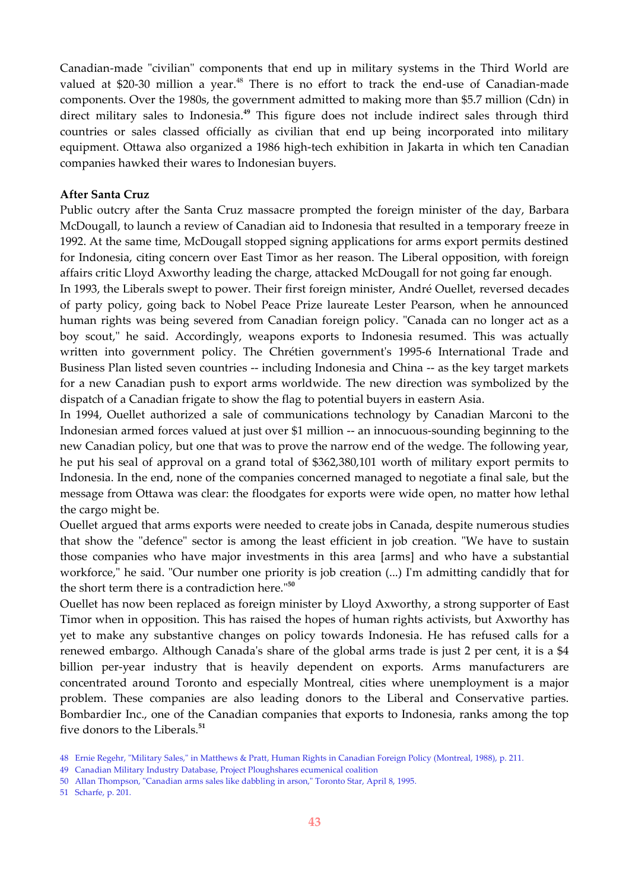Canadian-made "civilian" components that end up in military systems in the Third World are valued at \$20-30 million a year.<sup>48</sup> There is no effort to track the end-use of Canadian-made components. Over the 1980s, the government admitted to making more than \$5.7 million (Cdn) in direct military sales to Indonesia. **<sup>49</sup>** This figure does not include indirect sales through third countries or sales classed officially as civilian that end up being incorporated into military equipment. Ottawa also organized a 1986 high-tech exhibition in Jakarta in which ten Canadian companies hawked their wares to Indonesian buyers.

#### **After Santa Cruz**

Public outcry after the Santa Cruz massacre prompted the foreign minister of the day, Barbara McDougall, to launch a review of Canadian aid to Indonesia that resulted in a temporary freeze in 1992. At the same time, McDougall stopped signing applications for arms export permits destined for Indonesia, citing concern over East Timor as her reason. The Liberal opposition, with foreign affairs critic Lloyd Axworthy leading the charge, attacked McDougall for not going far enough.

In 1993, the Liberals swept to power. Their first foreign minister, André Ouellet, reversed decades of party policy, going back to Nobel Peace Prize laureate Lester Pearson, when he announced human rights was being severed from Canadian foreign policy. "Canada can no longer act as a boy scout," he said. Accordingly, weapons exports to Indonesia resumed. This was actually written into government policy. The Chrétien government's 1995-6 International Trade and Business Plan listed seven countries -- including Indonesia and China -- as the key target markets for a new Canadian push to export arms worldwide. The new direction was symbolized by the dispatch of a Canadian frigate to show the flag to potential buyers in eastern Asia.

In 1994, Ouellet authorized a sale of communications technology by Canadian Marconi to the Indonesian armed forces valued at just over \$1 million -- an innocuous-sounding beginning to the new Canadian policy, but one that was to prove the narrow end of the wedge. The following year, he put his seal of approval on a grand total of \$362,380,101 worth of military export permits to Indonesia. In the end, none of the companies concerned managed to negotiate a final sale, but the message from Ottawa was clear: the floodgates for exports were wide open, no matter how lethal the cargo might be.

Ouellet argued that arms exports were needed to create jobs in Canada, despite numerous studies that show the "defence" sector is among the least efficient in job creation. "We have to sustain those companies who have major investments in this area [arms] and who have a substantial workforce," he said. "Our number one priority is job creation (...) I'm admitting candidly that for the short term there is a contradiction here." **50**

Ouellet has now been replaced as foreign minister by Lloyd Axworthy, a strong supporter of East Timor when in opposition. This has raised the hopes of human rights activists, but Axworthy has yet to make any substantive changes on policy towards Indonesia. He has refused calls for a renewed embargo. Although Canada's share of the global arms trade is just 2 per cent, it is a \$4 billion per-year industry that is heavily dependent on exports. Arms manufacturers are concentrated around Toronto and especially Montreal, cities where unemployment is a major problem. These companies are also leading donors to the Liberal and Conservative parties. Bombardier Inc., one of the Canadian companies that exports to Indonesia, ranks among the top five donors to the Liberals.**<sup>51</sup>**

51 Scharfe, p. 201.

<sup>48</sup> Ernie Regehr, "Military Sales," in Matthews & Pratt, Human Rights in Canadian Foreign Policy (Montreal, 1988), p. 211.

<sup>49</sup> Canadian Military Industry Database, Project Ploughshares ecumenical coalition

<sup>50</sup> Allan Thompson, "Canadian arms sales like dabbling in arson," Toronto Star, April 8, 1995.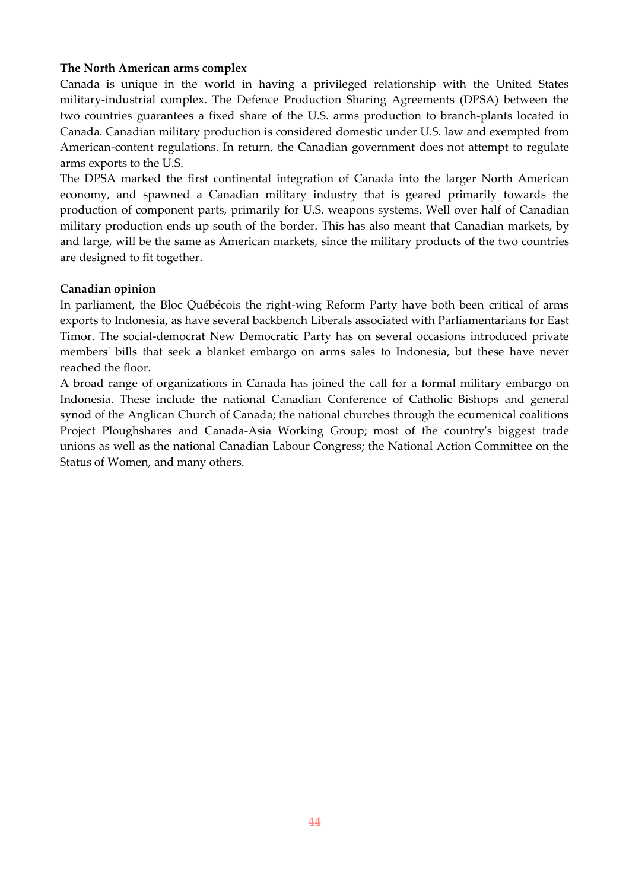#### **The North American arms complex**

Canada is unique in the world in having a privileged relationship with the United States military-industrial complex. The Defence Production Sharing Agreements (DPSA) between the two countries guarantees a fixed share of the U.S. arms production to branch-plants located in Canada. Canadian military production is considered domestic under U.S. law and exempted from American-content regulations. In return, the Canadian government does not attempt to regulate arms exports to the U.S.

The DPSA marked the first continental integration of Canada into the larger North American economy, and spawned a Canadian military industry that is geared primarily towards the production of component parts, primarily for U.S. weapons systems. Well over half of Canadian military production ends up south of the border. This has also meant that Canadian markets, by and large, will be the same as American markets, since the military products of the two countries are designed to fit together.

#### **Canadian opinion**

In parliament, the Bloc Québécois the right-wing Reform Party have both been critical of arms exports to Indonesia, as have several backbench Liberals associated with Parliamentarians for East Timor. The social-democrat New Democratic Party has on several occasions introduced private members' bills that seek a blanket embargo on arms sales to Indonesia, but these have never reached the floor.

A broad range of organizations in Canada has joined the call for a formal military embargo on Indonesia. These include the national Canadian Conference of Catholic Bishops and general synod of the Anglican Church of Canada; the national churches through the ecumenical coalitions Project Ploughshares and Canada-Asia Working Group; most of the country's biggest trade unions as well as the national Canadian Labour Congress; the National Action Committee on the Status of Women, and many others.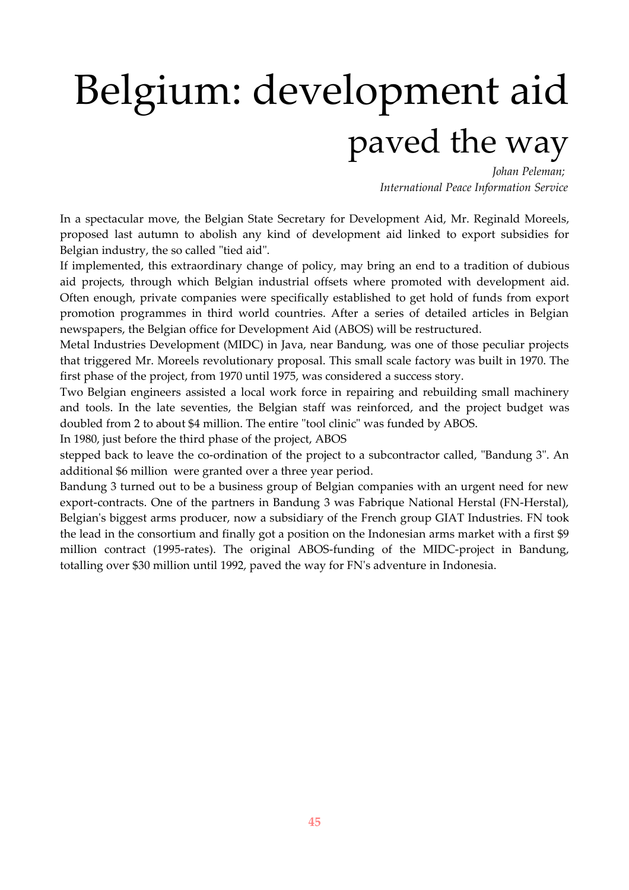## Belgium: development aid paved the way

*Johan Peleman; International Peace Information Service*

In a spectacular move, the Belgian State Secretary for Development Aid, Mr. Reginald Moreels, proposed last autumn to abolish any kind of development aid linked to export subsidies for Belgian industry, the so called "tied aid".

If implemented, this extraordinary change of policy, may bring an end to a tradition of dubious aid projects, through which Belgian industrial offsets where promoted with development aid. Often enough, private companies were specifically established to get hold of funds from export promotion programmes in third world countries. After a series of detailed articles in Belgian newspapers, the Belgian office for Development Aid (ABOS) will be restructured.

Metal Industries Development (MIDC) in Java, near Bandung, was one of those peculiar projects that triggered Mr. Moreels revolutionary proposal. This small scale factory was built in 1970. The first phase of the project, from 1970 until 1975, was considered a success story.

Two Belgian engineers assisted a local work force in repairing and rebuilding small machinery and tools. In the late seventies, the Belgian staff was reinforced, and the project budget was doubled from 2 to about \$4 million. The entire "tool clinic" was funded by ABOS.

In 1980, just before the third phase of the project, ABOS

stepped back to leave the co-ordination of the project to a subcontractor called, "Bandung 3". An additional \$6 million were granted over a three year period.

Bandung 3 turned out to be a business group of Belgian companies with an urgent need for new export-contracts. One of the partners in Bandung 3 was Fabrique National Herstal (FN-Herstal), Belgian's biggest arms producer, now a subsidiary of the French group GIAT Industries. FN took the lead in the consortium and finally got a position on the Indonesian arms market with a first \$9 million contract (1995-rates). The original ABOS-funding of the MIDC-project in Bandung, totalling over \$30 million until 1992, paved the way for FN's adventure in Indonesia.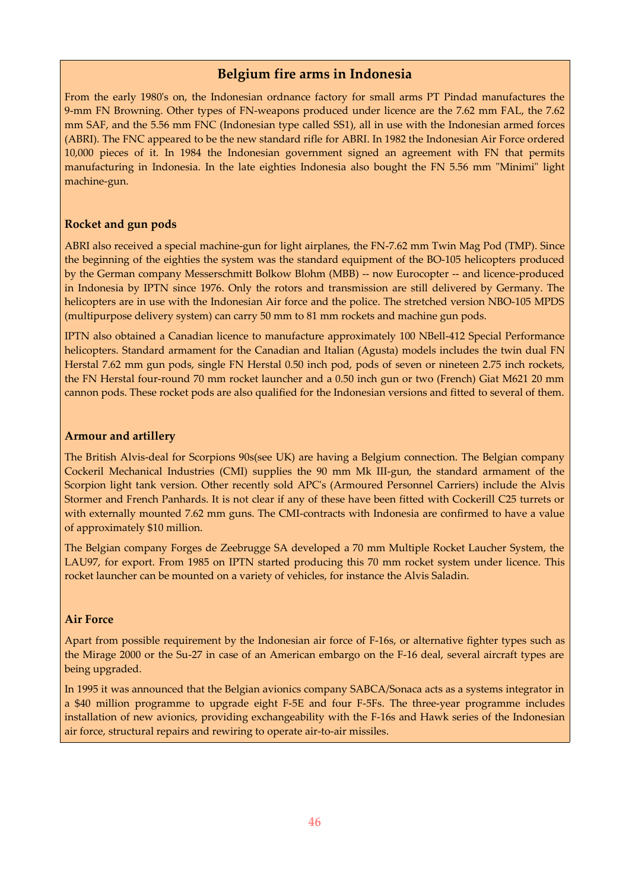#### **Belgium fire arms in Indonesia**

From the early 1980's on, the Indonesian ordnance factory for small arms PT Pindad manufactures the 9-mm FN Browning. Other types of FN-weapons produced under licence are the 7.62 mm FAL, the 7.62 mm SAF, and the 5.56 mm FNC (Indonesian type called SS1), all in use with the Indonesian armed forces (ABRI). The FNC appeared to be the new standard rifle for ABRI. In 1982 the Indonesian Air Force ordered 10,000 pieces of it. In 1984 the Indonesian government signed an agreement with FN that permits manufacturing in Indonesia. In the late eighties Indonesia also bought the FN 5.56 mm "Minimi" light machine-gun.

#### **Rocket and gun pods**

ABRI also received a special machine-gun for light airplanes, the FN-7.62 mm Twin Mag Pod (TMP). Since the beginning of the eighties the system was the standard equipment of the BO-105 helicopters produced by the German company Messerschmitt Bolkow Blohm (MBB) -- now Eurocopter -- and licence-produced in Indonesia by IPTN since 1976. Only the rotors and transmission are still delivered by Germany. The helicopters are in use with the Indonesian Air force and the police. The stretched version NBO-105 MPDS (multipurpose delivery system) can carry 50 mm to 81 mm rockets and machine gun pods.

IPTN also obtained a Canadian licence to manufacture approximately 100 NBell-412 Special Performance helicopters. Standard armament for the Canadian and Italian (Agusta) models includes the twin dual FN Herstal 7.62 mm gun pods, single FN Herstal 0.50 inch pod, pods of seven or nineteen 2.75 inch rockets, the FN Herstal four-round 70 mm rocket launcher and a 0.50 inch gun or two (French) Giat M621 20 mm cannon pods. These rocket pods are also qualified for the Indonesian versions and fitted to several of them.

#### **Armour and artillery**

The British Alvis-deal for Scorpions 90s(see UK) are having a Belgium connection. The Belgian company Cockeril Mechanical Industries (CMI) supplies the 90 mm Mk III-gun, the standard armament of the Scorpion light tank version. Other recently sold APC's (Armoured Personnel Carriers) include the Alvis Stormer and French Panhards. It is not clear if any of these have been fitted with Cockerill C25 turrets or with externally mounted 7.62 mm guns. The CMI-contracts with Indonesia are confirmed to have a value of approximately \$10 million.

The Belgian company Forges de Zeebrugge SA developed a 70 mm Multiple Rocket Laucher System, the LAU97, for export. From 1985 on IPTN started producing this 70 mm rocket system under licence. This rocket launcher can be mounted on a variety of vehicles, for instance the Alvis Saladin.

#### **Air Force**

Apart from possible requirement by the Indonesian air force of F-16s, or alternative fighter types such as the Mirage 2000 or the Su-27 in case of an American embargo on the F-16 deal, several aircraft types are being upgraded.

In 1995 it was announced that the Belgian avionics company SABCA/Sonaca acts as a systems integrator in a \$40 million programme to upgrade eight F-5E and four F-5Fs. The three-year programme includes installation of new avionics, providing exchangeability with the F-16s and Hawk series of the Indonesian air force, structural repairs and rewiring to operate air-to-air missiles.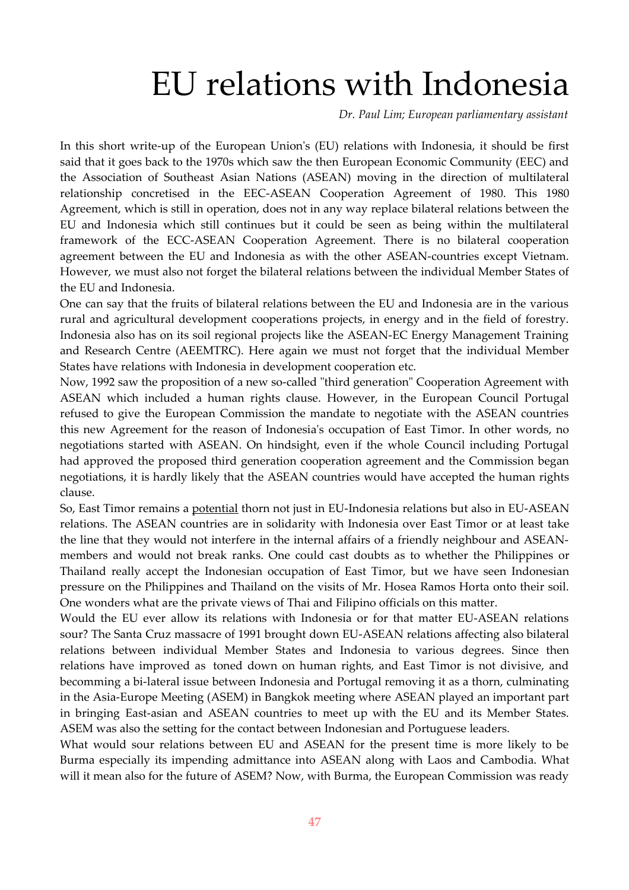## EU relations with Indonesia

*Dr. Paul Lim; European parliamentary assistant*

In this short write-up of the European Union's (EU) relations with Indonesia, it should be first said that it goes back to the 1970s which saw the then European Economic Community (EEC) and the Association of Southeast Asian Nations (ASEAN) moving in the direction of multilateral relationship concretised in the EEC-ASEAN Cooperation Agreement of 1980. This 1980 Agreement, which is still in operation, does not in any way replace bilateral relations between the EU and Indonesia which still continues but it could be seen as being within the multilateral framework of the ECC-ASEAN Cooperation Agreement. There is no bilateral cooperation agreement between the EU and Indonesia as with the other ASEAN-countries except Vietnam. However, we must also not forget the bilateral relations between the individual Member States of the EU and Indonesia.

One can say that the fruits of bilateral relations between the EU and Indonesia are in the various rural and agricultural development cooperations projects, in energy and in the field of forestry. Indonesia also has on its soil regional projects like the ASEAN-EC Energy Management Training and Research Centre (AEEMTRC). Here again we must not forget that the individual Member States have relations with Indonesia in development cooperation etc.

Now, 1992 saw the proposition of a new so-called "third generation" Cooperation Agreement with ASEAN which included a human rights clause. However, in the European Council Portugal refused to give the European Commission the mandate to negotiate with the ASEAN countries this new Agreement for the reason of Indonesia's occupation of East Timor. In other words, no negotiations started with ASEAN. On hindsight, even if the whole Council including Portugal had approved the proposed third generation cooperation agreement and the Commission began negotiations, it is hardly likely that the ASEAN countries would have accepted the human rights clause.

So, East Timor remains a potential thorn not just in EU-Indonesia relations but also in EU-ASEAN relations. The ASEAN countries are in solidarity with Indonesia over East Timor or at least take the line that they would not interfere in the internal affairs of a friendly neighbour and ASEANmembers and would not break ranks. One could cast doubts as to whether the Philippines or Thailand really accept the Indonesian occupation of East Timor, but we have seen Indonesian pressure on the Philippines and Thailand on the visits of Mr. Hosea Ramos Horta onto their soil. One wonders what are the private views of Thai and Filipino officials on this matter.

Would the EU ever allow its relations with Indonesia or for that matter EU-ASEAN relations sour? The Santa Cruz massacre of 1991 brought down EU-ASEAN relations affecting also bilateral relations between individual Member States and Indonesia to various degrees. Since then relations have improved as toned down on human rights, and East Timor is not divisive, and becomming a bi-lateral issue between Indonesia and Portugal removing it as a thorn, culminating in the Asia-Europe Meeting (ASEM) in Bangkok meeting where ASEAN played an important part in bringing East-asian and ASEAN countries to meet up with the EU and its Member States. ASEM was also the setting for the contact between Indonesian and Portuguese leaders.

What would sour relations between EU and ASEAN for the present time is more likely to be Burma especially its impending admittance into ASEAN along with Laos and Cambodia. What will it mean also for the future of ASEM? Now, with Burma, the European Commission was ready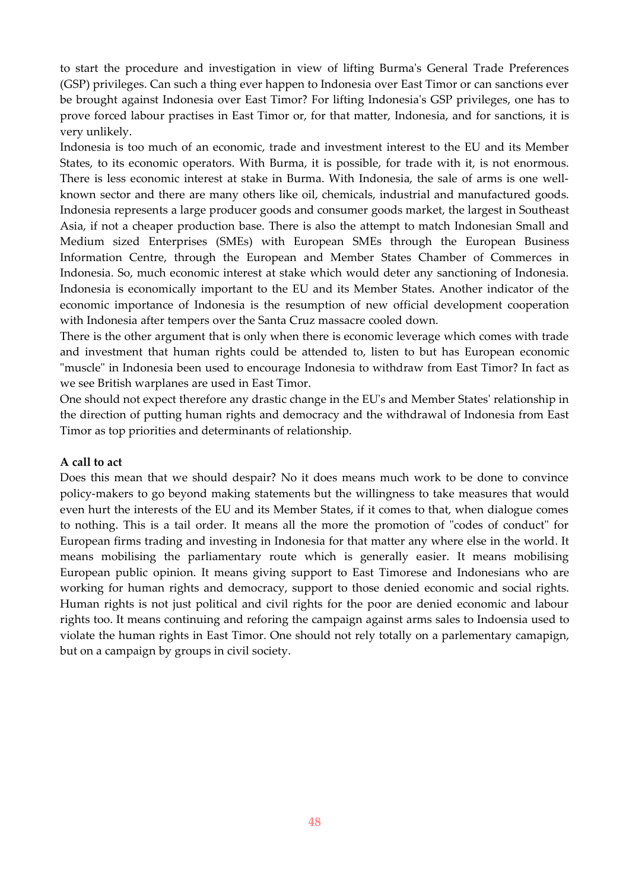to start the procedure and investigation in view of lifting Burma's General Trade Preferences (GSP) privileges. Can such a thing ever happen to Indonesia over East Timor or can sanctions ever be brought against Indonesia over East Timor? For lifting Indonesia's GSP privileges, one has to prove forced labour practises in East Timor or, for that matter, Indonesia, and for sanctions, it is very unlikely.

Indonesia is too much of an economic, trade and investment interest to the EU and its Member States, to its economic operators. With Burma, it is possible, for trade with it, is not enormous. There is less economic interest at stake in Burma. With Indonesia, the sale of arms is one wellknown sector and there are many others like oil, chemicals, industrial and manufactured goods. Indonesia represents a large producer goods and consumer goods market, the largest in Southeast Asia, if not a cheaper production base. There is also the attempt to match Indonesian Small and Medium sized Enterprises (SMEs) with European SMEs through the European Business Information Centre, through the European and Member States Chamber of Commerces in Indonesia. So, much economic interest at stake which would deter any sanctioning of Indonesia. Indonesia is economically important to the EU and its Member States. Another indicator of the economic importance of Indonesia is the resumption of new official development cooperation with Indonesia after tempers over the Santa Cruz massacre cooled down.

There is the other argument that is only when there is economic leverage which comes with trade and investment that human rights could be attended to, listen to but has European economic "muscle" in Indonesia been used to encourage Indonesia to withdraw from East Timor? In fact as we see British warplanes are used in East Timor.

One should not expect therefore any drastic change in the EU's and Member States' relationship in the direction of putting human rights and democracy and the withdrawal of Indonesia from East Timor as top priorities and determinants of relationship.

#### **A call to act**

Does this mean that we should despair? No it does means much work to be done to convince policy-makers to go beyond making statements but the willingness to take measures that would even hurt the interests of the EU and its Member States, if it comes to that, when dialogue comes to nothing. This is a tail order. It means all the more the promotion of "codes of conduct" for European firms trading and investing in Indonesia for that matter any where else in the world. It means mobilising the parliamentary route which is generally easier. It means mobilising European public opinion. It means giving support to East Timorese and Indonesians who are working for human rights and democracy, support to those denied economic and social rights. Human rights is not just political and civil rights for the poor are denied economic and labour rights too. It means continuing and reforing the campaign against arms sales to Indoensia used to violate the human rights in East Timor. One should not rely totally on a parlementary camapign, but on a campaign by groups in civil society.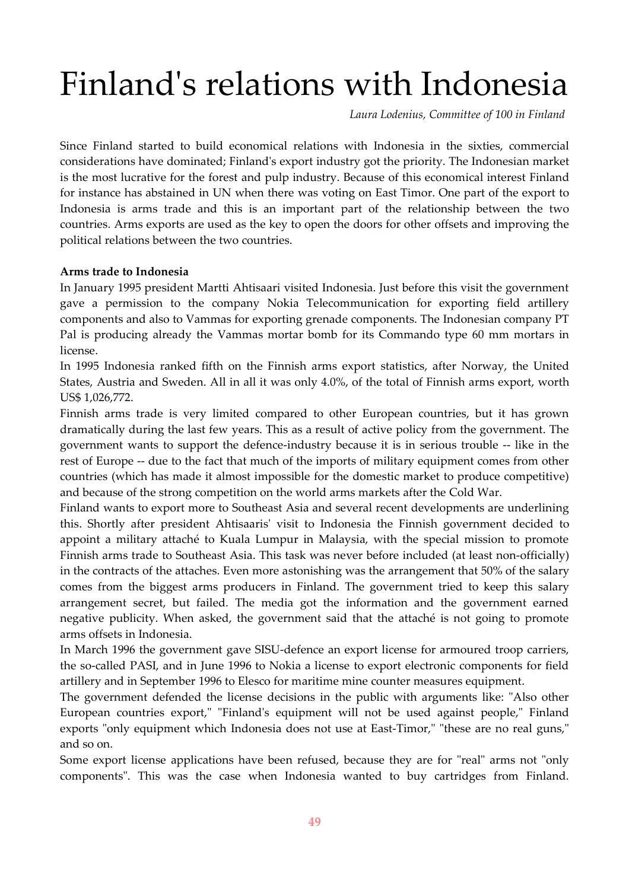## Finland's relations with Indonesia

*Laura Lodenius, Committee of 100 in Finland*

Since Finland started to build economical relations with Indonesia in the sixties, commercial considerations have dominated; Finland's export industry got the priority. The Indonesian market is the most lucrative for the forest and pulp industry. Because of this economical interest Finland for instance has abstained in UN when there was voting on East Timor. One part of the export to Indonesia is arms trade and this is an important part of the relationship between the two countries. Arms exports are used as the key to open the doors for other offsets and improving the political relations between the two countries.

#### **Arms trade to Indonesia**

In January 1995 president Martti Ahtisaari visited Indonesia. Just before this visit the government gave a permission to the company Nokia Telecommunication for exporting field artillery components and also to Vammas for exporting grenade components. The Indonesian company PT Pal is producing already the Vammas mortar bomb for its Commando type 60 mm mortars in license.

In 1995 Indonesia ranked fifth on the Finnish arms export statistics, after Norway, the United States, Austria and Sweden. All in all it was only 4.0%, of the total of Finnish arms export, worth US\$ 1,026,772.

Finnish arms trade is very limited compared to other European countries, but it has grown dramatically during the last few years. This as a result of active policy from the government. The government wants to support the defence-industry because it is in serious trouble -- like in the rest of Europe -- due to the fact that much of the imports of military equipment comes from other countries (which has made it almost impossible for the domestic market to produce competitive) and because of the strong competition on the world arms markets after the Cold War.

Finland wants to export more to Southeast Asia and several recent developments are underlining this. Shortly after president Ahtisaaris' visit to Indonesia the Finnish government decided to appoint a military attaché to Kuala Lumpur in Malaysia, with the special mission to promote Finnish arms trade to Southeast Asia. This task was never before included (at least non-officially) in the contracts of the attaches. Even more astonishing was the arrangement that 50% of the salary comes from the biggest arms producers in Finland. The government tried to keep this salary arrangement secret, but failed. The media got the information and the government earned negative publicity. When asked, the government said that the attaché is not going to promote arms offsets in Indonesia.

In March 1996 the government gave SISU-defence an export license for armoured troop carriers, the so-called PASI, and in June 1996 to Nokia a license to export electronic components for field artillery and in September 1996 to Elesco for maritime mine counter measures equipment.

The government defended the license decisions in the public with arguments like: "Also other European countries export," "Finland's equipment will not be used against people," Finland exports "only equipment which Indonesia does not use at East-Timor," "these are no real guns," and so on.

Some export license applications have been refused, because they are for "real" arms not "only components". This was the case when Indonesia wanted to buy cartridges from Finland.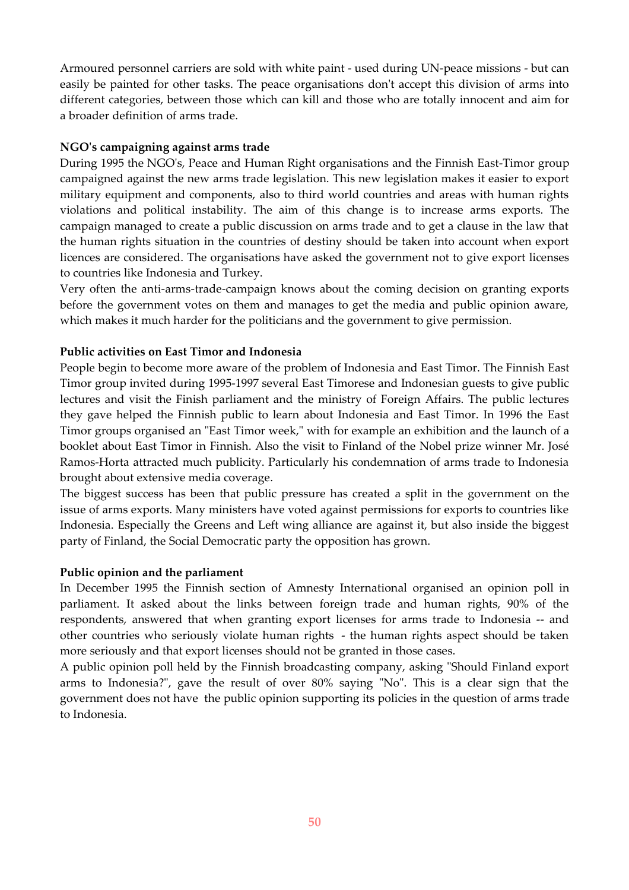Armoured personnel carriers are sold with white paint - used during UN-peace missions - but can easily be painted for other tasks. The peace organisations don't accept this division of arms into different categories, between those which can kill and those who are totally innocent and aim for a broader definition of arms trade.

#### **NGO's campaigning against arms trade**

During 1995 the NGO's, Peace and Human Right organisations and the Finnish East-Timor group campaigned against the new arms trade legislation. This new legislation makes it easier to export military equipment and components, also to third world countries and areas with human rights violations and political instability. The aim of this change is to increase arms exports. The campaign managed to create a public discussion on arms trade and to get a clause in the law that the human rights situation in the countries of destiny should be taken into account when export licences are considered. The organisations have asked the government not to give export licenses to countries like Indonesia and Turkey.

Very often the anti-arms-trade-campaign knows about the coming decision on granting exports before the government votes on them and manages to get the media and public opinion aware, which makes it much harder for the politicians and the government to give permission.

#### **Public activities on East Timor and Indonesia**

People begin to become more aware of the problem of Indonesia and East Timor. The Finnish East Timor group invited during 1995-1997 several East Timorese and Indonesian guests to give public lectures and visit the Finish parliament and the ministry of Foreign Affairs. The public lectures they gave helped the Finnish public to learn about Indonesia and East Timor. In 1996 the East Timor groups organised an "East Timor week," with for example an exhibition and the launch of a booklet about East Timor in Finnish. Also the visit to Finland of the Nobel prize winner Mr. José Ramos-Horta attracted much publicity. Particularly his condemnation of arms trade to Indonesia brought about extensive media coverage.

The biggest success has been that public pressure has created a split in the government on the issue of arms exports. Many ministers have voted against permissions for exports to countries like Indonesia. Especially the Greens and Left wing alliance are against it, but also inside the biggest party of Finland, the Social Democratic party the opposition has grown.

#### **Public opinion and the parliament**

In December 1995 the Finnish section of Amnesty International organised an opinion poll in parliament. It asked about the links between foreign trade and human rights, 90% of the respondents, answered that when granting export licenses for arms trade to Indonesia -- and other countries who seriously violate human rights - the human rights aspect should be taken more seriously and that export licenses should not be granted in those cases.

A public opinion poll held by the Finnish broadcasting company, asking "Should Finland export arms to Indonesia?", gave the result of over 80% saying "No". This is a clear sign that the government does not have the public opinion supporting its policies in the question of arms trade to Indonesia.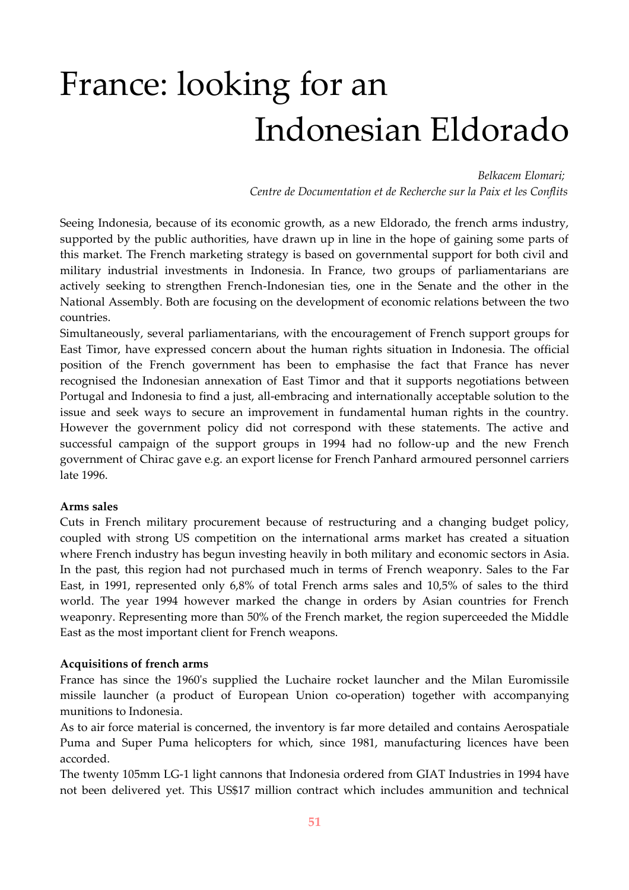## France: looking for an Indonesian Eldorado

#### *Belkacem Elomari;*

*Centre de Documentation et de Recherche sur la Paix et les Conflits*

Seeing Indonesia, because of its economic growth, as a new Eldorado, the french arms industry, supported by the public authorities, have drawn up in line in the hope of gaining some parts of this market. The French marketing strategy is based on governmental support for both civil and military industrial investments in Indonesia. In France, two groups of parliamentarians are actively seeking to strengthen French-Indonesian ties, one in the Senate and the other in the National Assembly. Both are focusing on the development of economic relations between the two countries.

Simultaneously, several parliamentarians, with the encouragement of French support groups for East Timor, have expressed concern about the human rights situation in Indonesia. The official position of the French government has been to emphasise the fact that France has never recognised the Indonesian annexation of East Timor and that it supports negotiations between Portugal and Indonesia to find a just, all-embracing and internationally acceptable solution to the issue and seek ways to secure an improvement in fundamental human rights in the country. However the government policy did not correspond with these statements. The active and successful campaign of the support groups in 1994 had no follow-up and the new French government of Chirac gave e.g. an export license for French Panhard armoured personnel carriers late 1996.

#### **Arms sales**

Cuts in French military procurement because of restructuring and a changing budget policy, coupled with strong US competition on the international arms market has created a situation where French industry has begun investing heavily in both military and economic sectors in Asia. In the past, this region had not purchased much in terms of French weaponry. Sales to the Far East, in 1991, represented only 6,8% of total French arms sales and 10,5% of sales to the third world. The year 1994 however marked the change in orders by Asian countries for French weaponry. Representing more than 50% of the French market, the region superceeded the Middle East as the most important client for French weapons.

#### **Acquisitions of french arms**

France has since the 1960's supplied the Luchaire rocket launcher and the Milan Euromissile missile launcher (a product of European Union co-operation) together with accompanying munitions to Indonesia.

As to air force material is concerned, the inventory is far more detailed and contains Aerospatiale Puma and Super Puma helicopters for which, since 1981, manufacturing licences have been accorded.

The twenty 105mm LG-1 light cannons that Indonesia ordered from GIAT Industries in 1994 have not been delivered yet. This US\$17 million contract which includes ammunition and technical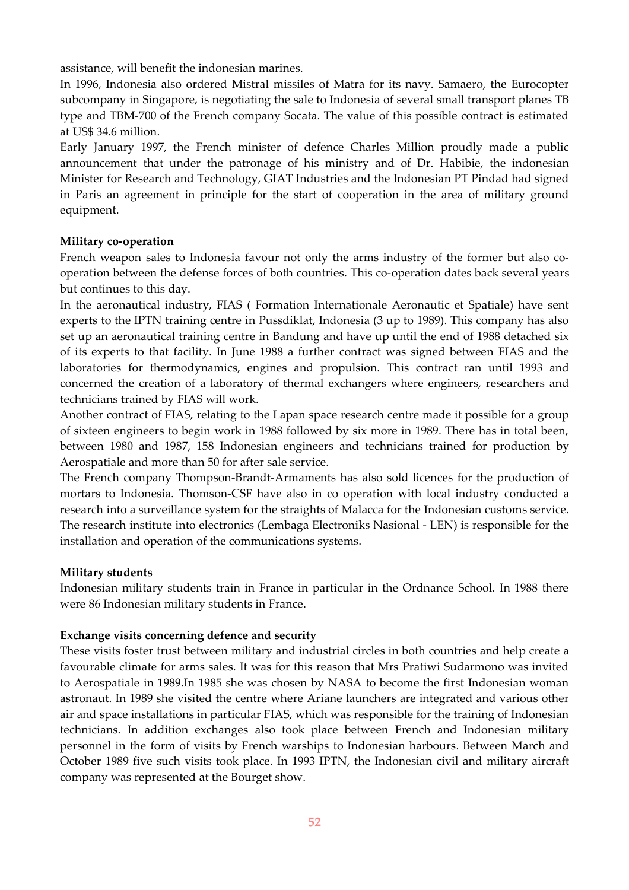assistance, will benefit the indonesian marines.

In 1996, Indonesia also ordered Mistral missiles of Matra for its navy. Samaero, the Eurocopter subcompany in Singapore, is negotiating the sale to Indonesia of several small transport planes TB type and TBM-700 of the French company Socata. The value of this possible contract is estimated at US\$ 34.6 million.

Early January 1997, the French minister of defence Charles Million proudly made a public announcement that under the patronage of his ministry and of Dr. Habibie, the indonesian Minister for Research and Technology, GIAT Industries and the Indonesian PT Pindad had signed in Paris an agreement in principle for the start of cooperation in the area of military ground equipment.

#### **Military co-operation**

French weapon sales to Indonesia favour not only the arms industry of the former but also cooperation between the defense forces of both countries. This co-operation dates back several years but continues to this day.

In the aeronautical industry, FIAS ( Formation Internationale Aeronautic et Spatiale) have sent experts to the IPTN training centre in Pussdiklat, Indonesia (3 up to 1989). This company has also set up an aeronautical training centre in Bandung and have up until the end of 1988 detached six of its experts to that facility. In June 1988 a further contract was signed between FIAS and the laboratories for thermodynamics, engines and propulsion. This contract ran until 1993 and concerned the creation of a laboratory of thermal exchangers where engineers, researchers and technicians trained by FIAS will work.

Another contract of FIAS, relating to the Lapan space research centre made it possible for a group of sixteen engineers to begin work in 1988 followed by six more in 1989. There has in total been, between 1980 and 1987, 158 Indonesian engineers and technicians trained for production by Aerospatiale and more than 50 for after sale service.

The French company Thompson-Brandt-Armaments has also sold licences for the production of mortars to Indonesia. Thomson-CSF have also in co operation with local industry conducted a research into a surveillance system for the straights of Malacca for the Indonesian customs service. The research institute into electronics (Lembaga Electroniks Nasional - LEN) is responsible for the installation and operation of the communications systems.

#### **Military students**

Indonesian military students train in France in particular in the Ordnance School. In 1988 there were 86 Indonesian military students in France.

#### **Exchange visits concerning defence and security**

These visits foster trust between military and industrial circles in both countries and help create a favourable climate for arms sales. It was for this reason that Mrs Pratiwi Sudarmono was invited to Aerospatiale in 1989.In 1985 she was chosen by NASA to become the first Indonesian woman astronaut. In 1989 she visited the centre where Ariane launchers are integrated and various other air and space installations in particular FIAS, which was responsible for the training of Indonesian technicians. In addition exchanges also took place between French and Indonesian military personnel in the form of visits by French warships to Indonesian harbours. Between March and October 1989 five such visits took place. In 1993 IPTN, the Indonesian civil and military aircraft company was represented at the Bourget show.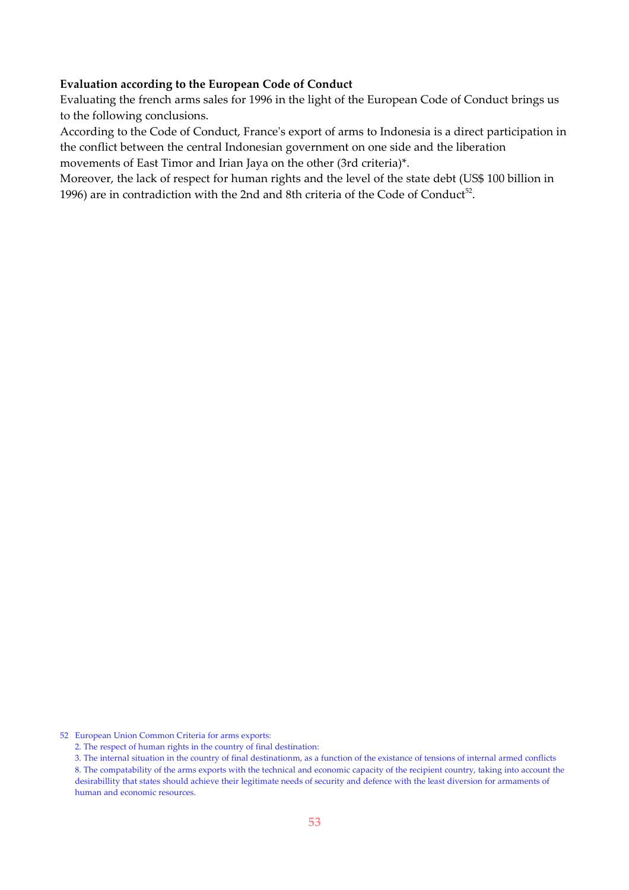#### **Evaluation according to the European Code of Conduct**

Evaluating the french arms sales for 1996 in the light of the European Code of Conduct brings us to the following conclusions.

According to the Code of Conduct, France's export of arms to Indonesia is a direct participation in the conflict between the central Indonesian government on one side and the liberation movements of East Timor and Irian Jaya on the other (3rd criteria)\*.

Moreover, the lack of respect for human rights and the level of the state debt (US\$ 100 billion in 1996) are in contradiction with the 2nd and 8th criteria of the Code of Conduct<sup>52</sup>.

52 European Union Common Criteria for arms exports:

2. The respect of human rights in the country of final destination:

3. The internal situation in the country of final destinationm, as a function of the existance of tensions of internal armed conflicts 8. The compatability of the arms exports with the technical and economic capacity of the recipient country, taking into account the desirabillity that states should achieve their legitimate needs of security and defence with the least diversion for armaments of human and economic resources.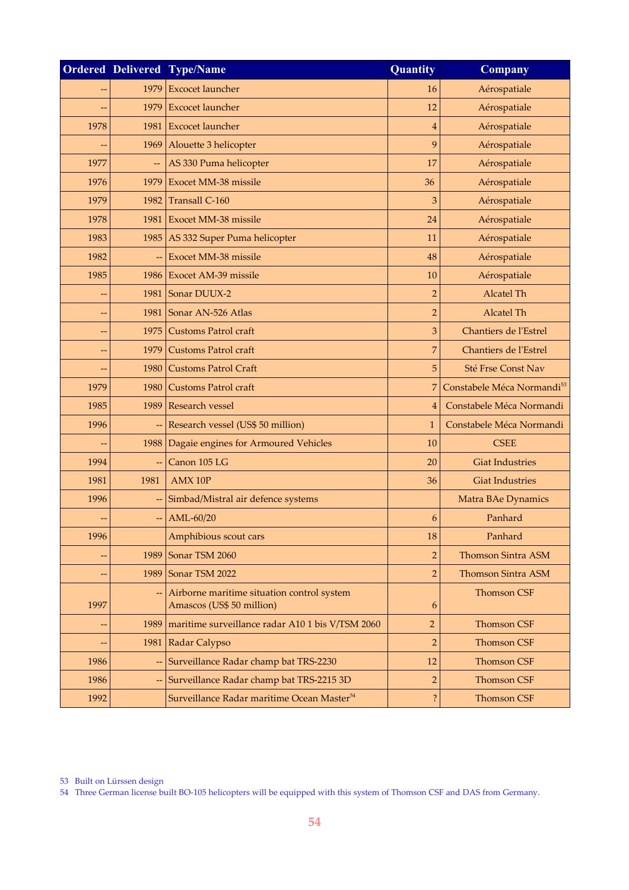|             |                                                     | <b>Ordered Delivered Type/Name</b>                     | Quantity       | <b>Company</b>                         |
|-------------|-----------------------------------------------------|--------------------------------------------------------|----------------|----------------------------------------|
|             | 1979                                                | <b>Excocet launcher</b>                                | 16             | Aérospatiale                           |
| --          | 1979                                                | <b>Excocet launcher</b>                                | 12             | Aérospatiale                           |
| 1978        | 1981                                                | <b>Excocet launcher</b>                                | 4              | Aérospatiale                           |
| $-$         | 1969                                                | Alouette 3 helicopter                                  | 9              | Aérospatiale                           |
| 1977        |                                                     | AS 330 Puma helicopter                                 | 17             | Aérospatiale                           |
| 1976        | 1979                                                | Exocet MM-38 missile                                   | 36             | Aérospatiale                           |
| 1979        | 1982                                                | Transall C-160                                         | 3              | Aérospatiale                           |
| 1978        | 1981                                                | Exocet MM-38 missile                                   | 24             | Aérospatiale                           |
| 1983        | 1985                                                | AS 332 Super Puma helicopter                           | 11             | Aérospatiale                           |
| 1982        | --                                                  | Exocet MM-38 missile                                   | 48             | Aérospatiale                           |
| 1985        | 1986                                                | Exocet AM-39 missile                                   | 10             | Aérospatiale                           |
| $-$         | 1981                                                | Sonar DUUX-2                                           | $\overline{2}$ | <b>Alcatel Th</b>                      |
| $-$         | 1981                                                | Sonar AN-526 Atlas                                     | $\overline{2}$ | <b>Alcatel Th</b>                      |
| $-$         | 1975                                                | <b>Customs Patrol craft</b>                            | 3              | Chantiers de l'Estrel                  |
| --          | 1979                                                | <b>Customs Patrol craft</b>                            | 7              | Chantiers de l'Estrel                  |
| $-$         | 1980                                                | <b>Customs Patrol Craft</b>                            | 5              | Sté Frse Const Nav                     |
| 1979        | 1980                                                | <b>Customs Patrol craft</b>                            | 7              | Constabele Méca Normandi <sup>53</sup> |
| 1985        | 1989                                                | Research vessel                                        | 4              | Constabele Méca Normandi               |
| 1996        | --                                                  | Research vessel (US\$ 50 million)                      | $\mathbf 1$    | Constabele Méca Normandi               |
| Ξ.          | 1988                                                | Dagaie engines for Armoured Vehicles                   | 10             | <b>CSEE</b>                            |
| 1994        | --                                                  | Canon 105 LG                                           | 20             | <b>Giat Industries</b>                 |
| 1981        | 1981                                                | AMX 10P                                                | 36             | <b>Giat Industries</b>                 |
| 1996        | --                                                  | Simbad/Mistral air defence systems                     |                | Matra BAe Dynamics                     |
| ÷           | --                                                  | AML-60/20                                              | 6              | Panhard                                |
| 1996        |                                                     | Amphibious scout cars                                  | 18             | Panhard                                |
| $-\!$ –     | 1989                                                | Sonar TSM 2060                                         | $\overline{2}$ | <b>Thomson Sintra ASM</b>              |
| $-\!$ $\!-$ | 1989                                                | Sonar TSM 2022                                         | $\overline{2}$ | <b>Thomson Sintra ASM</b>              |
|             | --                                                  | Airborne maritime situation control system             |                | <b>Thomson CSF</b>                     |
| 1997        |                                                     | Amascos (US\$ 50 million)                              | 6              |                                        |
| $-\!$ –     | 1989                                                | maritime surveillance radar A10 1 bis V/TSM 2060       | $\overline{2}$ | <b>Thomson CSF</b>                     |
| $-$         | 1981                                                | Radar Calypso                                          | $\overline{2}$ | <b>Thomson CSF</b>                     |
| 1986        | $\hspace{0.05cm} -\hspace{0.05cm} -\hspace{0.05cm}$ | Surveillance Radar champ bat TRS-2230                  | 12             | <b>Thomson CSF</b>                     |
| 1986        | $\rightarrow$                                       | Surveillance Radar champ bat TRS-2215 3D               | $\overline{2}$ | <b>Thomson CSF</b>                     |
| 1992        |                                                     | Surveillance Radar maritime Ocean Master <sup>54</sup> | $\ddot{?}$     | <b>Thomson CSF</b>                     |

53 Built on Lürssen design

54 Three German license built BO-105 helicopters will be equipped with this system of Thomson CSF and DAS from Germany.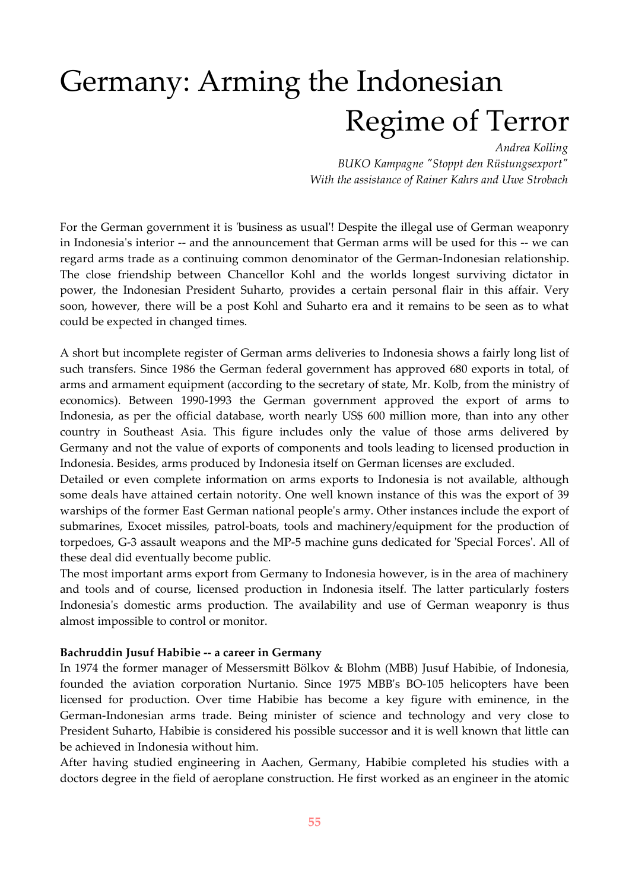## Germany: Arming the Indonesian Regime of Terror

*Andrea Kolling BUKO Kampagne "Stoppt den Rüstungsexport" With the assistance of Rainer Kahrs and Uwe Strobach*

For the German government it is 'business as usual'! Despite the illegal use of German weaponry in Indonesia's interior -- and the announcement that German arms will be used for this -- we can regard arms trade as a continuing common denominator of the German-Indonesian relationship. The close friendship between Chancellor Kohl and the worlds longest surviving dictator in power, the Indonesian President Suharto, provides a certain personal flair in this affair. Very soon, however, there will be a post Kohl and Suharto era and it remains to be seen as to what could be expected in changed times.

A short but incomplete register of German arms deliveries to Indonesia shows a fairly long list of such transfers. Since 1986 the German federal government has approved 680 exports in total, of arms and armament equipment (according to the secretary of state, Mr. Kolb, from the ministry of economics). Between 1990-1993 the German government approved the export of arms to Indonesia, as per the official database, worth nearly US\$ 600 million more, than into any other country in Southeast Asia. This figure includes only the value of those arms delivered by Germany and not the value of exports of components and tools leading to licensed production in Indonesia. Besides, arms produced by Indonesia itself on German licenses are excluded.

Detailed or even complete information on arms exports to Indonesia is not available, although some deals have attained certain notority. One well known instance of this was the export of 39 warships of the former East German national people's army. Other instances include the export of submarines, Exocet missiles, patrol-boats, tools and machinery/equipment for the production of torpedoes, G-3 assault weapons and the MP-5 machine guns dedicated for 'Special Forces'. All of these deal did eventually become public.

The most important arms export from Germany to Indonesia however, is in the area of machinery and tools and of course, licensed production in Indonesia itself. The latter particularly fosters Indonesia's domestic arms production. The availability and use of German weaponry is thus almost impossible to control or monitor.

#### **Bachruddin Jusuf Habibie -- a career in Germany**

In 1974 the former manager of Messersmitt Bölkov & Blohm (MBB) Jusuf Habibie, of Indonesia, founded the aviation corporation Nurtanio. Since 1975 MBB's BO-105 helicopters have been licensed for production. Over time Habibie has become a key figure with eminence, in the German-Indonesian arms trade. Being minister of science and technology and very close to President Suharto, Habibie is considered his possible successor and it is well known that little can be achieved in Indonesia without him.

After having studied engineering in Aachen, Germany, Habibie completed his studies with a doctors degree in the field of aeroplane construction. He first worked as an engineer in the atomic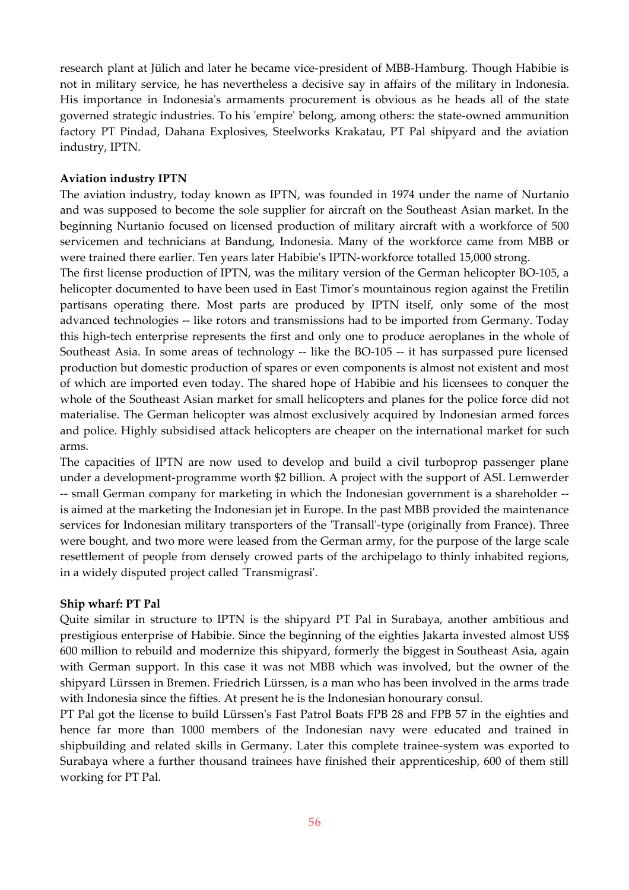research plant at Jülich and later he became vice-president of MBB-Hamburg. Though Habibie is not in military service, he has nevertheless a decisive say in affairs of the military in Indonesia. His importance in Indonesia's armaments procurement is obvious as he heads all of the state governed strategic industries. To his 'empire' belong, among others: the state-owned ammunition factory PT Pindad, Dahana Explosives, Steelworks Krakatau, PT Pal shipyard and the aviation industry, IPTN.

#### **Aviation industry IPTN**

The aviation industry, today known as IPTN, was founded in 1974 under the name of Nurtanio and was supposed to become the sole supplier for aircraft on the Southeast Asian market. In the beginning Nurtanio focused on licensed production of military aircraft with a workforce of 500 servicemen and technicians at Bandung, Indonesia. Many of the workforce came from MBB or were trained there earlier. Ten years later Habibie's IPTN-workforce totalled 15,000 strong.

The first license production of IPTN, was the military version of the German helicopter BO-105, a helicopter documented to have been used in East Timor's mountainous region against the Fretilin partisans operating there. Most parts are produced by IPTN itself, only some of the most advanced technologies -- like rotors and transmissions had to be imported from Germany. Today this high-tech enterprise represents the first and only one to produce aeroplanes in the whole of Southeast Asia. In some areas of technology -- like the BO-105 -- it has surpassed pure licensed production but domestic production of spares or even components is almost not existent and most of which are imported even today. The shared hope of Habibie and his licensees to conquer the whole of the Southeast Asian market for small helicopters and planes for the police force did not materialise. The German helicopter was almost exclusively acquired by Indonesian armed forces and police. Highly subsidised attack helicopters are cheaper on the international market for such arms.

The capacities of IPTN are now used to develop and build a civil turboprop passenger plane under a development-programme worth \$2 billion. A project with the support of ASL Lemwerder -- small German company for marketing in which the Indonesian government is a shareholder - is aimed at the marketing the Indonesian jet in Europe. In the past MBB provided the maintenance services for Indonesian military transporters of the 'Transall'-type (originally from France). Three were bought, and two more were leased from the German army, for the purpose of the large scale resettlement of people from densely crowed parts of the archipelago to thinly inhabited regions, in a widely disputed project called 'Transmigrasi'.

#### **Ship wharf: PT Pal**

Quite similar in structure to IPTN is the shipyard PT Pal in Surabaya, another ambitious and prestigious enterprise of Habibie. Since the beginning of the eighties Jakarta invested almost US\$ 600 million to rebuild and modernize this shipyard, formerly the biggest in Southeast Asia, again with German support. In this case it was not MBB which was involved, but the owner of the shipyard Lürssen in Bremen. Friedrich Lürssen, is a man who has been involved in the arms trade with Indonesia since the fifties. At present he is the Indonesian honourary consul.

PT Pal got the license to build Lürssen's Fast Patrol Boats FPB 28 and FPB 57 in the eighties and hence far more than 1000 members of the Indonesian navy were educated and trained in shipbuilding and related skills in Germany. Later this complete trainee-system was exported to Surabaya where a further thousand trainees have finished their apprenticeship, 600 of them still working for PT Pal.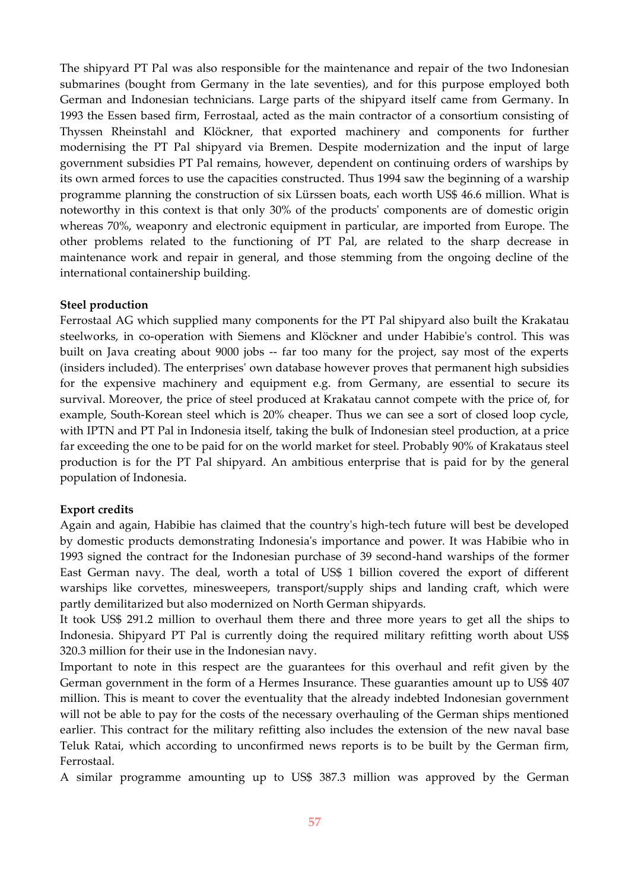The shipyard PT Pal was also responsible for the maintenance and repair of the two Indonesian submarines (bought from Germany in the late seventies), and for this purpose employed both German and Indonesian technicians. Large parts of the shipyard itself came from Germany. In 1993 the Essen based firm, Ferrostaal, acted as the main contractor of a consortium consisting of Thyssen Rheinstahl and Klöckner, that exported machinery and components for further modernising the PT Pal shipyard via Bremen. Despite modernization and the input of large government subsidies PT Pal remains, however, dependent on continuing orders of warships by its own armed forces to use the capacities constructed. Thus 1994 saw the beginning of a warship programme planning the construction of six Lürssen boats, each worth US\$ 46.6 million. What is noteworthy in this context is that only 30% of the products' components are of domestic origin whereas 70%, weaponry and electronic equipment in particular, are imported from Europe. The other problems related to the functioning of PT Pal, are related to the sharp decrease in maintenance work and repair in general, and those stemming from the ongoing decline of the international containership building.

#### **Steel production**

Ferrostaal AG which supplied many components for the PT Pal shipyard also built the Krakatau steelworks, in co-operation with Siemens and Klöckner and under Habibie's control. This was built on Java creating about 9000 jobs -- far too many for the project, say most of the experts (insiders included). The enterprises' own database however proves that permanent high subsidies for the expensive machinery and equipment e.g. from Germany, are essential to secure its survival. Moreover, the price of steel produced at Krakatau cannot compete with the price of, for example, South-Korean steel which is 20% cheaper. Thus we can see a sort of closed loop cycle, with IPTN and PT Pal in Indonesia itself, taking the bulk of Indonesian steel production, at a price far exceeding the one to be paid for on the world market for steel. Probably 90% of Krakataus steel production is for the PT Pal shipyard. An ambitious enterprise that is paid for by the general population of Indonesia.

#### **Export credits**

Again and again, Habibie has claimed that the country's high-tech future will best be developed by domestic products demonstrating Indonesia's importance and power. It was Habibie who in 1993 signed the contract for the Indonesian purchase of 39 second-hand warships of the former East German navy. The deal, worth a total of US\$ 1 billion covered the export of different warships like corvettes, minesweepers, transport/supply ships and landing craft, which were partly demilitarized but also modernized on North German shipyards.

It took US\$ 291.2 million to overhaul them there and three more years to get all the ships to Indonesia. Shipyard PT Pal is currently doing the required military refitting worth about US\$ 320.3 million for their use in the Indonesian navy.

Important to note in this respect are the guarantees for this overhaul and refit given by the German government in the form of a Hermes Insurance. These guaranties amount up to US\$ 407 million. This is meant to cover the eventuality that the already indebted Indonesian government will not be able to pay for the costs of the necessary overhauling of the German ships mentioned earlier. This contract for the military refitting also includes the extension of the new naval base Teluk Ratai, which according to unconfirmed news reports is to be built by the German firm, Ferrostaal.

A similar programme amounting up to US\$ 387.3 million was approved by the German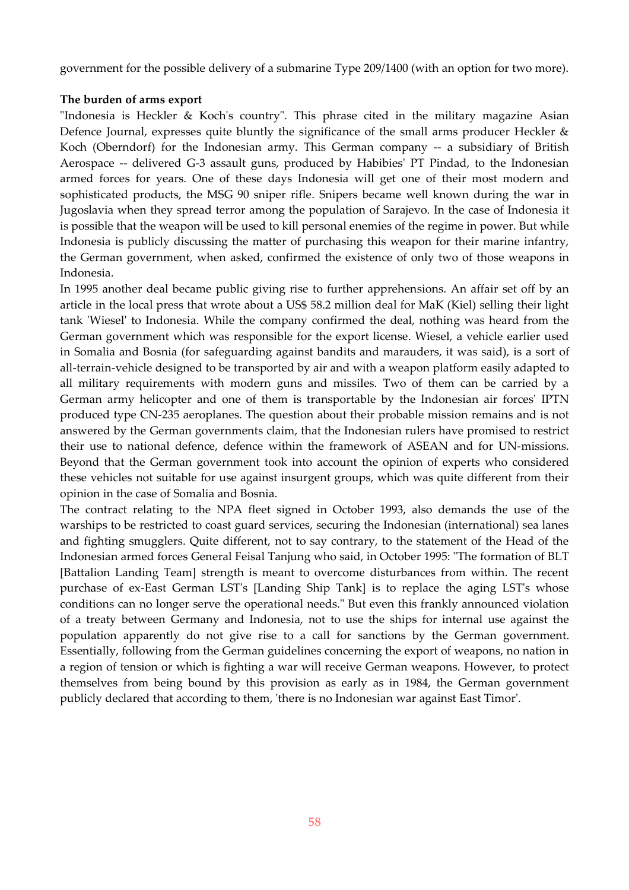government for the possible delivery of a submarine Type 209/1400 (with an option for two more).

#### **The burden of arms export**

"Indonesia is Heckler & Koch's country". This phrase cited in the military magazine Asian Defence Journal, expresses quite bluntly the significance of the small arms producer Heckler & Koch (Oberndorf) for the Indonesian army. This German company -- a subsidiary of British Aerospace -- delivered G-3 assault guns, produced by Habibies' PT Pindad, to the Indonesian armed forces for years. One of these days Indonesia will get one of their most modern and sophisticated products, the MSG 90 sniper rifle. Snipers became well known during the war in Jugoslavia when they spread terror among the population of Sarajevo. In the case of Indonesia it is possible that the weapon will be used to kill personal enemies of the regime in power. But while Indonesia is publicly discussing the matter of purchasing this weapon for their marine infantry, the German government, when asked, confirmed the existence of only two of those weapons in Indonesia.

In 1995 another deal became public giving rise to further apprehensions. An affair set off by an article in the local press that wrote about a US\$ 58.2 million deal for MaK (Kiel) selling their light tank 'Wiesel' to Indonesia. While the company confirmed the deal, nothing was heard from the German government which was responsible for the export license. Wiesel, a vehicle earlier used in Somalia and Bosnia (for safeguarding against bandits and marauders, it was said), is a sort of all-terrain-vehicle designed to be transported by air and with a weapon platform easily adapted to all military requirements with modern guns and missiles. Two of them can be carried by a German army helicopter and one of them is transportable by the Indonesian air forces' IPTN produced type CN-235 aeroplanes. The question about their probable mission remains and is not answered by the German governments claim, that the Indonesian rulers have promised to restrict their use to national defence, defence within the framework of ASEAN and for UN-missions. Beyond that the German government took into account the opinion of experts who considered these vehicles not suitable for use against insurgent groups, which was quite different from their opinion in the case of Somalia and Bosnia.

The contract relating to the NPA fleet signed in October 1993, also demands the use of the warships to be restricted to coast guard services, securing the Indonesian (international) sea lanes and fighting smugglers. Quite different, not to say contrary, to the statement of the Head of the Indonesian armed forces General Feisal Tanjung who said, in October 1995: "The formation of BLT [Battalion Landing Team] strength is meant to overcome disturbances from within. The recent purchase of ex-East German LST's [Landing Ship Tank] is to replace the aging LST's whose conditions can no longer serve the operational needs." But even this frankly announced violation of a treaty between Germany and Indonesia, not to use the ships for internal use against the population apparently do not give rise to a call for sanctions by the German government. Essentially, following from the German guidelines concerning the export of weapons, no nation in a region of tension or which is fighting a war will receive German weapons. However, to protect themselves from being bound by this provision as early as in 1984, the German government publicly declared that according to them, 'there is no Indonesian war against East Timor'.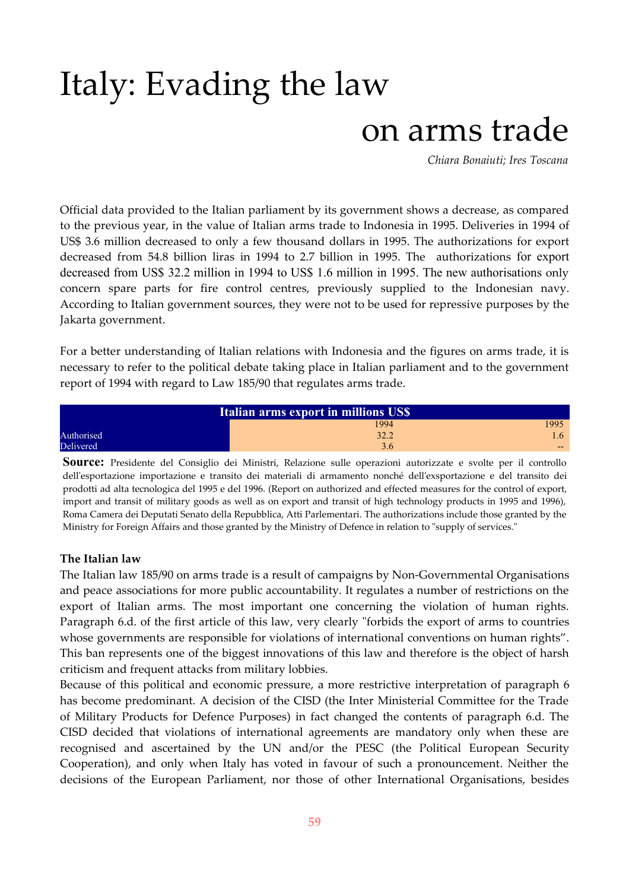## Italy: Evading the law

### on arms trade

*Chiara Bonaiuti; Ires Toscana*

Official data provided to the Italian parliament by its government shows a decrease, as compared to the previous year, in the value of Italian arms trade to Indonesia in 1995. Deliveries in 1994 of US\$ 3.6 million decreased to only a few thousand dollars in 1995. The authorizations for export decreased from 54.8 billion liras in 1994 to 2.7 billion in 1995. The authorizations for export decreased from US\$ 32.2 million in 1994 to US\$ 1.6 million in 1995. The new authorisations only concern spare parts for fire control centres, previously supplied to the Indonesian navy. According to Italian government sources, they were not to be used for repressive purposes by the Jakarta government.

For a better understanding of Italian relations with Indonesia and the figures on arms trade, it is necessary to refer to the political debate taking place in Italian parliament and to the government report of 1994 with regard to Law 185/90 that regulates arms trade.

| Italian arms export in millions US\$ |      |                 |
|--------------------------------------|------|-----------------|
|                                      | 1994 | 1995            |
| Authorised                           | 32.2 | .6 <sub>1</sub> |
| Delivered                            | 3.6  | $- -$           |

**Source:** Presidente del Consiglio dei Ministri, Relazione sulle operazioni autorizzate e svolte per il controllo dell'esportazione importazione e transito dei materiali di armamento nonché dell'exsportazione e del transito dei prodotti ad alta tecnologica del 1995 e del 1996. (Report on authorized and effected measures for the control of export, import and transit of military goods as well as on export and transit of high technology products in 1995 and 1996), Roma Camera dei Deputati Senato della Repubblica, Atti Parlementari. The authorizations include those granted by the Ministry for Foreign Affairs and those granted by the Ministry of Defence in relation to "supply of services."

#### **The Italian law**

The Italian law 185/90 on arms trade is a result of campaigns by Non-Governmental Organisations and peace associations for more public accountability. It regulates a number of restrictions on the export of Italian arms. The most important one concerning the violation of human rights. Paragraph 6.d. of the first article of this law, very clearly "forbids the export of arms to countries whose governments are responsible for violations of international conventions on human rights". This ban represents one of the biggest innovations of this law and therefore is the object of harsh criticism and frequent attacks from military lobbies.

Because of this political and economic pressure, a more restrictive interpretation of paragraph 6 has become predominant. A decision of the CISD (the Inter Ministerial Committee for the Trade of Military Products for Defence Purposes) in fact changed the contents of paragraph 6.d. The CISD decided that violations of international agreements are mandatory only when these are recognised and ascertained by the UN and/or the PESC (the Political European Security Cooperation), and only when Italy has voted in favour of such a pronouncement. Neither the decisions of the European Parliament, nor those of other International Organisations, besides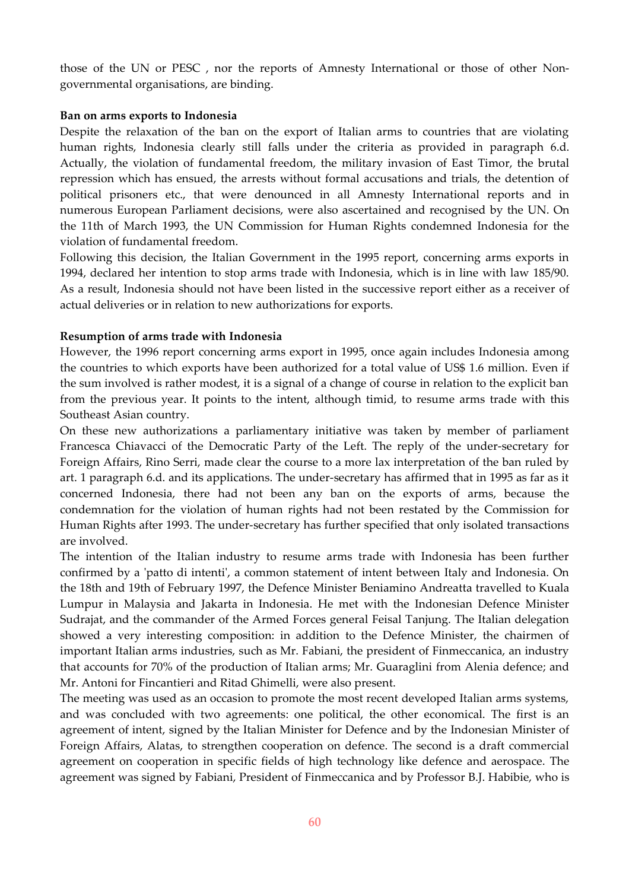those of the UN or PESC , nor the reports of Amnesty International or those of other Nongovernmental organisations, are binding.

#### **Ban on arms exports to Indonesia**

Despite the relaxation of the ban on the export of Italian arms to countries that are violating human rights, Indonesia clearly still falls under the criteria as provided in paragraph 6.d. Actually, the violation of fundamental freedom, the military invasion of East Timor, the brutal repression which has ensued, the arrests without formal accusations and trials, the detention of political prisoners etc., that were denounced in all Amnesty International reports and in numerous European Parliament decisions, were also ascertained and recognised by the UN. On the 11th of March 1993, the UN Commission for Human Rights condemned Indonesia for the violation of fundamental freedom.

Following this decision, the Italian Government in the 1995 report, concerning arms exports in 1994, declared her intention to stop arms trade with Indonesia, which is in line with law 185/90. As a result, Indonesia should not have been listed in the successive report either as a receiver of actual deliveries or in relation to new authorizations for exports.

#### **Resumption of arms trade with Indonesia**

However, the 1996 report concerning arms export in 1995, once again includes Indonesia among the countries to which exports have been authorized for a total value of US\$ 1.6 million. Even if the sum involved is rather modest, it is a signal of a change of course in relation to the explicit ban from the previous year. It points to the intent, although timid, to resume arms trade with this Southeast Asian country.

On these new authorizations a parliamentary initiative was taken by member of parliament Francesca Chiavacci of the Democratic Party of the Left. The reply of the under-secretary for Foreign Affairs, Rino Serri, made clear the course to a more lax interpretation of the ban ruled by art. 1 paragraph 6.d. and its applications. The under-secretary has affirmed that in 1995 as far as it concerned Indonesia, there had not been any ban on the exports of arms, because the condemnation for the violation of human rights had not been restated by the Commission for Human Rights after 1993. The under-secretary has further specified that only isolated transactions are involved.

The intention of the Italian industry to resume arms trade with Indonesia has been further confirmed by a 'patto di intenti', a common statement of intent between Italy and Indonesia. On the 18th and 19th of February 1997, the Defence Minister Beniamino Andreatta travelled to Kuala Lumpur in Malaysia and Jakarta in Indonesia. He met with the Indonesian Defence Minister Sudrajat, and the commander of the Armed Forces general Feisal Tanjung. The Italian delegation showed a very interesting composition: in addition to the Defence Minister, the chairmen of important Italian arms industries, such as Mr. Fabiani, the president of Finmeccanica, an industry that accounts for 70% of the production of Italian arms; Mr. Guaraglini from Alenia defence; and Mr. Antoni for Fincantieri and Ritad Ghimelli, were also present.

The meeting was used as an occasion to promote the most recent developed Italian arms systems, and was concluded with two agreements: one political, the other economical. The first is an agreement of intent, signed by the Italian Minister for Defence and by the Indonesian Minister of Foreign Affairs, Alatas, to strengthen cooperation on defence. The second is a draft commercial agreement on cooperation in specific fields of high technology like defence and aerospace. The agreement was signed by Fabiani, President of Finmeccanica and by Professor B.J. Habibie, who is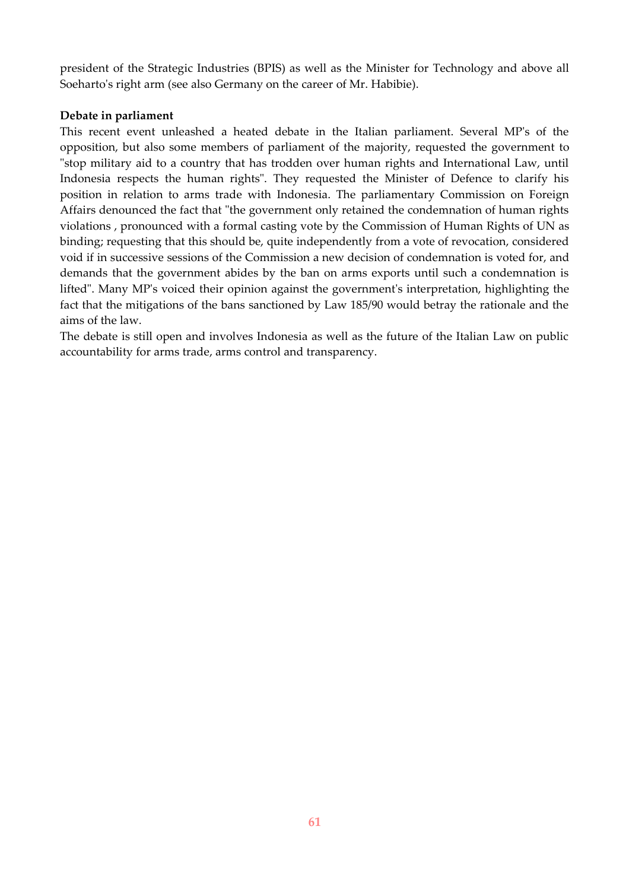president of the Strategic Industries (BPIS) as well as the Minister for Technology and above all Soeharto's right arm (see also Germany on the career of Mr. Habibie).

#### **Debate in parliament**

This recent event unleashed a heated debate in the Italian parliament. Several MP's of the opposition, but also some members of parliament of the majority, requested the government to "stop military aid to a country that has trodden over human rights and International Law, until Indonesia respects the human rights". They requested the Minister of Defence to clarify his position in relation to arms trade with Indonesia. The parliamentary Commission on Foreign Affairs denounced the fact that "the government only retained the condemnation of human rights violations , pronounced with a formal casting vote by the Commission of Human Rights of UN as binding; requesting that this should be, quite independently from a vote of revocation, considered void if in successive sessions of the Commission a new decision of condemnation is voted for, and demands that the government abides by the ban on arms exports until such a condemnation is lifted". Many MP's voiced their opinion against the government's interpretation, highlighting the fact that the mitigations of the bans sanctioned by Law 185/90 would betray the rationale and the aims of the law.

The debate is still open and involves Indonesia as well as the future of the Italian Law on public accountability for arms trade, arms control and transparency.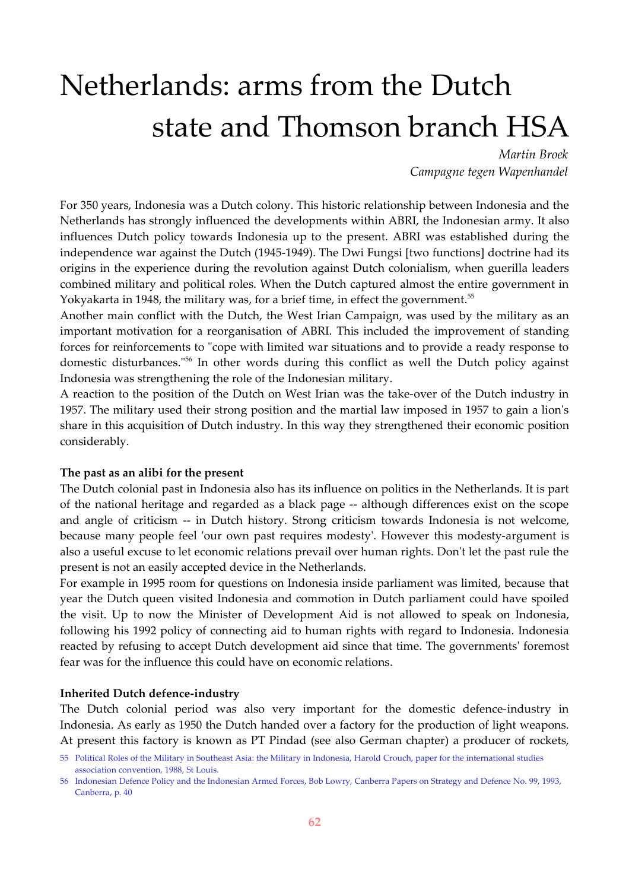## Netherlands: arms from the Dutch state and Thomson branch HSA

*Martin Broek Campagne tegen Wapenhandel*

For 350 years, Indonesia was a Dutch colony. This historic relationship between Indonesia and the Netherlands has strongly influenced the developments within ABRI, the Indonesian army. It also influences Dutch policy towards Indonesia up to the present. ABRI was established during the independence war against the Dutch (1945-1949). The Dwi Fungsi [two functions] doctrine had its origins in the experience during the revolution against Dutch colonialism, when guerilla leaders combined military and political roles. When the Dutch captured almost the entire government in Yokyakarta in 1948, the military was, for a brief time, in effect the government.<sup>55</sup>

Another main conflict with the Dutch, the West Irian Campaign, was used by the military as an important motivation for a reorganisation of ABRI. This included the improvement of standing forces for reinforcements to "cope with limited war situations and to provide a ready response to domestic disturbances." 56 In other words during this conflict as well the Dutch policy against Indonesia was strengthening the role of the Indonesian military.

A reaction to the position of the Dutch on West Irian was the take-over of the Dutch industry in 1957. The military used their strong position and the martial law imposed in 1957 to gain a lion's share in this acquisition of Dutch industry. In this way they strengthened their economic position considerably.

#### **The past as an alibi for the present**

The Dutch colonial past in Indonesia also has its influence on politics in the Netherlands. It is part of the national heritage and regarded as a black page -- although differences exist on the scope and angle of criticism -- in Dutch history. Strong criticism towards Indonesia is not welcome, because many people feel 'our own past requires modesty'. However this modesty-argument is also a useful excuse to let economic relations prevail over human rights. Don't let the past rule the present is not an easily accepted device in the Netherlands.

For example in 1995 room for questions on Indonesia inside parliament was limited, because that year the Dutch queen visited Indonesia and commotion in Dutch parliament could have spoiled the visit. Up to now the Minister of Development Aid is not allowed to speak on Indonesia, following his 1992 policy of connecting aid to human rights with regard to Indonesia. Indonesia reacted by refusing to accept Dutch development aid since that time. The governments' foremost fear was for the influence this could have on economic relations.

#### **Inherited Dutch defence-industry**

The Dutch colonial period was also very important for the domestic defence-industry in Indonesia. As early as 1950 the Dutch handed over a factory for the production of light weapons. At present this factory is known as PT Pindad (see also German chapter) a producer of rockets,

<sup>55</sup> Political Roles of the Military in Southeast Asia: the Military in Indonesia, Harold Crouch, paper for the international studies association convention, 1988, St Louis.

<sup>56</sup> Indonesian Defence Policy and the Indonesian Armed Forces, Bob Lowry, Canberra Papers on Strategy and Defence No. 99, 1993, Canberra, p. 40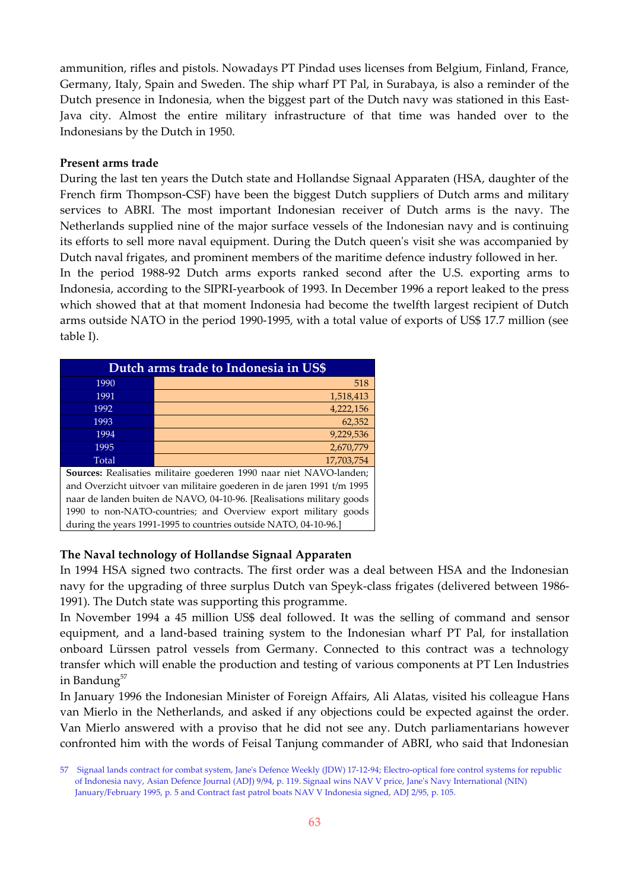ammunition, rifles and pistols. Nowadays PT Pindad uses licenses from Belgium, Finland, France, Germany, Italy, Spain and Sweden. The ship wharf PT Pal, in Surabaya, is also a reminder of the Dutch presence in Indonesia, when the biggest part of the Dutch navy was stationed in this East-Java city. Almost the entire military infrastructure of that time was handed over to the Indonesians by the Dutch in 1950.

#### **Present arms trade**

During the last ten years the Dutch state and Hollandse Signaal Apparaten (HSA, daughter of the French firm Thompson-CSF) have been the biggest Dutch suppliers of Dutch arms and military services to ABRI. The most important Indonesian receiver of Dutch arms is the navy. The Netherlands supplied nine of the major surface vessels of the Indonesian navy and is continuing its efforts to sell more naval equipment. During the Dutch queen's visit she was accompanied by Dutch naval frigates, and prominent members of the maritime defence industry followed in her. In the period 1988-92 Dutch arms exports ranked second after the U.S. exporting arms to Indonesia, according to the SIPRI-yearbook of 1993. In December 1996 a report leaked to the press which showed that at that moment Indonesia had become the twelfth largest recipient of Dutch arms outside NATO in the period 1990-1995, with a total value of exports of US\$ 17.7 million (see table I).

| Dutch arms trade to Indonesia in US\$                                  |            |  |  |
|------------------------------------------------------------------------|------------|--|--|
| 1990                                                                   | 518        |  |  |
| 1991                                                                   | 1,518,413  |  |  |
| 1992                                                                   | 4,222,156  |  |  |
| 1993                                                                   | 62,352     |  |  |
| 1994                                                                   | 9,229,536  |  |  |
| 1995                                                                   | 2,670,779  |  |  |
| Total                                                                  | 17,703,754 |  |  |
| Sources: Realisaties militaire goederen 1990 naar niet NAVO-landen;    |            |  |  |
| and Overzicht uitvoer van militaire goederen in de jaren 1991 t/m 1995 |            |  |  |
| naar de landen buiten de NAVO, 04-10-96. [Realisations military goods  |            |  |  |
| 1990 to non-NATO-countries; and Overview export military goods         |            |  |  |
| during the years 1991-1995 to countries outside NATO, 04-10-96.        |            |  |  |

#### **The Naval technology of Hollandse Signaal Apparaten**

In 1994 HSA signed two contracts. The first order was a deal between HSA and the Indonesian navy for the upgrading of three surplus Dutch van Speyk-class frigates (delivered between 1986- 1991). The Dutch state was supporting this programme.

In November 1994 a 45 million US\$ deal followed. It was the selling of command and sensor equipment, and a land-based training system to the Indonesian wharf PT Pal, for installation onboard Lürssen patrol vessels from Germany. Connected to this contract was a technology transfer which will enable the production and testing of various components at PT Len Industries in Bandung<sup>57</sup>

In January 1996 the Indonesian Minister of Foreign Affairs, Ali Alatas, visited his colleague Hans van Mierlo in the Netherlands, and asked if any objections could be expected against the order. Van Mierlo answered with a proviso that he did not see any. Dutch parliamentarians however confronted him with the words of Feisal Tanjung commander of ABRI, who said that Indonesian

<sup>57</sup> Signaal lands contract for combat system, Jane's Defence Weekly (JDW) 17-12-94; Electro-optical fore control systems for republic of Indonesia navy, Asian Defence Journal (ADJ) 9/94, p. 119. Signaal wins NAV V price, Jane's Navy International (NIN) January/February 1995, p. 5 and Contract fast patrol boats NAV V Indonesia signed, ADJ 2/95, p. 105.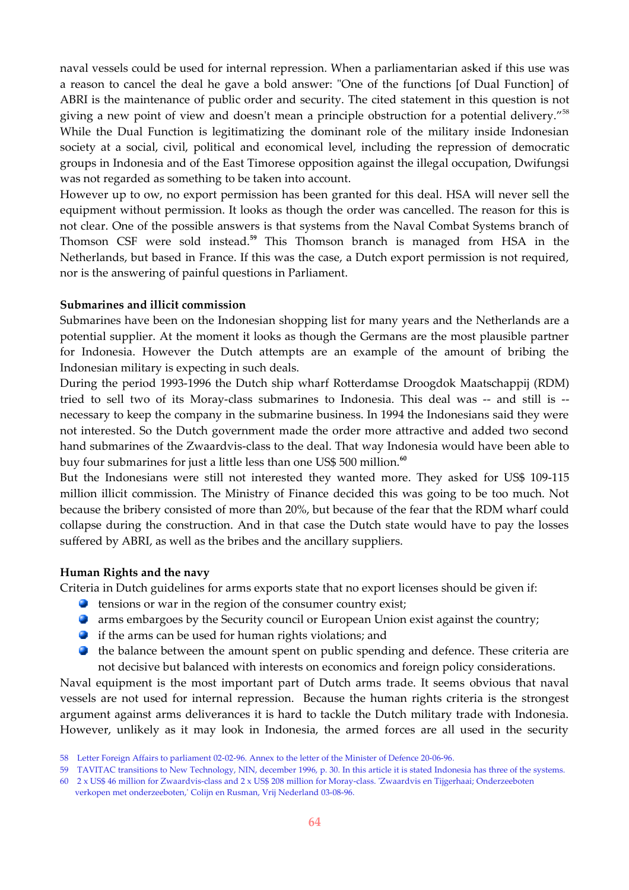naval vessels could be used for internal repression. When a parliamentarian asked if this use was a reason to cancel the deal he gave a bold answer: "One of the functions [of Dual Function] of ABRI is the maintenance of public order and security. The cited statement in this question is not giving a new point of view and doesn't mean a principle obstruction for a potential delivery." 58 While the Dual Function is legitimatizing the dominant role of the military inside Indonesian society at a social, civil, political and economical level, including the repression of democratic groups in Indonesia and of the East Timorese opposition against the illegal occupation, Dwifungsi was not regarded as something to be taken into account.

However up to ow, no export permission has been granted for this deal. HSA will never sell the equipment without permission. It looks as though the order was cancelled. The reason for this is not clear. One of the possible answers is that systems from the Naval Combat Systems branch of Thomson CSF were sold instead.**<sup>59</sup>** This Thomson branch is managed from HSA in the Netherlands, but based in France. If this was the case, a Dutch export permission is not required, nor is the answering of painful questions in Parliament.

#### **Submarines and illicit commission**

Submarines have been on the Indonesian shopping list for many years and the Netherlands are a potential supplier. At the moment it looks as though the Germans are the most plausible partner for Indonesia. However the Dutch attempts are an example of the amount of bribing the Indonesian military is expecting in such deals.

During the period 1993-1996 the Dutch ship wharf Rotterdamse Droogdok Maatschappij (RDM) tried to sell two of its Moray-class submarines to Indonesia. This deal was -- and still is - necessary to keep the company in the submarine business. In 1994 the Indonesians said they were not interested. So the Dutch government made the order more attractive and added two second hand submarines of the Zwaardvis-class to the deal. That way Indonesia would have been able to buy four submarines for just a little less than one US\$ 500 million. **60**

But the Indonesians were still not interested they wanted more. They asked for US\$ 109-115 million illicit commission. The Ministry of Finance decided this was going to be too much. Not because the bribery consisted of more than 20%, but because of the fear that the RDM wharf could collapse during the construction. And in that case the Dutch state would have to pay the losses suffered by ABRI, as well as the bribes and the ancillary suppliers.

#### **Human Rights and the navy**

Criteria in Dutch guidelines for arms exports state that no export licenses should be given if:

- $\bullet$  tensions or war in the region of the consumer country exist;
- arms embargoes by the Security council or European Union exist against the country;
- $\bullet$  if the arms can be used for human rights violations; and
- 0 the balance between the amount spent on public spending and defence. These criteria are not decisive but balanced with interests on economics and foreign policy considerations.

Naval equipment is the most important part of Dutch arms trade. It seems obvious that naval vessels are not used for internal repression. Because the human rights criteria is the strongest argument against arms deliverances it is hard to tackle the Dutch military trade with Indonesia. However, unlikely as it may look in Indonesia, the armed forces are all used in the security

verkopen met onderzeeboten,' Colijn en Rusman, Vrij Nederland 03-08-96.

<sup>58</sup> Letter Foreign Affairs to parliament 02-02-96. Annex to the letter of the Minister of Defence 20-06-96.

<sup>59</sup> TAVITAC transitions to New Technology, NIN, december 1996, p. 30. In this article it is stated Indonesia has three of the systems. 60 2 x US\$ 46 million for Zwaardvis-class and 2 x US\$ 208 million for Moray-class. 'Zwaardvis en Tijgerhaai; Onderzeeboten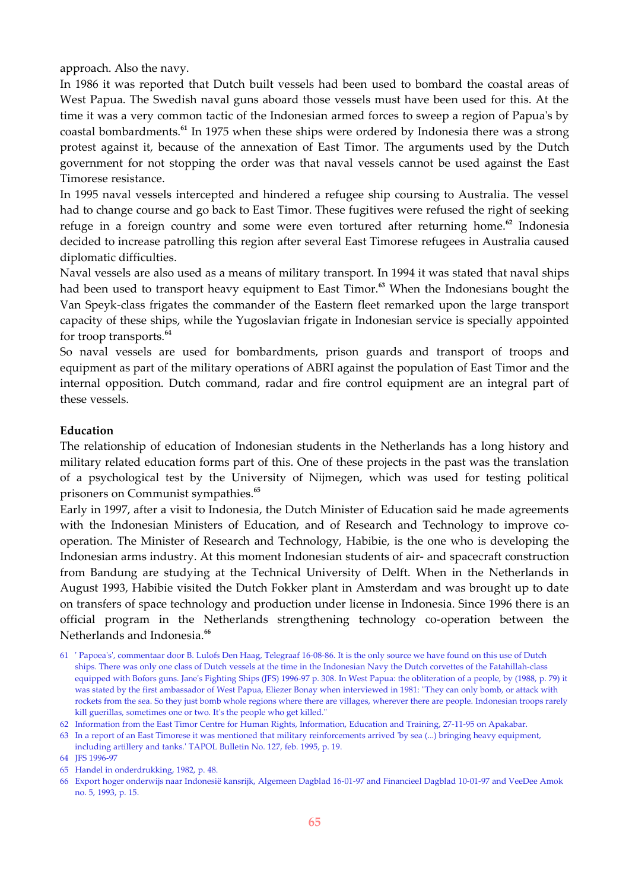approach. Also the navy.

In 1986 it was reported that Dutch built vessels had been used to bombard the coastal areas of West Papua. The Swedish naval guns aboard those vessels must have been used for this. At the time it was a very common tactic of the Indonesian armed forces to sweep a region of Papua's by coastal bombardments. **<sup>61</sup>** In 1975 when these ships were ordered by Indonesia there was a strong protest against it, because of the annexation of East Timor. The arguments used by the Dutch government for not stopping the order was that naval vessels cannot be used against the East Timorese resistance.

In 1995 naval vessels intercepted and hindered a refugee ship coursing to Australia. The vessel had to change course and go back to East Timor. These fugitives were refused the right of seeking refuge in a foreign country and some were even tortured after returning home.**<sup>62</sup>** Indonesia decided to increase patrolling this region after several East Timorese refugees in Australia caused diplomatic difficulties.

Naval vessels are also used as a means of military transport. In 1994 it was stated that naval ships had been used to transport heavy equipment to East Timor.**<sup>63</sup>** When the Indonesians bought the Van Speyk-class frigates the commander of the Eastern fleet remarked upon the large transport capacity of these ships, while the Yugoslavian frigate in Indonesian service is specially appointed for troop transports.**<sup>64</sup>**

So naval vessels are used for bombardments, prison guards and transport of troops and equipment as part of the military operations of ABRI against the population of East Timor and the internal opposition. Dutch command, radar and fire control equipment are an integral part of these vessels.

#### **Education**

The relationship of education of Indonesian students in the Netherlands has a long history and military related education forms part of this. One of these projects in the past was the translation of a psychological test by the University of Nijmegen, which was used for testing political prisoners on Communist sympathies. **65**

Early in 1997, after a visit to Indonesia, the Dutch Minister of Education said he made agreements with the Indonesian Ministers of Education, and of Research and Technology to improve cooperation. The Minister of Research and Technology, Habibie, is the one who is developing the Indonesian arms industry. At this moment Indonesian students of air- and spacecraft construction from Bandung are studying at the Technical University of Delft. When in the Netherlands in August 1993, Habibie visited the Dutch Fokker plant in Amsterdam and was brought up to date on transfers of space technology and production under license in Indonesia. Since 1996 there is an official program in the Netherlands strengthening technology co-operation between the Netherlands and Indonesia.**<sup>66</sup>**

- 64 JFS 1996-97
- 65 Handel in onderdrukking, 1982, p. 48.

<sup>61</sup> ' Papoea's', commentaar door B. Lulofs Den Haag, Telegraaf 16-08-86. It is the only source we have found on this use of Dutch ships. There was only one class of Dutch vessels at the time in the Indonesian Navy the Dutch corvettes of the Fatahillah-class equipped with Bofors guns. Jane's Fighting Ships (JFS) 1996-97 p. 308. In West Papua: the obliteration of a people, by (1988, p. 79) it was stated by the first ambassador of West Papua, Eliezer Bonay when interviewed in 1981: "They can only bomb, or attack with rockets from the sea. So they just bomb whole regions where there are villages, wherever there are people. Indonesian troops rarely kill guerillas, sometimes one or two. It's the people who get killed."

<sup>62</sup> Information from the East Timor Centre for Human Rights, Information, Education and Training, 27-11-95 on Apakabar.

<sup>63</sup> In a report of an East Timorese it was mentioned that military reinforcements arrived 'by sea (...) bringing heavy equipment, including artillery and tanks.' TAPOL Bulletin No. 127, feb. 1995, p. 19.

<sup>66</sup> Export hoger onderwijs naar Indonesië kansrijk, Algemeen Dagblad 16-01-97 and Financieel Dagblad 10-01-97 and VeeDee Amok no. 5, 1993, p. 15.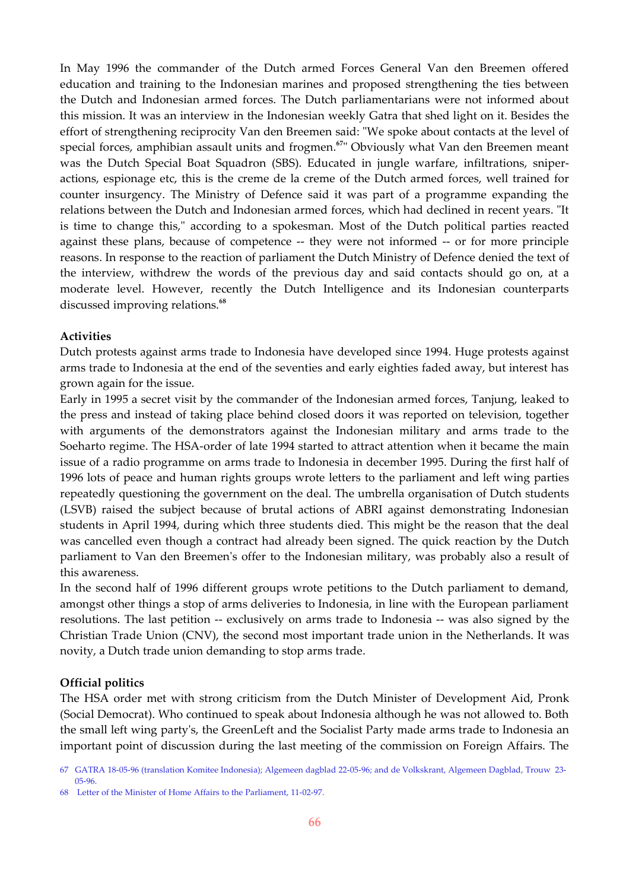In May 1996 the commander of the Dutch armed Forces General Van den Breemen offered education and training to the Indonesian marines and proposed strengthening the ties between the Dutch and Indonesian armed forces. The Dutch parliamentarians were not informed about this mission. It was an interview in the Indonesian weekly Gatra that shed light on it. Besides the effort of strengthening reciprocity Van den Breemen said: "We spoke about contacts at the level of special forces, amphibian assault units and frogmen. **67** " Obviously what Van den Breemen meant was the Dutch Special Boat Squadron (SBS). Educated in jungle warfare, infiltrations, sniperactions, espionage etc, this is the creme de la creme of the Dutch armed forces, well trained for counter insurgency. The Ministry of Defence said it was part of a programme expanding the relations between the Dutch and Indonesian armed forces, which had declined in recent years. "It is time to change this," according to a spokesman. Most of the Dutch political parties reacted against these plans, because of competence -- they were not informed -- or for more principle reasons. In response to the reaction of parliament the Dutch Ministry of Defence denied the text of the interview, withdrew the words of the previous day and said contacts should go on, at a moderate level. However, recently the Dutch Intelligence and its Indonesian counterparts discussed improving relations.**<sup>68</sup>**

#### **Activities**

Dutch protests against arms trade to Indonesia have developed since 1994. Huge protests against arms trade to Indonesia at the end of the seventies and early eighties faded away, but interest has grown again for the issue.

Early in 1995 a secret visit by the commander of the Indonesian armed forces, Tanjung, leaked to the press and instead of taking place behind closed doors it was reported on television, together with arguments of the demonstrators against the Indonesian military and arms trade to the Soeharto regime. The HSA-order of late 1994 started to attract attention when it became the main issue of a radio programme on arms trade to Indonesia in december 1995. During the first half of 1996 lots of peace and human rights groups wrote letters to the parliament and left wing parties repeatedly questioning the government on the deal. The umbrella organisation of Dutch students (LSVB) raised the subject because of brutal actions of ABRI against demonstrating Indonesian students in April 1994, during which three students died. This might be the reason that the deal was cancelled even though a contract had already been signed. The quick reaction by the Dutch parliament to Van den Breemen's offer to the Indonesian military, was probably also a result of this awareness.

In the second half of 1996 different groups wrote petitions to the Dutch parliament to demand, amongst other things a stop of arms deliveries to Indonesia, in line with the European parliament resolutions. The last petition -- exclusively on arms trade to Indonesia -- was also signed by the Christian Trade Union (CNV), the second most important trade union in the Netherlands. It was novity, a Dutch trade union demanding to stop arms trade.

#### **Official politics**

The HSA order met with strong criticism from the Dutch Minister of Development Aid, Pronk (Social Democrat). Who continued to speak about Indonesia although he was not allowed to. Both the small left wing party's, the GreenLeft and the Socialist Party made arms trade to Indonesia an important point of discussion during the last meeting of the commission on Foreign Affairs. The

<sup>67</sup> GATRA 18-05-96 (translation Komitee Indonesia); Algemeen dagblad 22-05-96; and de Volkskrant, Algemeen Dagblad, Trouw 23- 05-96.

<sup>68</sup> Letter of the Minister of Home Affairs to the Parliament, 11-02-97.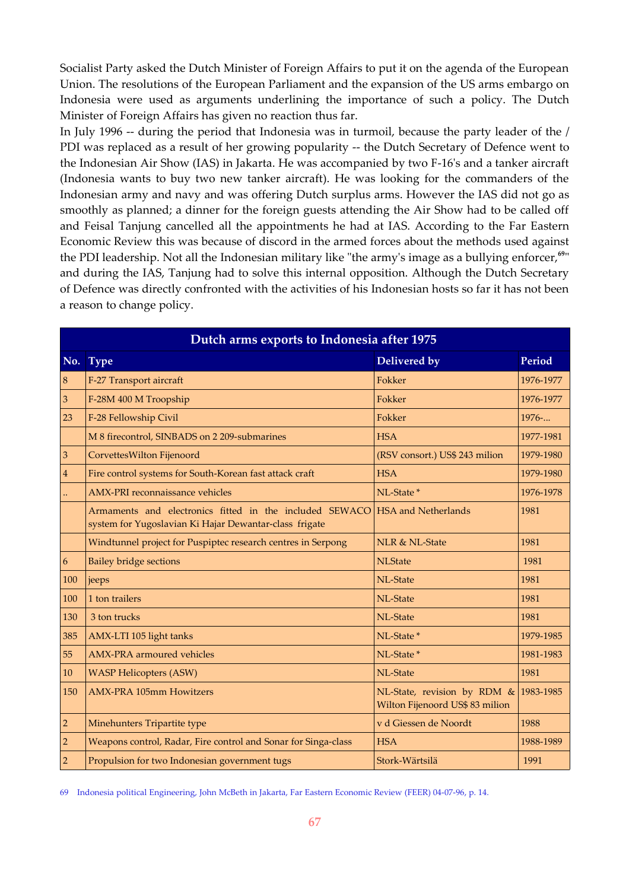Socialist Party asked the Dutch Minister of Foreign Affairs to put it on the agenda of the European Union. The resolutions of the European Parliament and the expansion of the US arms embargo on Indonesia were used as arguments underlining the importance of such a policy. The Dutch Minister of Foreign Affairs has given no reaction thus far.

In July 1996 -- during the period that Indonesia was in turmoil, because the party leader of the / PDI was replaced as a result of her growing popularity -- the Dutch Secretary of Defence went to the Indonesian Air Show (IAS) in Jakarta. He was accompanied by two F-16's and a tanker aircraft (Indonesia wants to buy two new tanker aircraft). He was looking for the commanders of the Indonesian army and navy and was offering Dutch surplus arms. However the IAS did not go as smoothly as planned; a dinner for the foreign guests attending the Air Show had to be called off and Feisal Tanjung cancelled all the appointments he had at IAS. According to the Far Eastern Economic Review this was because of discord in the armed forces about the methods used against the PDI leadership. Not all the Indonesian military like "the army's image as a bullying enforcer,<sup>69</sup>" and during the IAS, Tanjung had to solve this internal opposition. Although the Dutch Secretary of Defence was directly confronted with the activities of his Indonesian hosts so far it has not been a reason to change policy.

|                | Dutch arms exports to Indonesia after 1975                                                                        |                                                                |               |  |
|----------------|-------------------------------------------------------------------------------------------------------------------|----------------------------------------------------------------|---------------|--|
|                | No. Type                                                                                                          | Delivered by                                                   | <b>Period</b> |  |
| 8              | F-27 Transport aircraft                                                                                           | Fokker                                                         | 1976-1977     |  |
| 3              | F-28M 400 M Troopship                                                                                             | Fokker                                                         | 1976-1977     |  |
| 23             | F-28 Fellowship Civil                                                                                             | Fokker                                                         | $1976-$       |  |
|                | M 8 firecontrol, SINBADS on 2 209-submarines                                                                      | <b>HSA</b>                                                     | 1977-1981     |  |
| 3              | Corvettes Wilton Fijenoord                                                                                        | (RSV consort.) US\$ 243 milion                                 | 1979-1980     |  |
| $\overline{4}$ | Fire control systems for South-Korean fast attack craft                                                           | <b>HSA</b>                                                     | 1979-1980     |  |
|                | AMX-PRI reconnaissance vehicles                                                                                   | NL-State*                                                      | 1976-1978     |  |
|                | Armaments and electronics fitted in the included SEWACO<br>system for Yugoslavian Ki Hajar Dewantar-class frigate | <b>HSA</b> and Netherlands                                     | 1981          |  |
|                | Windtunnel project for Puspiptec research centres in Serpong                                                      | NLR & NL-State                                                 | 1981          |  |
| 6              | <b>Bailey bridge sections</b>                                                                                     | <b>NLState</b>                                                 | 1981          |  |
| 100            | jeeps                                                                                                             | NL-State                                                       | 1981          |  |
| 100            | 1 ton trailers                                                                                                    | NL-State                                                       | 1981          |  |
| 130            | 3 ton trucks                                                                                                      | NL-State                                                       | 1981          |  |
| 385            | AMX-LTI 105 light tanks                                                                                           | NL-State*                                                      | 1979-1985     |  |
| 55             | <b>AMX-PRA</b> armoured vehicles                                                                                  | NL-State*                                                      | 1981-1983     |  |
| 10             | <b>WASP Helicopters (ASW)</b>                                                                                     | NL-State                                                       | 1981          |  |
| 150            | <b>AMX-PRA 105mm Howitzers</b>                                                                                    | NL-State, revision by RDM &<br>Wilton Fijenoord US\$ 83 milion | 1983-1985     |  |
| $\overline{2}$ | Minehunters Tripartite type                                                                                       | v d Giessen de Noordt                                          | 1988          |  |
| $\overline{2}$ | Weapons control, Radar, Fire control and Sonar for Singa-class                                                    | <b>HSA</b>                                                     | 1988-1989     |  |
| $\overline{2}$ | Propulsion for two Indonesian government tugs                                                                     | Stork-Wärtsilä                                                 | 1991          |  |

69 Indonesia political Engineering, John McBeth in Jakarta, Far Eastern Economic Review (FEER) 04-07-96, p. 14.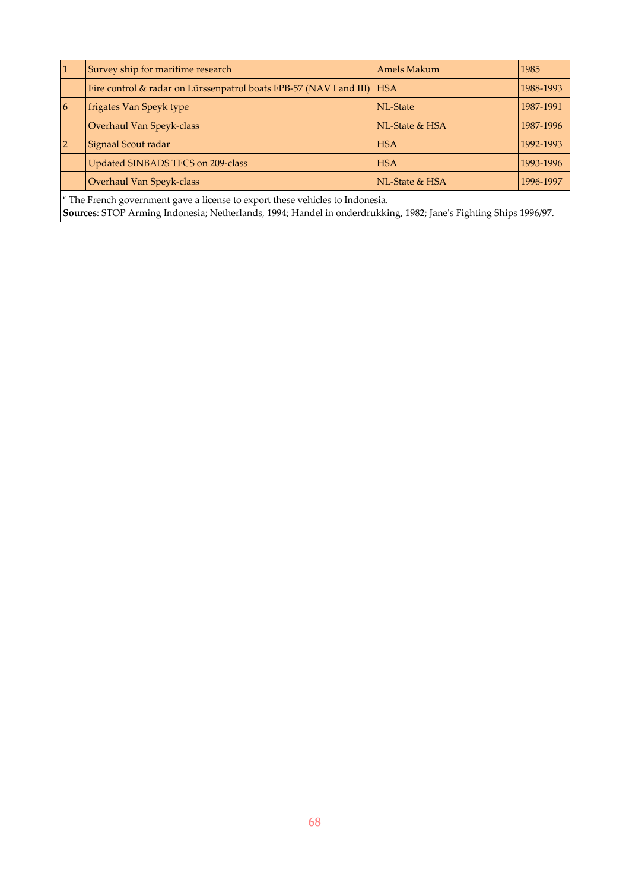|            | Survey ship for maritime research                                           | Amels Makum    | 1985      |
|------------|-----------------------------------------------------------------------------|----------------|-----------|
|            | Fire control $\&$ radar on Lürssenpatrol boats FPB-57 (NAV I and III)   HSA |                | 1988-1993 |
| <u> 16</u> | frigates Van Speyk type                                                     | NL-State       | 1987-1991 |
|            | Overhaul Van Speyk-class                                                    | NL-State & HSA | 1987-1996 |
|            | Signaal Scout radar                                                         | <b>HSA</b>     | 1992-1993 |
|            | Updated SINBADS TFCS on 209-class                                           | <b>HSA</b>     | 1993-1996 |
|            | Overhaul Van Speyk-class                                                    | NL-State & HSA | 1996-1997 |

\* The French government gave a license to export these vehicles to Indonesia.

**Sources**: STOP Arming Indonesia; Netherlands, 1994; Handel in onderdrukking, 1982; Jane's Fighting Ships 1996/97.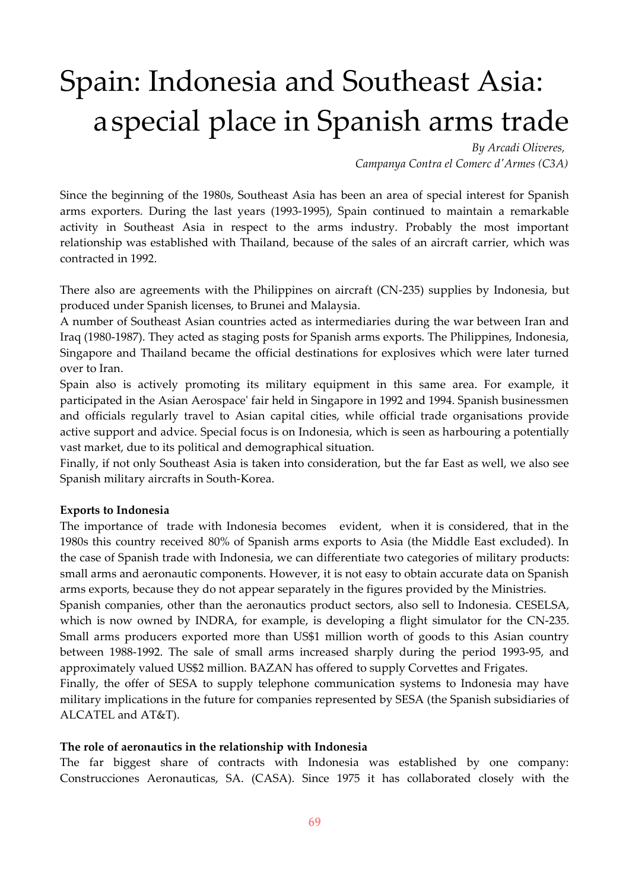## Spain: Indonesia and Southeast Asia: aspecial place in Spanish arms trade

*By Arcadi Oliveres, Campanya Contra el Comerc d'Armes (C3A)*

Since the beginning of the 1980s, Southeast Asia has been an area of special interest for Spanish arms exporters. During the last years (1993-1995), Spain continued to maintain a remarkable activity in Southeast Asia in respect to the arms industry. Probably the most important relationship was established with Thailand, because of the sales of an aircraft carrier, which was contracted in 1992.

There also are agreements with the Philippines on aircraft (CN-235) supplies by Indonesia, but produced under Spanish licenses, to Brunei and Malaysia.

A number of Southeast Asian countries acted as intermediaries during the war between Iran and Iraq (1980-1987). They acted as staging posts for Spanish arms exports. The Philippines, Indonesia, Singapore and Thailand became the official destinations for explosives which were later turned over to Iran.

Spain also is actively promoting its military equipment in this same area. For example, it participated in the Asian Aerospace' fair held in Singapore in 1992 and 1994. Spanish businessmen and officials regularly travel to Asian capital cities, while official trade organisations provide active support and advice. Special focus is on Indonesia, which is seen as harbouring a potentially vast market, due to its political and demographical situation.

Finally, if not only Southeast Asia is taken into consideration, but the far East as well, we also see Spanish military aircrafts in South-Korea.

#### **Exports to Indonesia**

The importance of trade with Indonesia becomes evident, when it is considered, that in the 1980s this country received 80% of Spanish arms exports to Asia (the Middle East excluded). In the case of Spanish trade with Indonesia, we can differentiate two categories of military products: small arms and aeronautic components. However, it is not easy to obtain accurate data on Spanish arms exports, because they do not appear separately in the figures provided by the Ministries.

Spanish companies, other than the aeronautics product sectors, also sell to Indonesia. CESELSA, which is now owned by INDRA, for example, is developing a flight simulator for the CN-235. Small arms producers exported more than US\$1 million worth of goods to this Asian country between 1988-1992. The sale of small arms increased sharply during the period 1993-95, and approximately valued US\$2 million. BAZAN has offered to supply Corvettes and Frigates.

Finally, the offer of SESA to supply telephone communication systems to Indonesia may have military implications in the future for companies represented by SESA (the Spanish subsidiaries of ALCATEL and AT&T).

#### **The role of aeronautics in the relationship with Indonesia**

The far biggest share of contracts with Indonesia was established by one company: Construcciones Aeronauticas, SA. (CASA). Since 1975 it has collaborated closely with the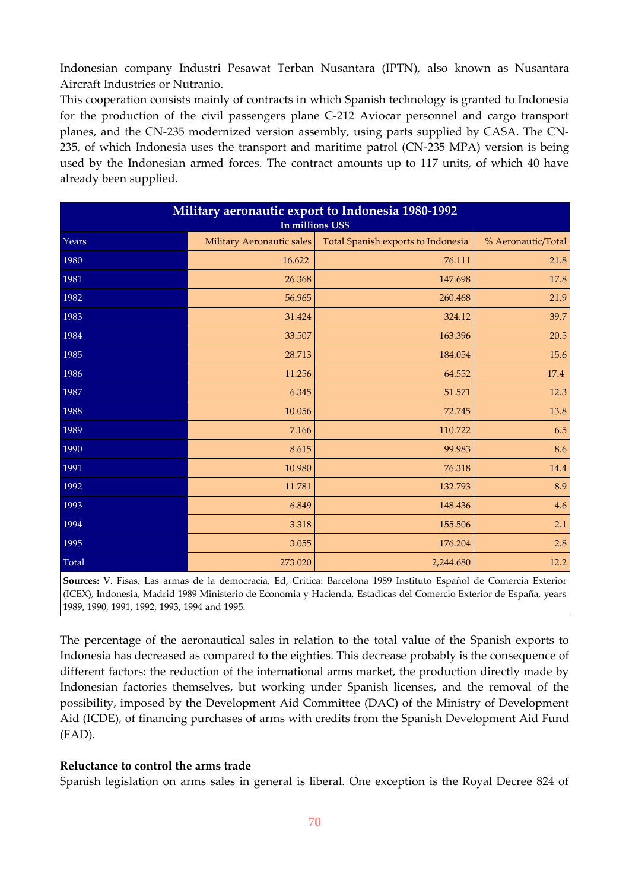Indonesian company Industri Pesawat Terban Nusantara (IPTN), also known as Nusantara Aircraft Industries or Nutranio.

This cooperation consists mainly of contracts in which Spanish technology is granted to Indonesia for the production of the civil passengers plane C-212 Aviocar personnel and cargo transport planes, and the CN-235 modernized version assembly, using parts supplied by CASA. The CN-235, of which Indonesia uses the transport and maritime patrol (CN-235 MPA) version is being used by the Indonesian armed forces. The contract amounts up to 117 units, of which 40 have already been supplied.

| Military aeronautic export to Indonesia 1980-1992 |                                  |                                    |                    |  |  |
|---------------------------------------------------|----------------------------------|------------------------------------|--------------------|--|--|
|                                                   | In millions US\$                 |                                    |                    |  |  |
| Years                                             | <b>Military Aeronautic sales</b> | Total Spanish exports to Indonesia | % Aeronautic/Total |  |  |
| 1980                                              | 16.622                           | 76.111                             | 21.8               |  |  |
| 1981                                              | 26.368                           | 147.698                            | $17.8\,$           |  |  |
| 1982                                              | 56.965                           | 260.468                            | 21.9               |  |  |
| 1983                                              | 31.424                           | 324.12                             | 39.7               |  |  |
| 1984                                              | 33.507                           | 163.396                            | 20.5               |  |  |
| 1985                                              | 28.713                           | 184.054                            | 15.6               |  |  |
| 1986                                              | 11.256                           | 64.552                             | 17.4               |  |  |
| 1987                                              | 6.345                            | 51.571                             | 12.3               |  |  |
| 1988                                              | 10.056                           | 72.745                             | $13.8\,$           |  |  |
| 1989                                              | 7.166                            | 110.722                            | 6.5                |  |  |
| 1990                                              | 8.615                            | 99.983                             | 8.6                |  |  |
| 1991                                              | 10.980                           | 76.318                             | $14.4\,$           |  |  |
| 1992                                              | 11.781                           | 132.793                            | 8.9                |  |  |
| 1993                                              | 6.849                            | 148.436                            | 4.6                |  |  |
| 1994                                              | 3.318                            | 155.506                            | 2.1                |  |  |
| 1995                                              | 3.055                            | 176.204                            | $2.8\,$            |  |  |
| Total                                             | 273.020                          | 2,244.680                          | 12.2               |  |  |

**Sources:** V. Fisas, Las armas de la democracia, Ed, Critica: Barcelona 1989 Instituto Español de Comercia Exterior (ICEX), Indonesia, Madrid 1989 Ministerio de Economia y Hacienda, Estadicas del Comercio Exterior de España, years 1989, 1990, 1991, 1992, 1993, 1994 and 1995.

The percentage of the aeronautical sales in relation to the total value of the Spanish exports to Indonesia has decreased as compared to the eighties. This decrease probably is the consequence of different factors: the reduction of the international arms market, the production directly made by Indonesian factories themselves, but working under Spanish licenses, and the removal of the possibility, imposed by the Development Aid Committee (DAC) of the Ministry of Development Aid (ICDE), of financing purchases of arms with credits from the Spanish Development Aid Fund (FAD).

#### **Reluctance to control the arms trade**

Spanish legislation on arms sales in general is liberal. One exception is the Royal Decree 824 of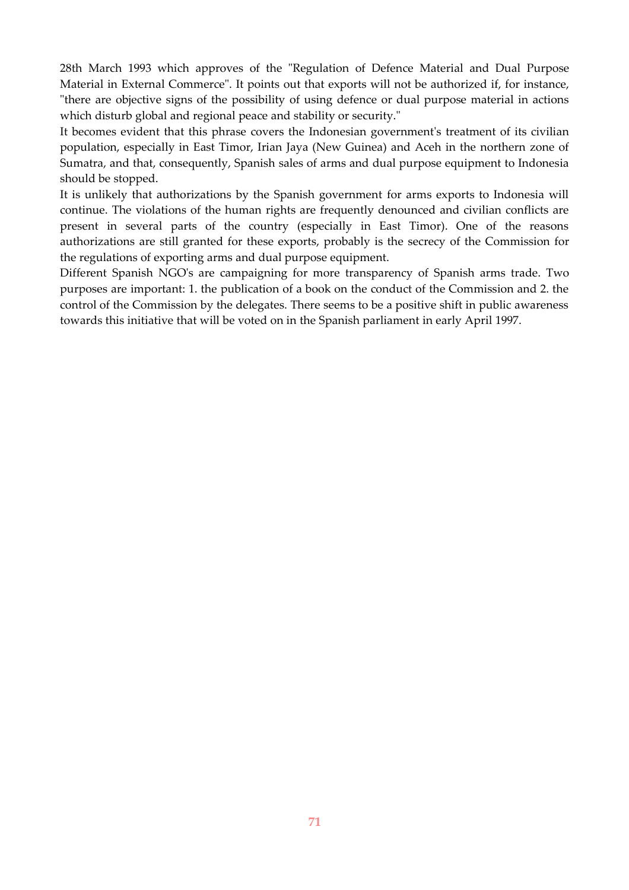28th March 1993 which approves of the "Regulation of Defence Material and Dual Purpose Material in External Commerce". It points out that exports will not be authorized if, for instance, "there are objective signs of the possibility of using defence or dual purpose material in actions which disturb global and regional peace and stability or security."

It becomes evident that this phrase covers the Indonesian government's treatment of its civilian population, especially in East Timor, Irian Jaya (New Guinea) and Aceh in the northern zone of Sumatra, and that, consequently, Spanish sales of arms and dual purpose equipment to Indonesia should be stopped.

It is unlikely that authorizations by the Spanish government for arms exports to Indonesia will continue. The violations of the human rights are frequently denounced and civilian conflicts are present in several parts of the country (especially in East Timor). One of the reasons authorizations are still granted for these exports, probably is the secrecy of the Commission for the regulations of exporting arms and dual purpose equipment.

Different Spanish NGO's are campaigning for more transparency of Spanish arms trade. Two purposes are important: 1. the publication of a book on the conduct of the Commission and 2. the control of the Commission by the delegates. There seems to be a positive shift in public awareness towards this initiative that will be voted on in the Spanish parliament in early April 1997.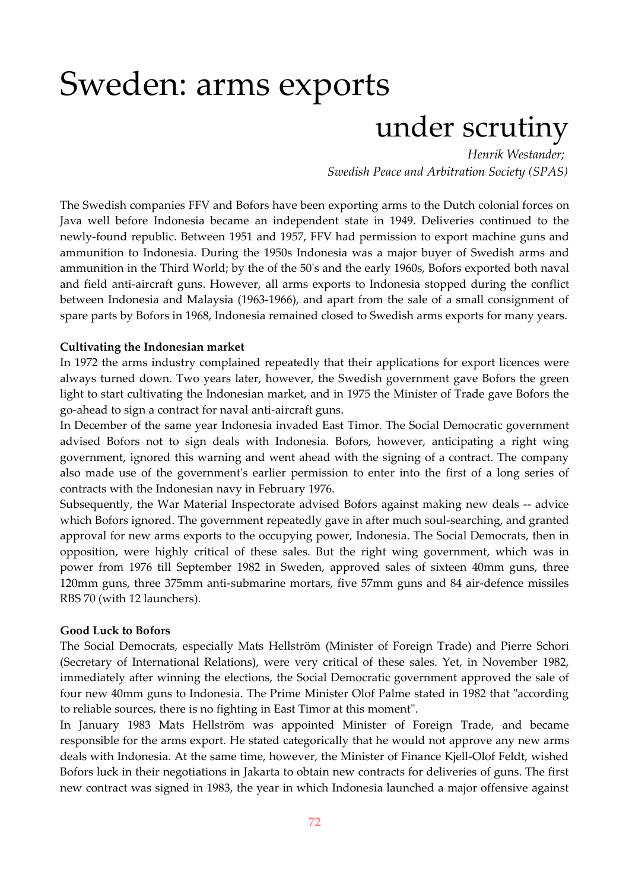## Sweden: arms exports

### under scrutiny

*Henrik Westander; Swedish Peace and Arbitration Society (SPAS)*

The Swedish companies FFV and Bofors have been exporting arms to the Dutch colonial forces on Java well before Indonesia became an independent state in 1949. Deliveries continued to the newly-found republic. Between 1951 and 1957, FFV had permission to export machine guns and ammunition to Indonesia. During the 1950s Indonesia was a major buyer of Swedish arms and ammunition in the Third World; by the of the 50's and the early 1960s, Bofors exported both naval and field anti-aircraft guns. However, all arms exports to Indonesia stopped during the conflict between Indonesia and Malaysia (1963-1966), and apart from the sale of a small consignment of spare parts by Bofors in 1968, Indonesia remained closed to Swedish arms exports for many years.

#### **Cultivating the Indonesian market**

In 1972 the arms industry complained repeatedly that their applications for export licences were always turned down. Two years later, however, the Swedish government gave Bofors the green light to start cultivating the Indonesian market, and in 1975 the Minister of Trade gave Bofors the go-ahead to sign a contract for naval anti-aircraft guns.

In December of the same year Indonesia invaded East Timor. The Social Democratic government advised Bofors not to sign deals with Indonesia. Bofors, however, anticipating a right wing government, ignored this warning and went ahead with the signing of a contract. The company also made use of the government's earlier permission to enter into the first of a long series of contracts with the Indonesian navy in February 1976.

Subsequently, the War Material Inspectorate advised Bofors against making new deals -- advice which Bofors ignored. The government repeatedly gave in after much soul-searching, and granted approval for new arms exports to the occupying power, Indonesia. The Social Democrats, then in opposition, were highly critical of these sales. But the right wing government, which was in power from 1976 till September 1982 in Sweden, approved sales of sixteen 40mm guns, three 120mm guns, three 375mm anti-submarine mortars, five 57mm guns and 84 air-defence missiles RBS 70 (with 12 launchers).

#### **Good Luck to Bofors**

The Social Democrats, especially Mats Hellström (Minister of Foreign Trade) and Pierre Schori (Secretary of International Relations), were very critical of these sales. Yet, in November 1982, immediately after winning the elections, the Social Democratic government approved the sale of four new 40mm guns to Indonesia. The Prime Minister Olof Palme stated in 1982 that "according to reliable sources, there is no fighting in East Timor at this moment".

In January 1983 Mats Hellström was appointed Minister of Foreign Trade, and became responsible for the arms export. He stated categorically that he would not approve any new arms deals with Indonesia. At the same time, however, the Minister of Finance Kjell-Olof Feldt, wished Bofors luck in their negotiations in Jakarta to obtain new contracts for deliveries of guns. The first new contract was signed in 1983, the year in which Indonesia launched a major offensive against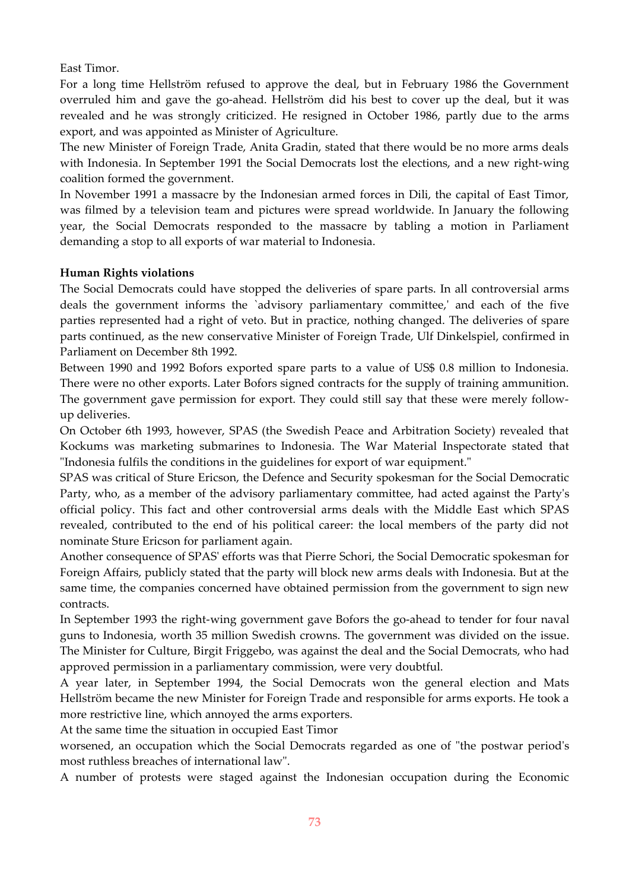East Timor.

For a long time Hellström refused to approve the deal, but in February 1986 the Government overruled him and gave the go-ahead. Hellström did his best to cover up the deal, but it was revealed and he was strongly criticized. He resigned in October 1986, partly due to the arms export, and was appointed as Minister of Agriculture.

The new Minister of Foreign Trade, Anita Gradin, stated that there would be no more arms deals with Indonesia. In September 1991 the Social Democrats lost the elections, and a new right-wing coalition formed the government.

In November 1991 a massacre by the Indonesian armed forces in Dili, the capital of East Timor, was filmed by a television team and pictures were spread worldwide. In January the following year, the Social Democrats responded to the massacre by tabling a motion in Parliament demanding a stop to all exports of war material to Indonesia.

#### **Human Rights violations**

The Social Democrats could have stopped the deliveries of spare parts. In all controversial arms deals the government informs the `advisory parliamentary committee,' and each of the five parties represented had a right of veto. But in practice, nothing changed. The deliveries of spare parts continued, as the new conservative Minister of Foreign Trade, Ulf Dinkelspiel, confirmed in Parliament on December 8th 1992.

Between 1990 and 1992 Bofors exported spare parts to a value of US\$ 0.8 million to Indonesia. There were no other exports. Later Bofors signed contracts for the supply of training ammunition. The government gave permission for export. They could still say that these were merely followup deliveries.

On October 6th 1993, however, SPAS (the Swedish Peace and Arbitration Society) revealed that Kockums was marketing submarines to Indonesia. The War Material Inspectorate stated that "Indonesia fulfils the conditions in the guidelines for export of war equipment."

SPAS was critical of Sture Ericson, the Defence and Security spokesman for the Social Democratic Party, who, as a member of the advisory parliamentary committee, had acted against the Party's official policy. This fact and other controversial arms deals with the Middle East which SPAS revealed, contributed to the end of his political career: the local members of the party did not nominate Sture Ericson for parliament again.

Another consequence of SPAS' efforts was that Pierre Schori, the Social Democratic spokesman for Foreign Affairs, publicly stated that the party will block new arms deals with Indonesia. But at the same time, the companies concerned have obtained permission from the government to sign new contracts.

In September 1993 the right-wing government gave Bofors the go-ahead to tender for four naval guns to Indonesia, worth 35 million Swedish crowns. The government was divided on the issue. The Minister for Culture, Birgit Friggebo, was against the deal and the Social Democrats, who had approved permission in a parliamentary commission, were very doubtful.

A year later, in September 1994, the Social Democrats won the general election and Mats Hellström became the new Minister for Foreign Trade and responsible for arms exports. He took a more restrictive line, which annoyed the arms exporters.

At the same time the situation in occupied East Timor

worsened, an occupation which the Social Democrats regarded as one of "the postwar period's most ruthless breaches of international law".

A number of protests were staged against the Indonesian occupation during the Economic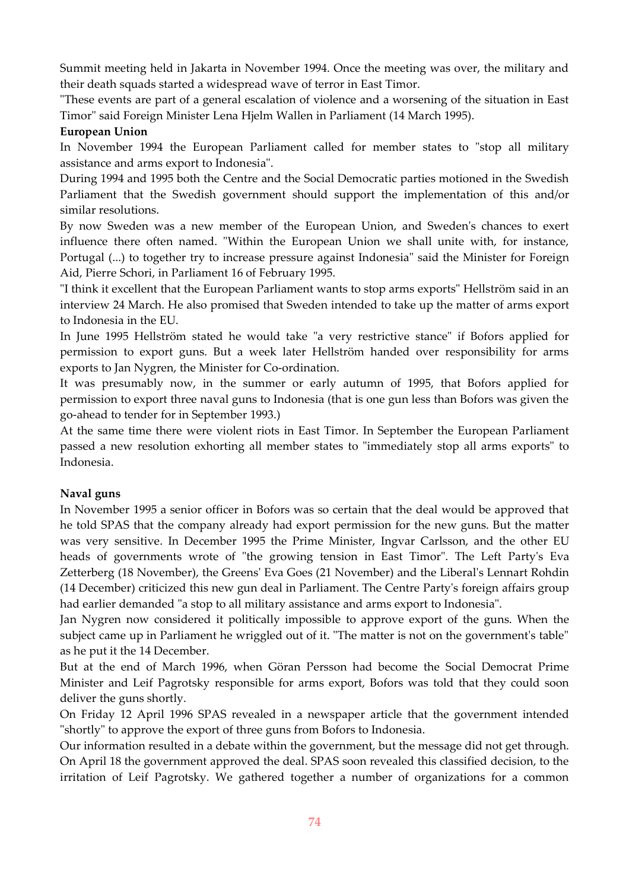Summit meeting held in Jakarta in November 1994. Once the meeting was over, the military and their death squads started a widespread wave of terror in East Timor.

"These events are part of a general escalation of violence and a worsening of the situation in East Timor" said Foreign Minister Lena Hjelm Wallen in Parliament (14 March 1995).

#### **European Union**

In November 1994 the European Parliament called for member states to "stop all military assistance and arms export to Indonesia".

During 1994 and 1995 both the Centre and the Social Democratic parties motioned in the Swedish Parliament that the Swedish government should support the implementation of this and/or similar resolutions.

By now Sweden was a new member of the European Union, and Sweden's chances to exert influence there often named. "Within the European Union we shall unite with, for instance, Portugal (...) to together try to increase pressure against Indonesia" said the Minister for Foreign Aid, Pierre Schori, in Parliament 16 of February 1995.

"I think it excellent that the European Parliament wants to stop arms exports" Hellström said in an interview 24 March. He also promised that Sweden intended to take up the matter of arms export to Indonesia in the EU.

In June 1995 Hellström stated he would take "a very restrictive stance" if Bofors applied for permission to export guns. But a week later Hellström handed over responsibility for arms exports to Jan Nygren, the Minister for Co-ordination.

It was presumably now, in the summer or early autumn of 1995, that Bofors applied for permission to export three naval guns to Indonesia (that is one gun less than Bofors was given the go-ahead to tender for in September 1993.)

At the same time there were violent riots in East Timor. In September the European Parliament passed a new resolution exhorting all member states to "immediately stop all arms exports" to Indonesia.

#### **Naval guns**

In November 1995 a senior officer in Bofors was so certain that the deal would be approved that he told SPAS that the company already had export permission for the new guns. But the matter was very sensitive. In December 1995 the Prime Minister, Ingvar Carlsson, and the other EU heads of governments wrote of "the growing tension in East Timor". The Left Party's Eva Zetterberg (18 November), the Greens' Eva Goes (21 November) and the Liberal's Lennart Rohdin (14 December) criticized this new gun deal in Parliament. The Centre Party's foreign affairs group had earlier demanded "a stop to all military assistance and arms export to Indonesia".

Jan Nygren now considered it politically impossible to approve export of the guns. When the subject came up in Parliament he wriggled out of it. "The matter is not on the government's table" as he put it the 14 December.

But at the end of March 1996, when Göran Persson had become the Social Democrat Prime Minister and Leif Pagrotsky responsible for arms export, Bofors was told that they could soon deliver the guns shortly.

On Friday 12 April 1996 SPAS revealed in a newspaper article that the government intended "shortly" to approve the export of three guns from Bofors to Indonesia.

Our information resulted in a debate within the government, but the message did not get through. On April 18 the government approved the deal. SPAS soon revealed this classified decision, to the irritation of Leif Pagrotsky. We gathered together a number of organizations for a common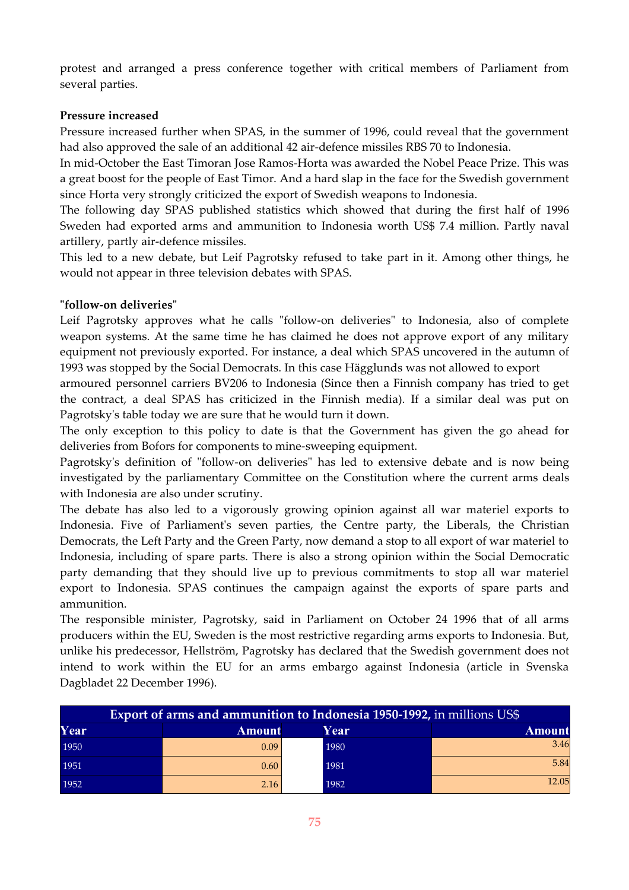protest and arranged a press conference together with critical members of Parliament from several parties.

#### **Pressure increased**

Pressure increased further when SPAS, in the summer of 1996, could reveal that the government had also approved the sale of an additional 42 air-defence missiles RBS 70 to Indonesia.

In mid-October the East Timoran Jose Ramos-Horta was awarded the Nobel Peace Prize. This was a great boost for the people of East Timor. And a hard slap in the face for the Swedish government since Horta very strongly criticized the export of Swedish weapons to Indonesia.

The following day SPAS published statistics which showed that during the first half of 1996 Sweden had exported arms and ammunition to Indonesia worth US\$ 7.4 million. Partly naval artillery, partly air-defence missiles.

This led to a new debate, but Leif Pagrotsky refused to take part in it. Among other things, he would not appear in three television debates with SPAS.

#### **"follow-on deliveries"**

Leif Pagrotsky approves what he calls "follow-on deliveries" to Indonesia, also of complete weapon systems. At the same time he has claimed he does not approve export of any military equipment not previously exported. For instance, a deal which SPAS uncovered in the autumn of 1993 was stopped by the Social Democrats. In this case Hägglunds was not allowed to export

armoured personnel carriers BV206 to Indonesia (Since then a Finnish company has tried to get the contract, a deal SPAS has criticized in the Finnish media). If a similar deal was put on Pagrotsky's table today we are sure that he would turn it down.

The only exception to this policy to date is that the Government has given the go ahead for deliveries from Bofors for components to mine-sweeping equipment.

Pagrotsky's definition of "follow-on deliveries" has led to extensive debate and is now being investigated by the parliamentary Committee on the Constitution where the current arms deals with Indonesia are also under scrutiny.

The debate has also led to a vigorously growing opinion against all war materiel exports to Indonesia. Five of Parliament's seven parties, the Centre party, the Liberals, the Christian Democrats, the Left Party and the Green Party, now demand a stop to all export of war materiel to Indonesia, including of spare parts. There is also a strong opinion within the Social Democratic party demanding that they should live up to previous commitments to stop all war materiel export to Indonesia. SPAS continues the campaign against the exports of spare parts and ammunition.

The responsible minister, Pagrotsky, said in Parliament on October 24 1996 that of all arms producers within the EU, Sweden is the most restrictive regarding arms exports to Indonesia. But, unlike his predecessor, Hellström, Pagrotsky has declared that the Swedish government does not intend to work within the EU for an arms embargo against Indonesia (article in Svenska Dagbladet 22 December 1996).

| Export of arms and ammunition to Indonesia 1950-1992, in millions US\$ |               |      |               |
|------------------------------------------------------------------------|---------------|------|---------------|
| Year                                                                   | <b>Amount</b> | Year | <b>Amount</b> |
| 1950                                                                   | 0.09          | 1980 | 3.46          |
| 1951                                                                   | 0.60          | 1981 | 5.84          |
| 1952                                                                   | 2.16          | 1982 | 12.05         |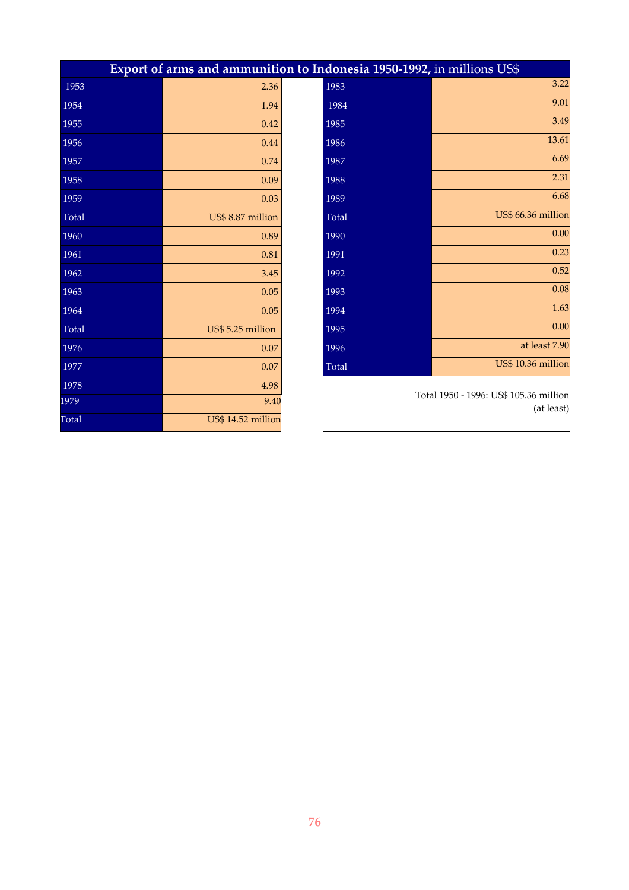|       | Export of arms and ammunition to Indonesia 1950-1992, in millions US\$ |       |                                                      |
|-------|------------------------------------------------------------------------|-------|------------------------------------------------------|
| 1953  | 2.36                                                                   | 1983  | 3.22                                                 |
| 1954  | 1.94                                                                   | 1984  | 9.01                                                 |
| 1955  | 0.42                                                                   | 1985  | 3.49                                                 |
| 1956  | 0.44                                                                   | 1986  | 13.61                                                |
| 1957  | 0.74                                                                   | 1987  | 6.69                                                 |
| 1958  | 0.09                                                                   | 1988  | 2.31                                                 |
| 1959  | 0.03                                                                   | 1989  | 6.68                                                 |
| Total | US\$ 8.87 million                                                      | Total | US\$ 66.36 million                                   |
| 1960  | 0.89                                                                   | 1990  | 0.00                                                 |
| 1961  | 0.81                                                                   | 1991  | 0.23                                                 |
| 1962  | 3.45                                                                   | 1992  | 0.52                                                 |
| 1963  | 0.05                                                                   | 1993  | 0.08                                                 |
| 1964  | 0.05                                                                   | 1994  | 1.63                                                 |
| Total | US\$ 5.25 million                                                      | 1995  | 0.00                                                 |
| 1976  | 0.07                                                                   | 1996  | at least 7.90                                        |
| 1977  | 0.07                                                                   | Total | US\$ 10.36 million                                   |
| 1978  | 4.98                                                                   |       |                                                      |
| 1979  | 9.40                                                                   |       | Total 1950 - 1996: US\$ 105.36 million<br>(at least) |
| Total | US\$ 14.52 million                                                     |       |                                                      |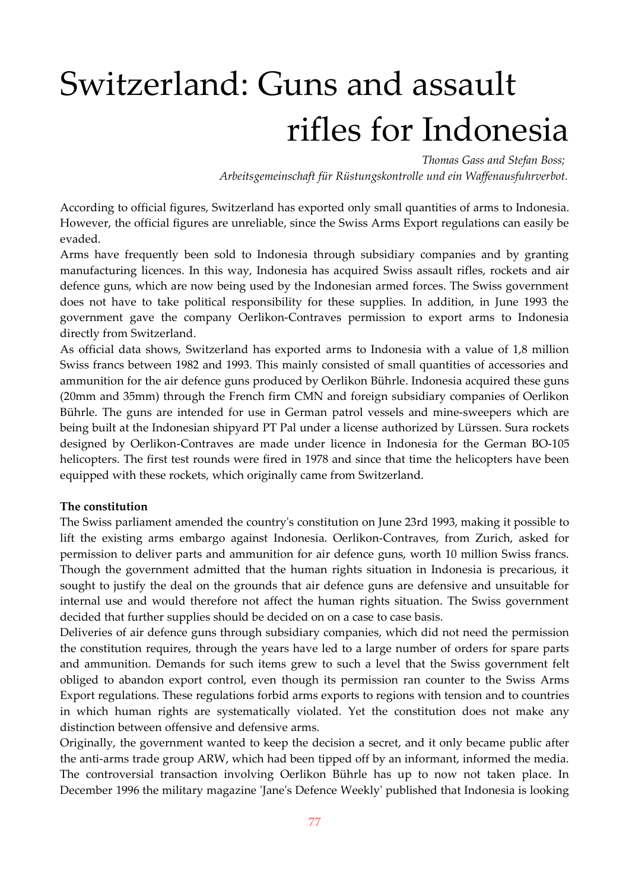# Switzerland: Guns and assault rifles for Indonesia

*Thomas Gass and Stefan Boss; Arbeitsgemeinschaft für Rüstungskontrolle und ein Waffenausfuhrverbot.*

According to official figures, Switzerland has exported only small quantities of arms to Indonesia. However, the official figures are unreliable, since the Swiss Arms Export regulations can easily be evaded.

Arms have frequently been sold to Indonesia through subsidiary companies and by granting manufacturing licences. In this way, Indonesia has acquired Swiss assault rifles, rockets and air defence guns, which are now being used by the Indonesian armed forces. The Swiss government does not have to take political responsibility for these supplies. In addition, in June 1993 the government gave the company Oerlikon-Contraves permission to export arms to Indonesia directly from Switzerland.

As official data shows, Switzerland has exported arms to Indonesia with a value of 1,8 million Swiss francs between 1982 and 1993. This mainly consisted of small quantities of accessories and ammunition for the air defence guns produced by Oerlikon Bührle. Indonesia acquired these guns (20mm and 35mm) through the French firm CMN and foreign subsidiary companies of Oerlikon Bührle. The guns are intended for use in German patrol vessels and mine-sweepers which are being built at the Indonesian shipyard PT Pal under a license authorized by Lürssen. Sura rockets designed by Oerlikon-Contraves are made under licence in Indonesia for the German BO-105 helicopters. The first test rounds were fired in 1978 and since that time the helicopters have been equipped with these rockets, which originally came from Switzerland.

#### **The constitution**

The Swiss parliament amended the country's constitution on June 23rd 1993, making it possible to lift the existing arms embargo against Indonesia. Oerlikon-Contraves, from Zurich, asked for permission to deliver parts and ammunition for air defence guns, worth 10 million Swiss francs. Though the government admitted that the human rights situation in Indonesia is precarious, it sought to justify the deal on the grounds that air defence guns are defensive and unsuitable for internal use and would therefore not affect the human rights situation. The Swiss government decided that further supplies should be decided on on a case to case basis.

Deliveries of air defence guns through subsidiary companies, which did not need the permission the constitution requires, through the years have led to a large number of orders for spare parts and ammunition. Demands for such items grew to such a level that the Swiss government felt obliged to abandon export control, even though its permission ran counter to the Swiss Arms Export regulations. These regulations forbid arms exports to regions with tension and to countries in which human rights are systematically violated. Yet the constitution does not make any distinction between offensive and defensive arms.

Originally, the government wanted to keep the decision a secret, and it only became public after the anti-arms trade group ARW, which had been tipped off by an informant, informed the media. The controversial transaction involving Oerlikon Bührle has up to now not taken place. In December 1996 the military magazine 'Jane's Defence Weekly' published that Indonesia is looking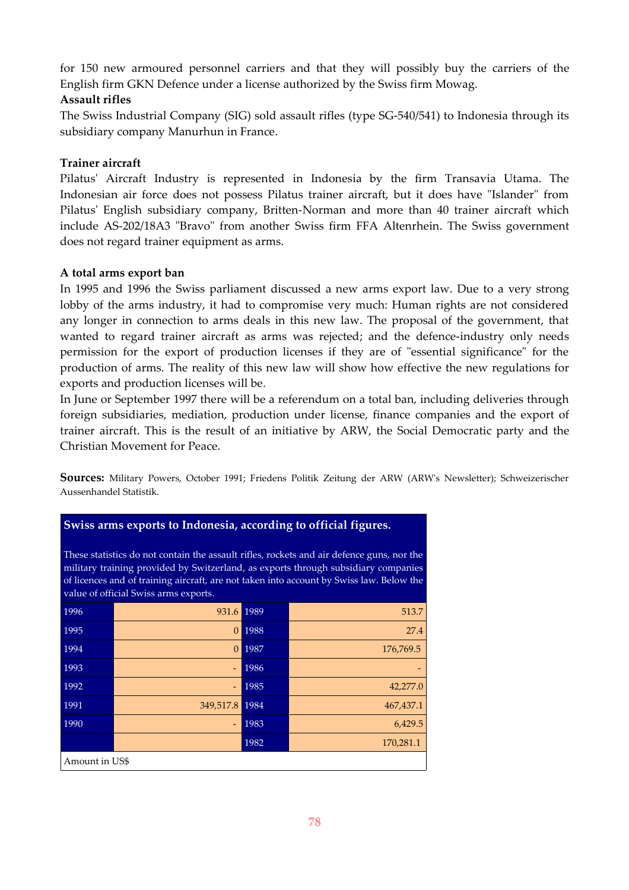for 150 new armoured personnel carriers and that they will possibly buy the carriers of the English firm GKN Defence under a license authorized by the Swiss firm Mowag.

#### **Assault rifles**

The Swiss Industrial Company (SIG) sold assault rifles (type SG-540/541) to Indonesia through its subsidiary company Manurhun in France.

#### **Trainer aircraft**

Pilatus' Aircraft Industry is represented in Indonesia by the firm Transavia Utama. The Indonesian air force does not possess Pilatus trainer aircraft, but it does have "Islander" from Pilatus' English subsidiary company, Britten-Norman and more than 40 trainer aircraft which include AS-202/18A3 "Bravo" from another Swiss firm FFA Altenrhein. The Swiss government does not regard trainer equipment as arms.

#### **A total arms export ban**

In 1995 and 1996 the Swiss parliament discussed a new arms export law. Due to a very strong lobby of the arms industry, it had to compromise very much: Human rights are not considered any longer in connection to arms deals in this new law. The proposal of the government, that wanted to regard trainer aircraft as arms was rejected; and the defence-industry only needs permission for the export of production licenses if they are of "essential significance" for the production of arms. The reality of this new law will show how effective the new regulations for exports and production licenses will be.

In June or September 1997 there will be a referendum on a total ban, including deliveries through foreign subsidiaries, mediation, production under license, finance companies and the export of trainer aircraft. This is the result of an initiative by ARW, the Social Democratic party and the Christian Movement for Peace.

**Sources:** Military Powers, October 1991; Friedens Politik Zeitung der ARW (ARW's Newsletter); Schweizerischer Aussenhandel Statistik.

| These statistics do not contain the assault rifles, rockets and air defence guns, nor the<br>military training provided by Switzerland, as exports through subsidiary companies<br>of licences and of training aircraft, are not taken into account by Swiss law. Below the<br>value of official Swiss arms exports. |                          |      |            |
|----------------------------------------------------------------------------------------------------------------------------------------------------------------------------------------------------------------------------------------------------------------------------------------------------------------------|--------------------------|------|------------|
| 1996                                                                                                                                                                                                                                                                                                                 | 931.6 1989               |      | 513.7      |
| 1995                                                                                                                                                                                                                                                                                                                 | $\Omega$                 | 1988 | 27.4       |
| 1994                                                                                                                                                                                                                                                                                                                 | $\Omega$                 | 1987 | 176,769.5  |
| 1993                                                                                                                                                                                                                                                                                                                 | $\overline{\phantom{0}}$ | 1986 |            |
| 1992                                                                                                                                                                                                                                                                                                                 |                          | 1985 | 42,277.0   |
| 1991                                                                                                                                                                                                                                                                                                                 | 349,517.8 1984           |      | 467, 437.1 |
| 1990                                                                                                                                                                                                                                                                                                                 |                          | 1983 | 6,429.5    |
|                                                                                                                                                                                                                                                                                                                      |                          | 1982 | 170,281.1  |
| Amount in US\$                                                                                                                                                                                                                                                                                                       |                          |      |            |

#### **Swiss arms exports to Indonesia, according to official figures.**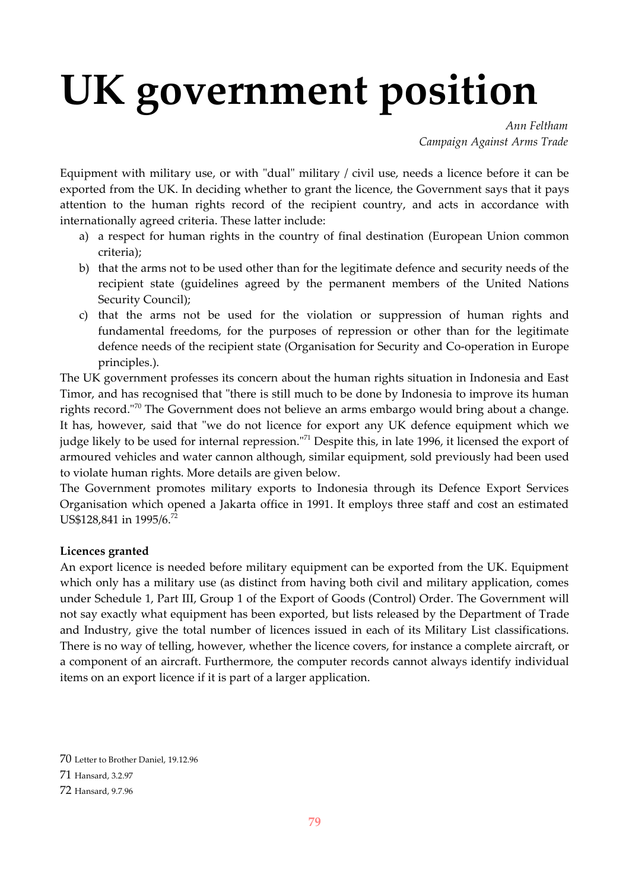# **UK government position**

*Ann Feltham Campaign Against Arms Trade*

Equipment with military use, or with "dual" military / civil use, needs a licence before it can be exported from the UK. In deciding whether to grant the licence, the Government says that it pays attention to the human rights record of the recipient country, and acts in accordance with internationally agreed criteria. These latter include:

- a) a respect for human rights in the country of final destination (European Union common criteria);
- b) that the arms not to be used other than for the legitimate defence and security needs of the recipient state (guidelines agreed by the permanent members of the United Nations Security Council);
- c) that the arms not be used for the violation or suppression of human rights and fundamental freedoms, for the purposes of repression or other than for the legitimate defence needs of the recipient state (Organisation for Security and Co-operation in Europe principles.).

The UK government professes its concern about the human rights situation in Indonesia and East Timor, and has recognised that "there is still much to be done by Indonesia to improve its human rights record."<sup>70</sup> The Government does not believe an arms embargo would bring about a change. It has, however, said that "we do not licence for export any UK defence equipment which we judge likely to be used for internal repression."<sup>71</sup> Despite this, in late 1996, it licensed the export of armoured vehicles and water cannon although, similar equipment, sold previously had been used to violate human rights. More details are given below.

The Government promotes military exports to Indonesia through its Defence Export Services Organisation which opened a Jakarta office in 1991. It employs three staff and cost an estimated US\$128,841 in 1995/6.<sup>72</sup>

#### **Licences granted**

An export licence is needed before military equipment can be exported from the UK. Equipment which only has a military use (as distinct from having both civil and military application, comes under Schedule 1, Part III, Group 1 of the Export of Goods (Control) Order. The Government will not say exactly what equipment has been exported, but lists released by the Department of Trade and Industry, give the total number of licences issued in each of its Military List classifications. There is no way of telling, however, whether the licence covers, for instance a complete aircraft, or a component of an aircraft. Furthermore, the computer records cannot always identify individual items on an export licence if it is part of a larger application.

<sup>70</sup> Letter to Brother Daniel, 19.12.96

<sup>71</sup> Hansard, 3.2.97

<sup>72</sup> Hansard, 9.7.96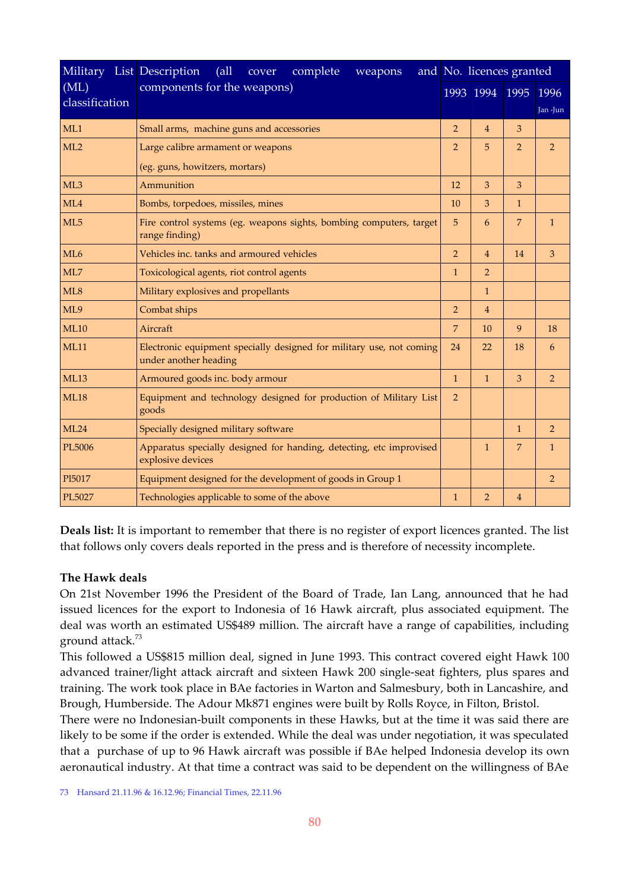| Military List Description | $\lceil \text{all} \rceil$<br>complete<br>weapons<br>cover<br>components for the weapons)     | and No. licences granted |                |                |                |
|---------------------------|-----------------------------------------------------------------------------------------------|--------------------------|----------------|----------------|----------------|
| (ML)                      |                                                                                               |                          | 1993 1994 1995 |                | 1996           |
| classification            |                                                                                               |                          |                |                | Jan-Jun        |
| ML1                       | Small arms, machine guns and accessories                                                      | $\overline{2}$           | $\overline{4}$ | 3              |                |
| ML <sub>2</sub>           | Large calibre armament or weapons                                                             | $\overline{2}$           | 5              | $\overline{2}$ | $\overline{2}$ |
|                           | (eg. guns, howitzers, mortars)                                                                |                          |                |                |                |
| ML3                       | Ammunition                                                                                    | 12                       | 3              | 3              |                |
| ML4                       | Bombs, torpedoes, missiles, mines                                                             |                          | 3              | $\mathbf{1}$   |                |
| ML5                       | Fire control systems (eg. weapons sights, bombing computers, target<br>range finding)         | 5                        | 6              | $\overline{7}$ | $\mathbf{1}$   |
| ML <sub>6</sub>           | Vehicles inc. tanks and armoured vehicles                                                     |                          | $\overline{4}$ | 14             | 3              |
| ML7                       | Toxicological agents, riot control agents                                                     | $\mathbf{1}$             | 2              |                |                |
| ML8                       | Military explosives and propellants                                                           |                          | $\mathbf{1}$   |                |                |
| ML9                       | Combat ships                                                                                  | $\overline{2}$           | $\overline{4}$ |                |                |
| <b>ML10</b>               | Aircraft                                                                                      | $\overline{7}$           | 10             | 9              | 18             |
| ML11                      | Electronic equipment specially designed for military use, not coming<br>under another heading | 24                       | 22             | 18             | 6              |
| <b>ML13</b>               | Armoured goods inc. body armour                                                               | $\mathbf{1}$             | $\mathbf{1}$   | 3              | $\overline{2}$ |
| <b>ML18</b>               | Equipment and technology designed for production of Military List<br>goods                    | $\overline{2}$           |                |                |                |
| ML24                      | Specially designed military software                                                          |                          |                | $\mathbf{1}$   | 2              |
| PL5006                    | Apparatus specially designed for handing, detecting, etc improvised<br>explosive devices      |                          | $\mathbf{1}$   | 7              | $\mathbf{1}$   |
| P15017                    | Equipment designed for the development of goods in Group 1                                    |                          |                |                | $\overline{2}$ |
| PL5027                    | Technologies applicable to some of the above                                                  | $\mathbf{1}$             | $\overline{2}$ | $\overline{4}$ |                |

**Deals list:** It is important to remember that there is no register of export licences granted. The list that follows only covers deals reported in the press and is therefore of necessity incomplete.

#### **The Hawk deals**

On 21st November 1996 the President of the Board of Trade, Ian Lang, announced that he had issued licences for the export to Indonesia of 16 Hawk aircraft, plus associated equipment. The deal was worth an estimated US\$489 million. The aircraft have a range of capabilities, including ground attack.<sup>73</sup>

This followed a US\$815 million deal, signed in June 1993. This contract covered eight Hawk 100 advanced trainer/light attack aircraft and sixteen Hawk 200 single-seat fighters, plus spares and training. The work took place in BAe factories in Warton and Salmesbury, both in Lancashire, and Brough, Humberside. The Adour Mk871 engines were built by Rolls Royce, in Filton, Bristol.

There were no Indonesian-built components in these Hawks, but at the time it was said there are likely to be some if the order is extended. While the deal was under negotiation, it was speculated that a purchase of up to 96 Hawk aircraft was possible if BAe helped Indonesia develop its own aeronautical industry. At that time a contract was said to be dependent on the willingness of BAe

<sup>73</sup> Hansard 21.11.96 & 16.12.96; Financial Times, 22.11.96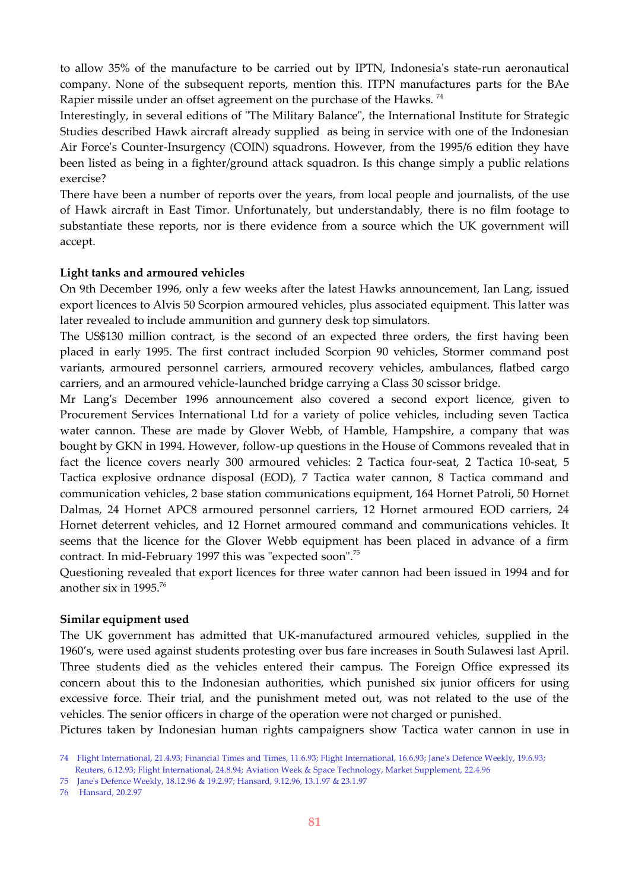to allow 35% of the manufacture to be carried out by IPTN, Indonesia's state-run aeronautical company. None of the subsequent reports, mention this. ITPN manufactures parts for the BAe Rapier missile under an offset agreement on the purchase of the Hawks.<sup>74</sup>

Interestingly, in several editions of "The Military Balance", the International Institute for Strategic Studies described Hawk aircraft already supplied as being in service with one of the Indonesian Air Force's Counter-Insurgency (COIN) squadrons. However, from the 1995/6 edition they have been listed as being in a fighter/ground attack squadron. Is this change simply a public relations exercise?

There have been a number of reports over the years, from local people and journalists, of the use of Hawk aircraft in East Timor. Unfortunately, but understandably, there is no film footage to substantiate these reports, nor is there evidence from a source which the UK government will accept.

#### **Light tanks and armoured vehicles**

On 9th December 1996, only a few weeks after the latest Hawks announcement, Ian Lang, issued export licences to Alvis 50 Scorpion armoured vehicles, plus associated equipment. This latter was later revealed to include ammunition and gunnery desk top simulators.

The US\$130 million contract, is the second of an expected three orders, the first having been placed in early 1995. The first contract included Scorpion 90 vehicles, Stormer command post variants, armoured personnel carriers, armoured recovery vehicles, ambulances, flatbed cargo carriers, and an armoured vehicle-launched bridge carrying a Class 30 scissor bridge.

Mr Lang's December 1996 announcement also covered a second export licence, given to Procurement Services International Ltd for a variety of police vehicles, including seven Tactica water cannon. These are made by Glover Webb, of Hamble, Hampshire, a company that was bought by GKN in 1994. However, follow-up questions in the House of Commons revealed that in fact the licence covers nearly 300 armoured vehicles: 2 Tactica four-seat, 2 Tactica 10-seat, 5 Tactica explosive ordnance disposal (EOD), 7 Tactica water cannon, 8 Tactica command and communication vehicles, 2 base station communications equipment, 164 Hornet Patroli, 50 Hornet Dalmas, 24 Hornet APC8 armoured personnel carriers, 12 Hornet armoured EOD carriers, 24 Hornet deterrent vehicles, and 12 Hornet armoured command and communications vehicles. It seems that the licence for the Glover Webb equipment has been placed in advance of a firm contract. In mid-February 1997 this was "expected soon".<sup>75</sup>

Questioning revealed that export licences for three water cannon had been issued in 1994 and for another six in 1995. 76

#### **Similar equipment used**

The UK government has admitted that UK-manufactured armoured vehicles, supplied in the 1960's, were used against students protesting over bus fare increases in South Sulawesi last April. Three students died as the vehicles entered their campus. The Foreign Office expressed its concern about this to the Indonesian authorities, which punished six junior officers for using excessive force. Their trial, and the punishment meted out, was not related to the use of the vehicles. The senior officers in charge of the operation were not charged or punished.

Pictures taken by Indonesian human rights campaigners show Tactica water cannon in use in

76 Hansard, 20.2.97

<sup>74</sup> Flight International, 21.4.93; Financial Times and Times, 11.6.93; Flight International, 16.6.93; Jane's Defence Weekly, 19.6.93;

Reuters, 6.12.93; Flight International, 24.8.94; Aviation Week & Space Technology, Market Supplement, 22.4.96

<sup>75</sup> Jane's Defence Weekly, 18.12.96 & 19.2.97; Hansard, 9.12.96, 13.1.97 & 23.1.97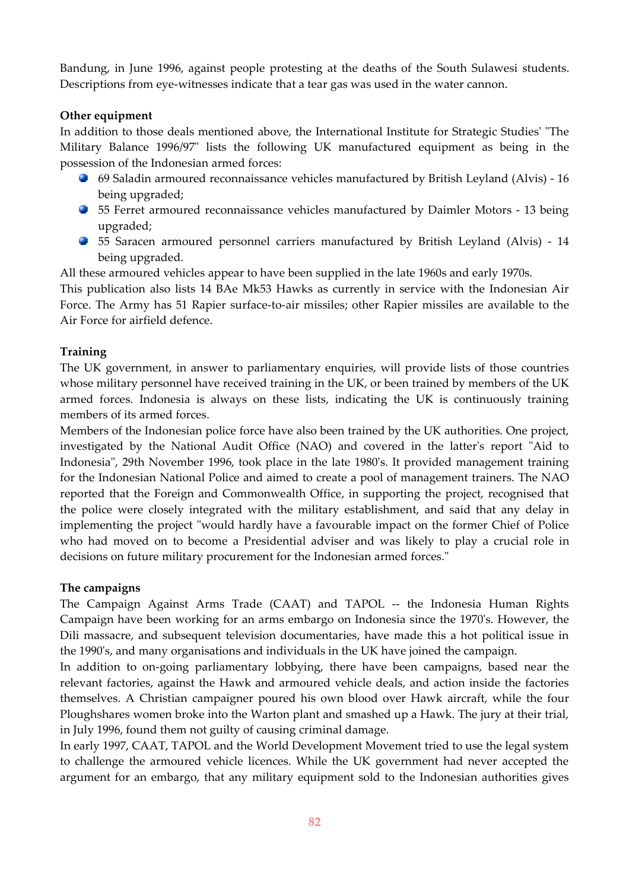Bandung, in June 1996, against people protesting at the deaths of the South Sulawesi students. Descriptions from eye-witnesses indicate that a tear gas was used in the water cannon.

#### **Other equipment**

In addition to those deals mentioned above, the International Institute for Strategic Studies' "The Military Balance 1996/97" lists the following UK manufactured equipment as being in the possession of the Indonesian armed forces:

- 69 Saladin armoured reconnaissance vehicles manufactured by British Leyland (Alvis) 16 being upgraded;
- 55 Ferret armoured reconnaissance vehicles manufactured by Daimler Motors 13 being upgraded;
- 55 Saracen armoured personnel carriers manufactured by British Leyland (Alvis) 14 being upgraded.

All these armoured vehicles appear to have been supplied in the late 1960s and early 1970s.

This publication also lists 14 BAe Mk53 Hawks as currently in service with the Indonesian Air Force. The Army has 51 Rapier surface-to-air missiles; other Rapier missiles are available to the Air Force for airfield defence.

#### **Training**

The UK government, in answer to parliamentary enquiries, will provide lists of those countries whose military personnel have received training in the UK, or been trained by members of the UK armed forces. Indonesia is always on these lists, indicating the UK is continuously training members of its armed forces.

Members of the Indonesian police force have also been trained by the UK authorities. One project, investigated by the National Audit Office (NAO) and covered in the latter's report "Aid to Indonesia", 29th November 1996, took place in the late 1980's. It provided management training for the Indonesian National Police and aimed to create a pool of management trainers. The NAO reported that the Foreign and Commonwealth Office, in supporting the project, recognised that the police were closely integrated with the military establishment, and said that any delay in implementing the project "would hardly have a favourable impact on the former Chief of Police who had moved on to become a Presidential adviser and was likely to play a crucial role in decisions on future military procurement for the Indonesian armed forces."

#### **The campaigns**

The Campaign Against Arms Trade (CAAT) and TAPOL -- the Indonesia Human Rights Campaign have been working for an arms embargo on Indonesia since the 1970's. However, the Dili massacre, and subsequent television documentaries, have made this a hot political issue in the 1990's, and many organisations and individuals in the UK have joined the campaign.

In addition to on-going parliamentary lobbying, there have been campaigns, based near the relevant factories, against the Hawk and armoured vehicle deals, and action inside the factories themselves. A Christian campaigner poured his own blood over Hawk aircraft, while the four Ploughshares women broke into the Warton plant and smashed up a Hawk. The jury at their trial, in July 1996, found them not guilty of causing criminal damage.

In early 1997, CAAT, TAPOL and the World Development Movement tried to use the legal system to challenge the armoured vehicle licences. While the UK government had never accepted the argument for an embargo, that any military equipment sold to the Indonesian authorities gives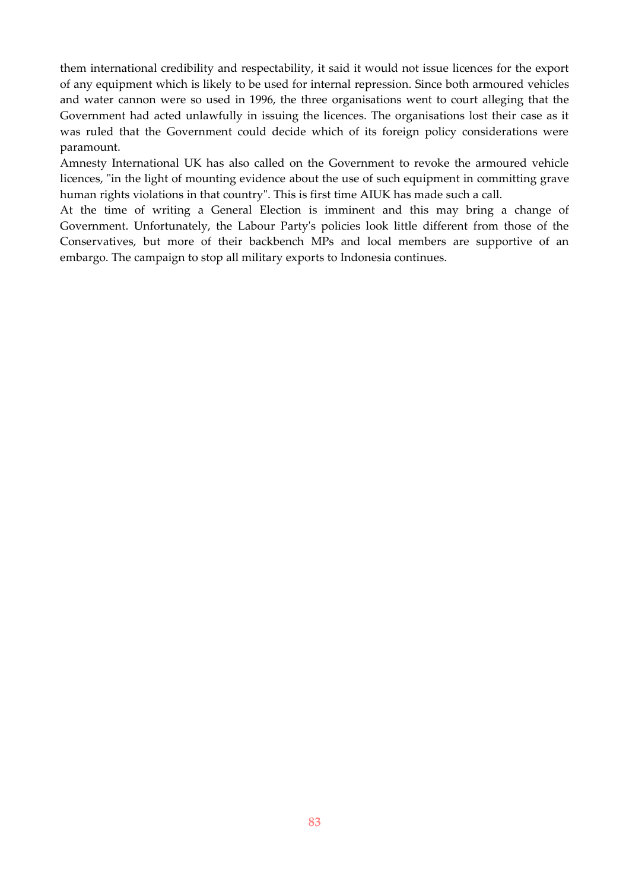them international credibility and respectability, it said it would not issue licences for the export of any equipment which is likely to be used for internal repression. Since both armoured vehicles and water cannon were so used in 1996, the three organisations went to court alleging that the Government had acted unlawfully in issuing the licences. The organisations lost their case as it was ruled that the Government could decide which of its foreign policy considerations were paramount.

Amnesty International UK has also called on the Government to revoke the armoured vehicle licences, "in the light of mounting evidence about the use of such equipment in committing grave human rights violations in that country". This is first time AIUK has made such a call.

At the time of writing a General Election is imminent and this may bring a change of Government. Unfortunately, the Labour Party's policies look little different from those of the Conservatives, but more of their backbench MPs and local members are supportive of an embargo. The campaign to stop all military exports to Indonesia continues.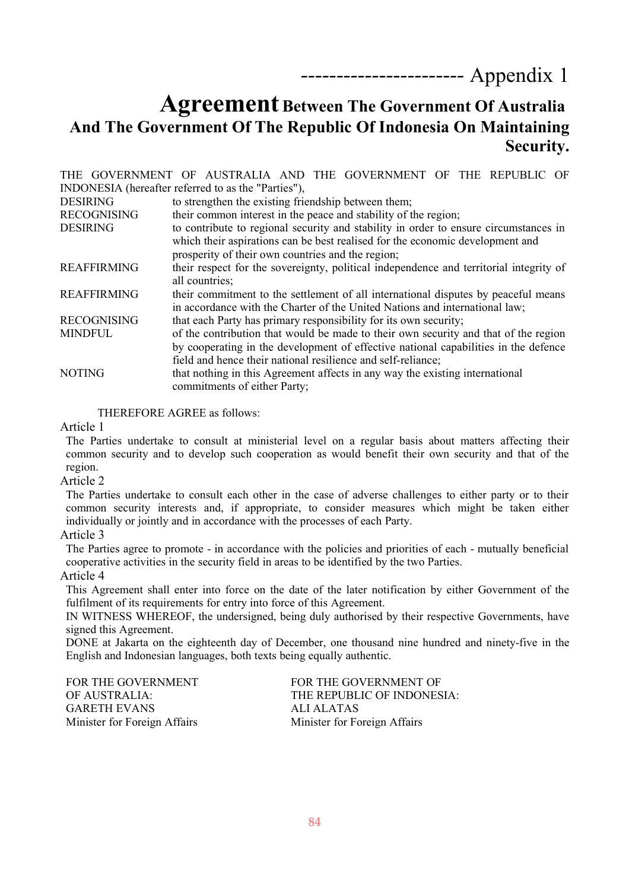## ----------------------- Appendix 1

### **Agreement Between The Government Of Australia And The Government Of The Republic Of Indonesia On Maintaining Security.**

THE GOVERNMENT OF AUSTRALIA AND THE GOVERNMENT OF THE REPUBLIC OF INDONESIA (hereafter referred to as the "Parties"),

| <b>DESIRING</b>    | to strengthen the existing friendship between them;                                                                                                                        |
|--------------------|----------------------------------------------------------------------------------------------------------------------------------------------------------------------------|
| RECOGNISING        | their common interest in the peace and stability of the region;                                                                                                            |
| <b>DESIRING</b>    | to contribute to regional security and stability in order to ensure circumstances in<br>which their aspirations can be best realised for the economic development and      |
|                    | prosperity of their own countries and the region;                                                                                                                          |
| <b>REAFFIRMING</b> | their respect for the sovereignty, political independence and territorial integrity of<br>all countries;                                                                   |
| <b>REAFFIRMING</b> | their commitment to the settlement of all international disputes by peaceful means<br>in accordance with the Charter of the United Nations and international law;          |
| RECOGNISING        | that each Party has primary responsibility for its own security;                                                                                                           |
| MINDFUL            | of the contribution that would be made to their own security and that of the region<br>by cooperating in the development of effective national capabilities in the defence |
|                    | field and hence their national resilience and self-reliance;                                                                                                               |
| NOTING             | that nothing in this Agreement affects in any way the existing international<br>commitments of either Party;                                                               |

THEREFORE AGREE as follows:

Article 1

The Parties undertake to consult at ministerial level on a regular basis about matters affecting their common security and to develop such cooperation as would benefit their own security and that of the region.

Article 2

The Parties undertake to consult each other in the case of adverse challenges to either party or to their common security interests and, if appropriate, to consider measures which might be taken either individually or jointly and in accordance with the processes of each Party.

Article 3

The Parties agree to promote - in accordance with the policies and priorities of each - mutually beneficial cooperative activities in the security field in areas to be identified by the two Parties.

Article 4

This Agreement shall enter into force on the date of the later notification by either Government of the fulfilment of its requirements for entry into force of this Agreement.

IN WITNESS WHEREOF, the undersigned, being duly authorised by their respective Governments, have signed this Agreement.

DONE at Jakarta on the eighteenth day of December, one thousand nine hundred and ninety-five in the English and Indonesian languages, both texts being equally authentic.

GARETH EVANS ALI ALATAS Minister for Foreign Affairs Minister for Foreign Affairs

FOR THE GOVERNMENT FOR THE GOVERNMENT OF OF AUSTRALIA: THE REPUBLIC OF INDONESIA: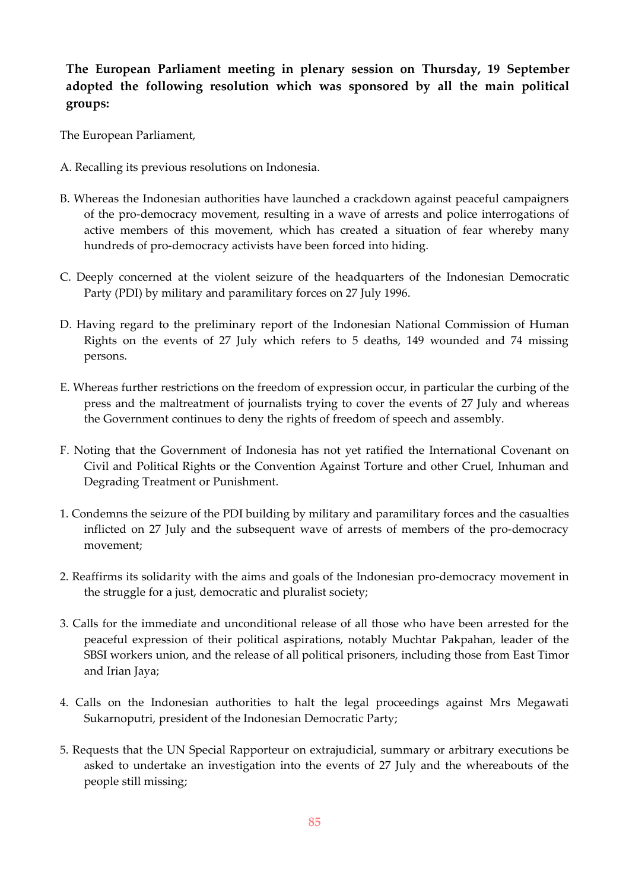#### **The European Parliament meeting in plenary session on Thursday, 19 September adopted the following resolution which was sponsored by all the main political groups:**

The European Parliament,

- A. Recalling its previous resolutions on Indonesia.
- B. Whereas the Indonesian authorities have launched a crackdown against peaceful campaigners of the pro-democracy movement, resulting in a wave of arrests and police interrogations of active members of this movement, which has created a situation of fear whereby many hundreds of pro-democracy activists have been forced into hiding.
- C. Deeply concerned at the violent seizure of the headquarters of the Indonesian Democratic Party (PDI) by military and paramilitary forces on 27 July 1996.
- D. Having regard to the preliminary report of the Indonesian National Commission of Human Rights on the events of 27 July which refers to 5 deaths, 149 wounded and 74 missing persons.
- E. Whereas further restrictions on the freedom of expression occur, in particular the curbing of the press and the maltreatment of journalists trying to cover the events of 27 July and whereas the Government continues to deny the rights of freedom of speech and assembly.
- F. Noting that the Government of Indonesia has not yet ratified the International Covenant on Civil and Political Rights or the Convention Against Torture and other Cruel, Inhuman and Degrading Treatment or Punishment.
- 1. Condemns the seizure of the PDI building by military and paramilitary forces and the casualties inflicted on 27 July and the subsequent wave of arrests of members of the pro-democracy movement;
- 2. Reaffirms its solidarity with the aims and goals of the Indonesian pro-democracy movement in the struggle for a just, democratic and pluralist society;
- 3. Calls for the immediate and unconditional release of all those who have been arrested for the peaceful expression of their political aspirations, notably Muchtar Pakpahan, leader of the SBSI workers union, and the release of all political prisoners, including those from East Timor and Irian Jaya;
- 4. Calls on the Indonesian authorities to halt the legal proceedings against Mrs Megawati Sukarnoputri, president of the Indonesian Democratic Party;
- 5. Requests that the UN Special Rapporteur on extrajudicial, summary or arbitrary executions be asked to undertake an investigation into the events of 27 July and the whereabouts of the people still missing;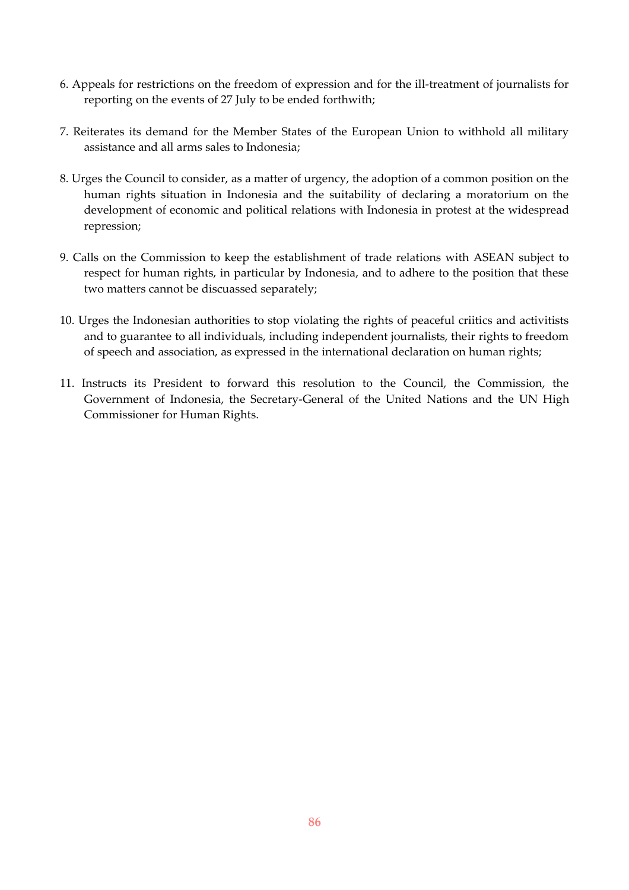- 6. Appeals for restrictions on the freedom of expression and for the ill-treatment of journalists for reporting on the events of 27 July to be ended forthwith;
- 7. Reiterates its demand for the Member States of the European Union to withhold all military assistance and all arms sales to Indonesia;
- 8. Urges the Council to consider, as a matter of urgency, the adoption of a common position on the human rights situation in Indonesia and the suitability of declaring a moratorium on the development of economic and political relations with Indonesia in protest at the widespread repression;
- 9. Calls on the Commission to keep the establishment of trade relations with ASEAN subject to respect for human rights, in particular by Indonesia, and to adhere to the position that these two matters cannot be discuassed separately;
- 10. Urges the Indonesian authorities to stop violating the rights of peaceful criitics and activitists and to guarantee to all individuals, including independent journalists, their rights to freedom of speech and association, as expressed in the international declaration on human rights;
- 11. Instructs its President to forward this resolution to the Council, the Commission, the Government of Indonesia, the Secretary-General of the United Nations and the UN High Commissioner for Human Rights.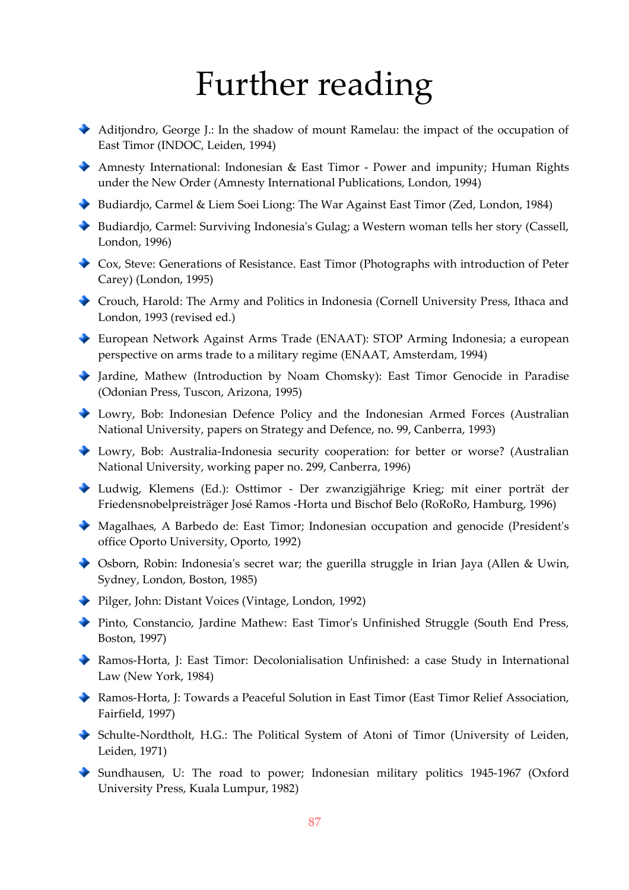## Further reading

- Aditjondro, George J.: In the shadow of mount Ramelau: the impact of the occupation of East Timor (INDOC, Leiden, 1994)
- Amnesty International: Indonesian & East Timor Power and impunity; Human Rights under the New Order (Amnesty International Publications, London, 1994)
- ◆ Budiardjo, Carmel & Liem Soei Liong: The War Against East Timor (Zed, London, 1984)
- ◆ Budiardjo, Carmel: Surviving Indonesia's Gulag; a Western woman tells her story (Cassell, London, 1996)
- ◆ Cox, Steve: Generations of Resistance. East Timor (Photographs with introduction of Peter Carey) (London, 1995)
- Crouch, Harold: The Army and Politics in Indonesia (Cornell University Press, Ithaca and London, 1993 (revised ed.)
- European Network Against Arms Trade (ENAAT): STOP Arming Indonesia; a european perspective on arms trade to a military regime (ENAAT, Amsterdam, 1994)
- Jardine, Mathew (Introduction by Noam Chomsky): East Timor Genocide in Paradise (Odonian Press, Tuscon, Arizona, 1995)
- Lowry, Bob: Indonesian Defence Policy and the Indonesian Armed Forces (Australian National University, papers on Strategy and Defence, no. 99, Canberra, 1993)
- Lowry, Bob: Australia-Indonesia security cooperation: for better or worse? (Australian National University, working paper no. 299, Canberra, 1996)
- Ludwig, Klemens (Ed.): Osttimor Der zwanzigjährige Krieg; mit einer porträt der Friedensnobelpreisträger José Ramos -Horta und Bischof Belo (RoRoRo, Hamburg, 1996)
- Magalhaes, A Barbedo de: East Timor; Indonesian occupation and genocide (President's office Oporto University, Oporto, 1992)
- ◆ Osborn, Robin: Indonesia's secret war; the guerilla struggle in Irian Jaya (Allen & Uwin, Sydney, London, Boston, 1985)
- ◆ Pilger, John: Distant Voices (Vintage, London, 1992)
- Pinto, Constancio, Jardine Mathew: East Timor's Unfinished Struggle (South End Press, Boston, 1997)
- Ramos-Horta, J: East Timor: Decolonialisation Unfinished: a case Study in International Law (New York, 1984)
- Ramos-Horta, J: Towards a Peaceful Solution in East Timor (East Timor Relief Association, Fairfield, 1997)
- Schulte-Nordtholt, H.G.: The Political System of Atoni of Timor (University of Leiden, Leiden, 1971)
- Sundhausen, U: The road to power; Indonesian military politics 1945-1967 (Oxford University Press, Kuala Lumpur, 1982)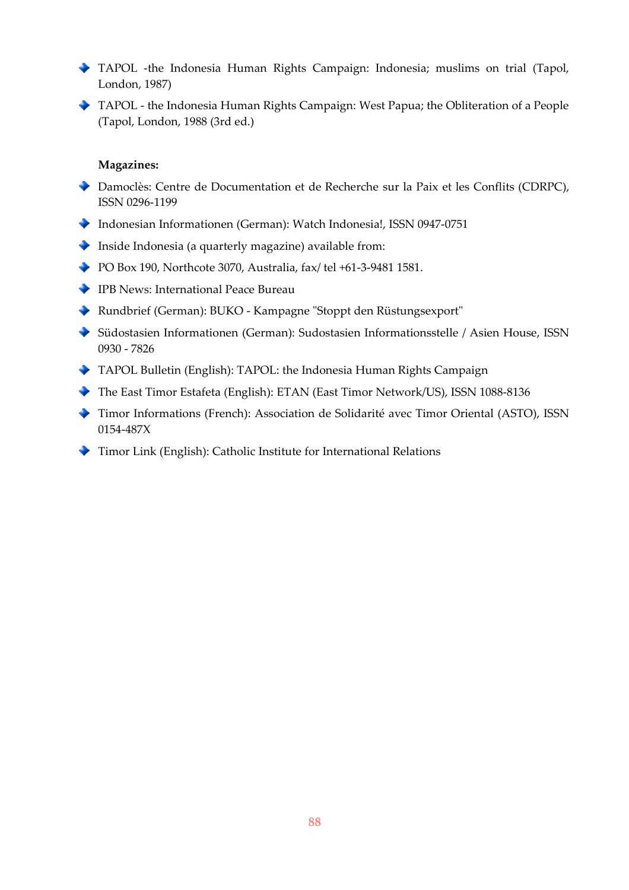- TAPOL -the Indonesia Human Rights Campaign: Indonesia; muslims on trial (Tapol, London, 1987)
- TAPOL the Indonesia Human Rights Campaign: West Papua; the Obliteration of a People (Tapol, London, 1988 (3rd ed.)

#### **Magazines:**

- ◆ Damoclès: Centre de Documentation et de Recherche sur la Paix et les Conflits (CDRPC), ISSN 0296-1199
- Indonesian Informationen (German): Watch Indonesia!, ISSN 0947-0751
- $\blacktriangleright$  Inside Indonesia (a quarterly magazine) available from:
- ◆ PO Box 190, Northcote 3070, Australia, fax/ tel +61-3-9481 1581.
- **IPB News: International Peace Bureau**
- Rundbrief (German): BUKO Kampagne "Stoppt den Rüstungsexport"
- Südostasien Informationen (German): Sudostasien Informationsstelle / Asien House, ISSN 0930 - 7826
- TAPOL Bulletin (English): TAPOL: the Indonesia Human Rights Campaign
- ◆ The East Timor Estafeta (English): ETAN (East Timor Network/US), ISSN 1088-8136
- Timor Informations (French): Association de Solidarité avec Timor Oriental (ASTO), ISSN 0154-487X
- ◆ Timor Link (English): Catholic Institute for International Relations